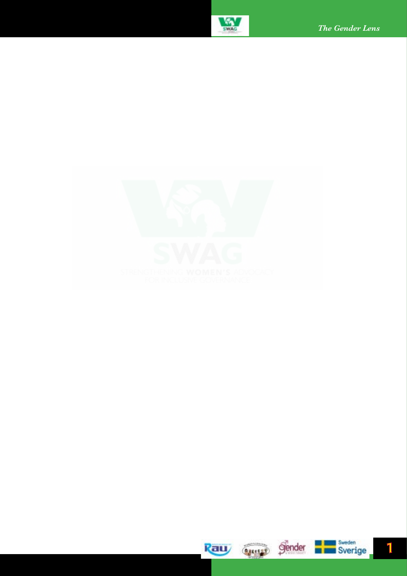











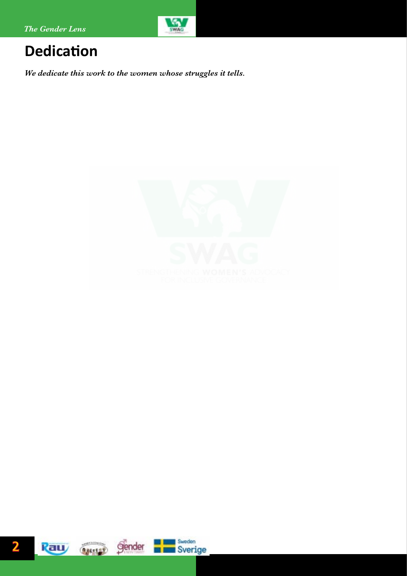*The Gender Lens*



# **Dedication**

*We dedicate this work to the women whose struggles it tells.*



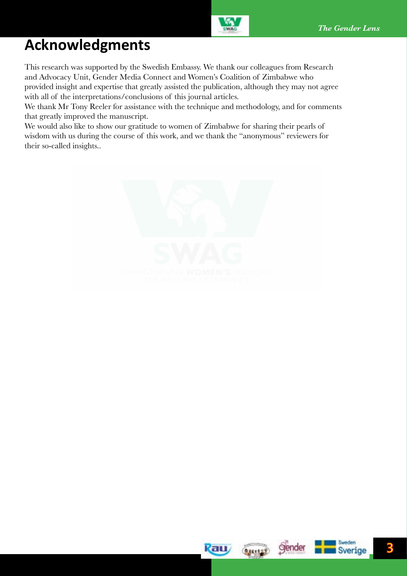# **Acknowledgments**

This research was supported by the Swedish Embassy. We thank our colleagues from Research and Advocacy Unit, Gender Media Connect and Women's Coalition of Zimbabwe who provided insight and expertise that greatly assisted the publication, although they may not agree with all of the interpretations/conclusions of this journal articles.

We thank Mr Tony Reeler for assistance with the technique and methodology, and for comments that greatly improved the manuscript.

We would also like to show our gratitude to women of Zimbabwe for sharing their pearls of wisdom with us during the course of this work, and we thank the "anonymous" reviewers for their so-called insights..











Sweden

**Sverige**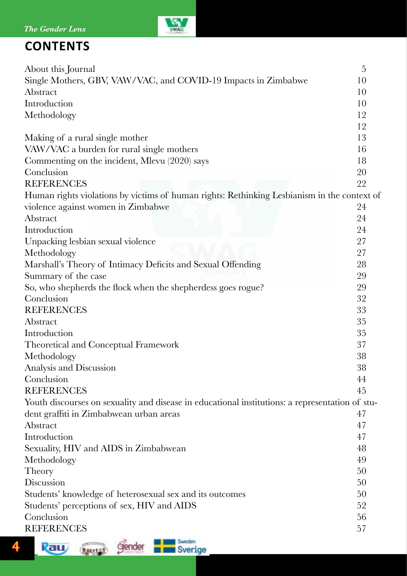*The Gender Lens*



# **CONTENTS**

4

| About this Journal                                                                              | 5  |
|-------------------------------------------------------------------------------------------------|----|
| Single Mothers, GBV, VAW/VAC, and COVID-19 Impacts in Zimbabwe                                  | 10 |
| Abstract                                                                                        | 10 |
| Introduction                                                                                    | 10 |
| Methodology                                                                                     | 12 |
|                                                                                                 | 12 |
| Making of a rural single mother                                                                 | 13 |
| VAW/VAC a burden for rural single mothers                                                       | 16 |
| Commenting on the incident, Mlevu (2020) says                                                   | 18 |
| Conclusion                                                                                      | 20 |
| <b>REFERENCES</b>                                                                               | 22 |
| Human rights violations by victims of human rights: Rethinking Lesbianism in the context of     |    |
| violence against women in Zimbabwe                                                              | 24 |
| Abstract                                                                                        | 24 |
| Introduction                                                                                    | 24 |
| Unpacking lesbian sexual violence                                                               | 27 |
| Methodology                                                                                     | 27 |
| Marshall's Theory of Intimacy Deficits and Sexual Offending                                     | 28 |
| Summary of the case                                                                             | 29 |
| So, who shepherds the flock when the shepherdess goes rogue?                                    | 29 |
| Conclusion                                                                                      | 32 |
| <b>REFERENCES</b>                                                                               | 33 |
| Abstract                                                                                        | 35 |
| Introduction                                                                                    | 35 |
| Theoretical and Conceptual Framework                                                            | 37 |
| Methodology                                                                                     | 38 |
| Analysis and Discussion                                                                         | 38 |
| Conclusion                                                                                      | 44 |
| <b>REFERENCES</b>                                                                               | 45 |
| Youth discourses on sexuality and disease in educational institutions: a representation of stu- |    |
| dent graffiti in Zimbabwean urban areas                                                         | 47 |
| Abstract                                                                                        | 47 |
| Introduction                                                                                    | 47 |
| Sexuality, HIV and AIDS in Zimbabwean                                                           | 48 |
| Methodology                                                                                     | 49 |
| Theory                                                                                          | 50 |
| Discussion                                                                                      | 50 |
| Students' knowledge of heterosexual sex and its outcomes                                        | 50 |
| Students' perceptions of sex, HIV and AIDS                                                      | 52 |
| Conclusion                                                                                      | 56 |
| <b>REFERENCES</b>                                                                               | 57 |
| Siender<br>Kau/<br>Sverige                                                                      |    |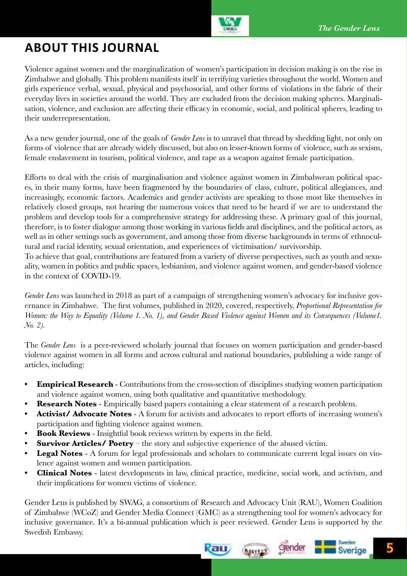# <span id="page-4-0"></span>**ABOUT THIS JOURNAL**

Violence against women and the marginalization of women's participation in decision making is on the rise in Zimbabwe and globally. This problem manifests itself in terrifying varieties throughout the world. Women and girls experience verbal, sexual, physical and psychosocial, and other forms of violations in the fabric of their everyday lives in societies around the world. They are excluded from the decision making spheres. Marginalisation, violence, and exclusion are affecting their efficacy in economic, social, and political spheres, leading to their underrepresentation.

As a new gender journal, one of the goals of *Gender Lens* is to unravel that thread by shedding light, not only on forms of violence that are already widely discussed, but also on lesser-known forms of violence, such as sexism, female enslavement in tourism, political violence, and rape as a weapon against female participation.

Efforts to deal with the crisis of marginalisation and violence against women in Zimbabwean political spaces, in their many forms, have been fragmented by the boundaries of class, culture, political allegiances, and increasingly, economic factors. Academics and gender activists are speaking to those most like themselves in relatively closed groups, not hearing the numerous voices that need to be heard if we are to understand the problem and develop tools for a comprehensive strategy for addressing these. A primary goal of this journal, therefore, is to foster dialogue among those working in various fields and disciplines, and the political actors, as well as in other settings such as government, and among those from diverse backgrounds in terms of ethnocultural and racial identity, sexual orientation, and experiences of victimisation/ survivorship.

To achieve that goal, contributions are featured from a variety of diverse perspectives, such as youth and sexuality, women in politics and public spaces, lesbianism, and violence against women, and gender-based violence in the context of COVID-19.

*Gender Lens* was launched in 2018 as part of a campaign of strengthening women's advocacy for inclusive governance in Zimbabwe. The first volumes, published in 2020, covered, respectively, *Proportional Representation for Women: the Way to Equality (Volume 1. No. 1), and Gender Based Violence against Women and its Consequences (Vulume1. No. 2).* 

The *Gender Lens* is a peer-reviewed scholarly journal that focuses on women participation and gender-based violence against women in all forms and across cultural and national boundaries, publishing a wide range of articles, including:

- **Empirical Research** Contributions from the cross-section of disciplines studying women participation and violence against women, using both qualitative and quantitative methodology.
- **• Research Notes** Empirically based papers containing a clear statement of a research problem.
- **• Activist/ Advocate Notes** A forum for activists and advocates to report efforts of increasing women's participation and fighting violence against women.
- **• Book Reviews** Insightful book reviews written by experts in the field.
- **Survivor Articles/ Poetry** the story and subjective experience of the abused victim.
- **Legal Notes** A forum for legal professionals and scholars to communicate current legal issues on violence against women and women participation.
- **• Clinical Notes**  latest developments in law, clinical practice, medicine, social work, and activism, and their implications for women victims of violence.

Gender Lens is published by SWAG, a consortium of Research and Advocacy Unit (RAU), Women Coalition of Zimbabwe (WCoZ) and Gender Media Connect (GMC) as a strengthening tool for women's advocacy for inclusive governance. It's a bi-annual publication which is peer reviewed. Gender Lens is supported by the Swedish Embassy.



Clender

Sverige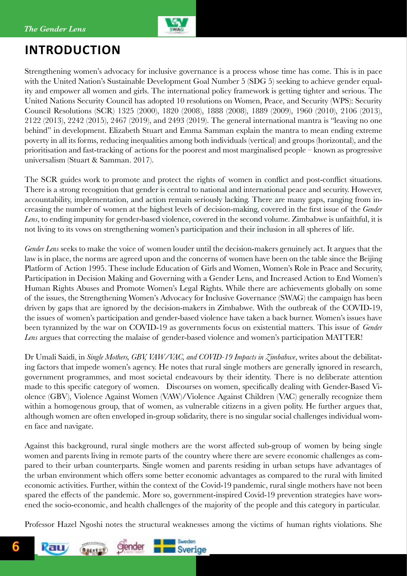

# **INTRODUCTION**

Strengthening women's advocacy for inclusive governance is a process whose time has come. This is in pace with the United Nation's Sustainable Development Goal Number 5 (SDG 5) seeking to achieve gender equality and empower all women and girls. The international policy framework is getting tighter and serious. The United Nations Security Council has adopted 10 resolutions on Women, Peace, and Security (WPS): Security Council Resolutions (SCR) 1325 (2000), 1820 (2008), 1888 (2008), 1889 (2009), 1960 (2010), 2106 (2013), 2122 (2013), 2242 (2015), 2467 (2019), and 2493 (2019). The general international mantra is "leaving no one behind" in development. Elizabeth Stuart and Emma Samman explain the mantra to mean ending extreme poverty in all its forms, reducing inequalities among both individuals (vertical) and groups (horizontal), and the prioritisation and fast-tracking of actions for the poorest and most marginalised people – known as progressive universalism (Stuart & Samman. 2017).

The SCR guides work to promote and protect the rights of women in conflict and post-conflict situations. There is a strong recognition that gender is central to national and international peace and security. However, accountability, implementation, and action remain seriously lacking. There are many gaps, ranging from increasing the number of women at the highest levels of decision-making, covered in the first issue of the *Gender Lens*, to ending impunity for gender-based violence, covered in the second volume. Zimbabwe is unfaithful, it is not living to its vows on strengthening women's participation and their inclusion in all spheres of life.

*Gender Lens* seeks to make the voice of women louder until the decision-makers genuinely act. It argues that the law is in place, the norms are agreed upon and the concerns of women have been on the table since the Beijing Platform of Action 1995. These include Education of Girls and Women, Women's Role in Peace and Security, Participation in Decision Making and Governing with a Gender Lens, and Increased Action to End Women's Human Rights Abuses and Promote Women's Legal Rights. While there are achievements globally on some of the issues, the Strengthening Women's Advocacy for Inclusive Governance (SWAG) the campaign has been driven by gaps that are ignored by the decision-makers in Zimbabwe. With the outbreak of the COVID-19, the issues of women's participation and gender-based violence have taken a back burner. Women's issues have been tyrannized by the war on COVID-19 as governments focus on existential matters. This issue of *Gender Lens* argues that correcting the malaise of gender-based violence and women's participation MATTER!

Dr Umali Saidi, in *Single Mothers, GBV, VAW/VAC, and COVID-19 Impacts in Zimbabwe*, writes about the debilitating factors that impede women's agency. He notes that rural single mothers are generally ignored in research, government programmes, and most societal endeavours by their identity. There is no deliberate attention made to this specific category of women. Discourses on women, specifically dealing with Gender-Based Violence (GBV), Violence Against Women (VAW)/Violence Against Children (VAC) generally recognize them within a homogenous group, that of women, as vulnerable citizens in a given polity. He further argues that, although women are often enveloped in-group solidarity, there is no singular social challenges individual women face and navigate.

Against this background, rural single mothers are the worst affected sub-group of women by being single women and parents living in remote parts of the country where there are severe economic challenges as compared to their urban counterparts. Single women and parents residing in urban setups have advantages of the urban environment which offers some better economic advantages as compared to the rural with limited economic activities. Further, within the context of the Covid-19 pandemic, rural single mothers have not been spared the effects of the pandemic. More so, government-inspired Covid-19 prevention strategies have worsened the socio-economic, and health challenges of the majority of the people and this category in particular.

Professor Hazel Ngoshi notes the structural weaknesses among the victims of human rights violations. She

Sweden

Sverige

Gender

Kau.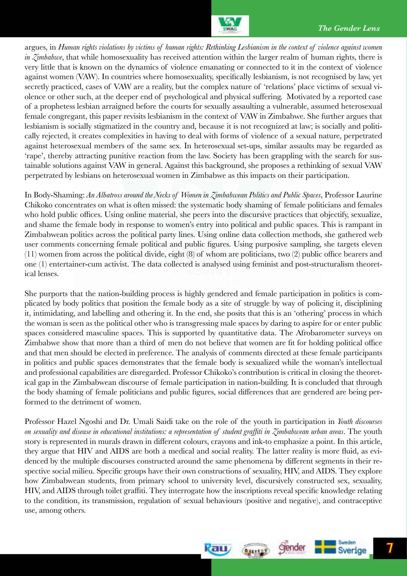argues, in *Human rights violations by victims of human rights: Rethinking Lesbianism in the context of violence against women in Zimbabwe*, that while homosexuality has received attention within the larger realm of human rights, there is very little that is known on the dynamics of violence emanating or connected to it in the context of violence against women (VAW). In countries where homosexuality, specifically lesbianism, is not recognised by law, yet secretly practiced, cases of VAW are a reality, but the complex nature of 'relations' place victims of sexual violence or other such, at the deeper end of psychological and physical suffering. Motivated by a reported case of a prophetess lesbian arraigned before the courts for sexually assaulting a vulnerable, assumed heterosexual female congregant, this paper revisits lesbianism in the context of VAW in Zimbabwe. She further argues that lesbianism is socially stigmatized in the country and, because it is not recognized at law; is socially and politically rejected, it creates complexities in having to deal with forms of violence of a sexual nature, perpetrated against heterosexual members of the same sex. In heterosexual set-ups, similar assaults may be regarded as 'rape', thereby attracting punitive reaction from the law. Society has been grappling with the search for sustainable solutions against VAW in general. Against this background, she proposes a rethinking of sexual VAW perpetrated by lesbians on heterosexual women in Zimbabwe as this impacts on their participation.

In Body-Shaming: *An Albatross around the Necks of Women in Zimbabwean Politics and Public Spaces*, Professor Laurine Chikoko concentrates on what is often missed: the systematic body shaming of female politicians and females who hold public offices. Using online material, she peers into the discursive practices that objectify, sexualize, and shame the female body in response to women's entry into political and public spaces. This is rampant in Zimbabwean politics across the political party lines. Using online data collection methods, she gathered web user comments concerning female political and public figures. Using purposive sampling, she targets eleven (11) women from across the political divide, eight (8) of whom are politicians, two (2) public office bearers and one (1) entertainer-cum activist. The data collected is analysed using feminist and post-structuralism theoretical lenses.

She purports that the nation-building process is highly gendered and female participation in politics is complicated by body politics that position the female body as a site of struggle by way of policing it, disciplining it, intimidating, and labelling and othering it. In the end, she posits that this is an 'othering' process in which the woman is seen as the political other who is transgressing male spaces by daring to aspire for or enter public spaces considered masculine spaces. This is supported by quantitative data. The Afrobarometer surveys on Zimbabwe show that more than a third of men do not believe that women are fit for holding political office and that men should be elected in preference. The analysis of comments directed at these female participants in politics and public spaces demonstrates that the female body is sexualized while the woman's intellectual and professional capabilities are disregarded. Professor Chikoko's contribution is critical in closing the theoretical gap in the Zimbabwean discourse of female participation in nation-building. It is concluded that through the body shaming of female politicians and public figures, social differences that are gendered are being performed to the detriment of women.

Professor Hazel Ngoshi and Dr. Umali Saidi take on the role of the youth in participation in *Youth discourses on sexuality and disease in educational institutions: a representation of student graffiti in Zimbabwean urban areas*. The youth story is represented in murals drawn in different colours, crayons and ink-to emphasize a point. In this article, they argue that HIV and AIDS are both a medical and social reality. The latter reality is more fluid, as evidenced by the multiple discourses constructed around the same phenomena by different segments in their respective social milieu. Specific groups have their own constructions of sexuality, HIV, and AIDS. They explore how Zimbabwean students, from primary school to university level, discursively constructed sex, sexuality, HIV, and AIDS through toilet graffiti. They interrogate how the inscriptions reveal specific knowledge relating to the condition, its transmission, regulation of sexual behaviours (positive and negative), and contraceptive use, among others.





Sverige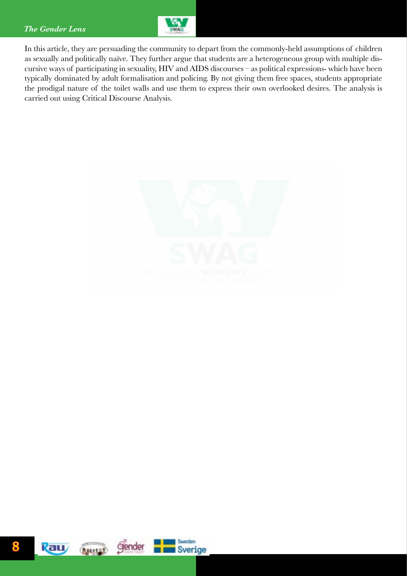### *The Gender Lens*



In this article, they are persuading the community to depart from the commonly-held assumptions of children as sexually and politically naïve. They further argue that students are a heterogeneous group with multiple discursive ways of participating in sexuality, HIV and AIDS discourses – as political expressions- which have been typically dominated by adult formalisation and policing. By not giving them free spaces, students appropriate the prodigal nature of the toilet walls and use them to express their own overlooked desires. The analysis is carried out using Critical Discourse Analysis.



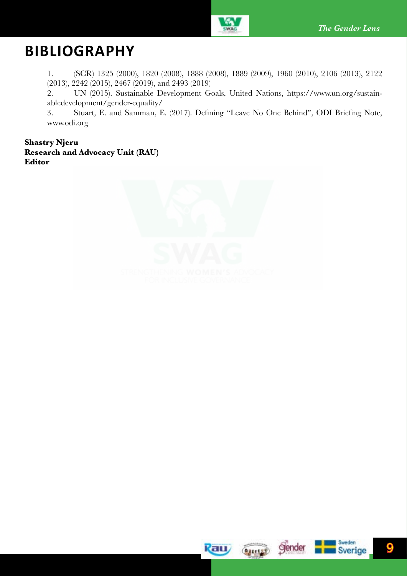

# **BIBLIOGRAPHY**

1. (SCR) 1325 (2000), 1820 (2008), 1888 (2008), 1889 (2009), 1960 (2010), 2106 (2013), 2122 (2013), 2242 (2015), 2467 (2019), and 2493 (2019)

2. UN (2015). Sustainable Development Goals, United Nations, https://www.un.org/sustainabledevelopment/gender-equality/

3. Stuart, E. and Samman, E. (2017). Defining "Leave No One Behind", ODI Briefing Note, www.odi.org

**Shastry Njeru Research and Advocacy Unit (RAU) Editor**











**Sweden** 

Sverige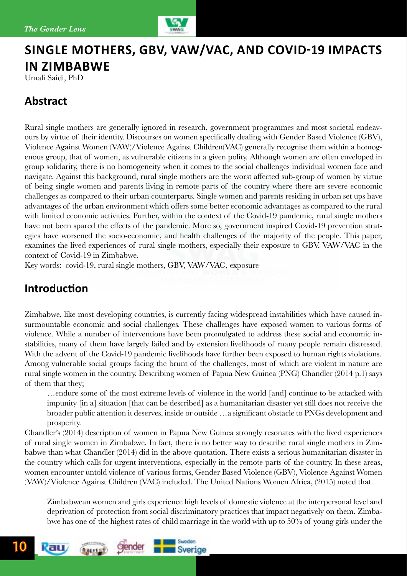

# <span id="page-9-0"></span>**SINGLE MOTHERS, GBV, VAW/VAC, AND COVID-19 IMPACTS IN ZIMBABWE**

Umali Saidi, PhD

# **Abstract**

Rural single mothers are generally ignored in research, government programmes and most societal endeavours by virtue of their identity. Discourses on women specifically dealing with Gender Based Violence (GBV), Violence Against Women (VAW)/Violence Against Children(VAC) generally recognise them within a homogenous group, that of women, as vulnerable citizens in a given polity. Although women are often enveloped in group solidarity, there is no homogeneity when it comes to the social challenges individual women face and navigate. Against this background, rural single mothers are the worst affected sub-group of women by virtue of being single women and parents living in remote parts of the country where there are severe economic challenges as compared to their urban counterparts. Single women and parents residing in urban set ups have advantages of the urban environment which offers some better economic advantages as compared to the rural with limited economic activities. Further, within the context of the Covid-19 pandemic, rural single mothers have not been spared the effects of the pandemic. More so, government inspired Covid-19 prevention strategies have worsened the socio-economic, and health challenges of the majority of the people. This paper, examines the lived experiences of rural single mothers, especially their exposure to GBV, VAW/VAC in the context of Covid-19 in Zimbabwe.

Key words: covid-19, rural single mothers, GBV, VAW/VAC, exposure

Gender

# **Introduction**

Zimbabwe, like most developing countries, is currently facing widespread instabilities which have caused insurmountable economic and social challenges. These challenges have exposed women to various forms of violence. While a number of interventions have been promulgated to address these social and economic instabilities, many of them have largely failed and by extension livelihoods of many people remain distressed. With the advent of the Covid-19 pandemic livelihoods have further been exposed to human rights violations. Among vulnerable social groups facing the brunt of the challenges, most of which are violent in nature are rural single women in the country. Describing women of Papua New Guinea (PNG) Chandler (2014 p.1) says of them that they;

…endure some of the most extreme levels of violence in the world [and] continue to be attacked with impunity [in a] situation [that can be described] as a humanitarian disaster yet still does not receive the broader public attention it deserves, inside or outside …a significant obstacle to PNGs development and prosperity.

Chandler's (2014) description of women in Papua New Guinea strongly resonates with the lived experiences of rural single women in Zimbabwe. In fact, there is no better way to describe rural single mothers in Zimbabwe than what Chandler (2014) did in the above quotation. There exists a serious humanitarian disaster in the country which calls for urgent interventions, especially in the remote parts of the country. In these areas, women encounter untold violence of various forms, Gender Based Violence (GBV), Violence Against Women (VAW)/Violence Against Children (VAC) included. The United Nations Women Africa, (2015) noted that

Sverige

Zimbabwean women and girls experience high levels of domestic violence at the interpersonal level and deprivation of protection from social discriminatory practices that impact negatively on them. Zimbabwe has one of the highest rates of child marriage in the world with up to 50% of young girls under the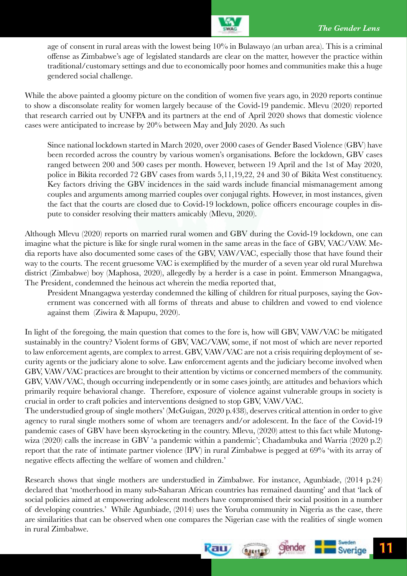age of consent in rural areas with the lowest being 10% in Bulawayo (an urban area). This is a criminal offense as Zimbabwe's age of legislated standards are clear on the matter, however the practice within traditional/customary settings and due to economically poor homes and communities make this a huge gendered social challenge.

While the above painted a gloomy picture on the condition of women five years ago, in 2020 reports continue to show a disconsolate reality for women largely because of the Covid-19 pandemic. Mlevu (2020) reported that research carried out by UNFPA and its partners at the end of April 2020 shows that domestic violence cases were anticipated to increase by 20% between May and July 2020. As such

Since national lockdown started in March 2020, over 2000 cases of Gender Based Violence (GBV) have been recorded across the country by various women's organisations. Before the lockdown, GBV cases ranged between 200 and 500 cases per month. However, between 19 April and the 1st of May 2020, police in Bikita recorded 72 GBV cases from wards 5,11,19,22, 24 and 30 of Bikita West constituency. Key factors driving the GBV incidences in the said wards include financial mismanagement among couples and arguments among married couples over conjugal rights. However, in most instances, given the fact that the courts are closed due to Covid-19 lockdown, police officers encourage couples in dispute to consider resolving their matters amicably (Mlevu, 2020).

Although Mlevu (2020) reports on married rural women and GBV during the Covid-19 lockdown, one can imagine what the picture is like for single rural women in the same areas in the face of GBV, VAC/VAW. Media reports have also documented some cases of the GBV, VAW/VAC, especially those that have found their way to the courts. The recent gruesome VAC is exemplified by the murder of a seven year old rural Murehwa district (Zimbabwe) boy (Maphosa, 2020), allegedly by a herder is a case in point. Emmerson Mnangagwa, The President, condemned the heinous act wherein the media reported that,

President Mnangagwa yesterday condemned the killing of children for ritual purposes, saying the Government was concerned with all forms of threats and abuse to children and vowed to end violence against them (Ziwira & Mapupu, 2020).

In light of the foregoing, the main question that comes to the fore is, how will GBV, VAW/VAC be mitigated sustainably in the country? Violent forms of GBV, VAC/VAW, some, if not most of which are never reported to law enforcement agents, are complex to arrest. GBV, VAW/VAC are not a crisis requiring deployment of security agents or the judiciary alone to solve. Law enforcement agents and the judiciary become involved when GBV, VAW/VAC practices are brought to their attention by victims or concerned members of the community. GBV, VAW/VAC, though occurring independently or in some cases jointly, are attitudes and behaviors which primarily require behavioral change. Therefore, exposure of violence against vulnerable groups in society is crucial in order to craft policies and interventions designed to stop GBV, VAW/VAC.

The understudied group of single mothers' (McGuigan, 2020 p.438), deserves critical attention in order to give agency to rural single mothers some of whom are teenagers and/or adolescent. In the face of the Covid-19 pandemic cases of GBV have been skyrocketing in the country. Mlevu, (2020) attest to this fact while Mutongwiza (2020) calls the increase in GBV 'a pandemic within a pandemic'; Chadambuka and Warria (2020 p.2) report that the rate of intimate partner violence (IPV) in rural Zimbabwe is pegged at 69% 'with its array of negative effects affecting the welfare of women and children.'

Research shows that single mothers are understudied in Zimbabwe. For instance, Agunbiade, (2014 p.24) declared that 'motherhood in many sub-Saharan African countries has remained daunting' and that 'lack of social policies aimed at empowering adolescent mothers have compromised their social position in a number of developing countries.' While Agunbiade, (2014) uses the Yoruba community in Nigeria as the case, there are similarities that can be observed when one compares the Nigerian case with the realities of single women in rural Zimbabwe.



11

Sverige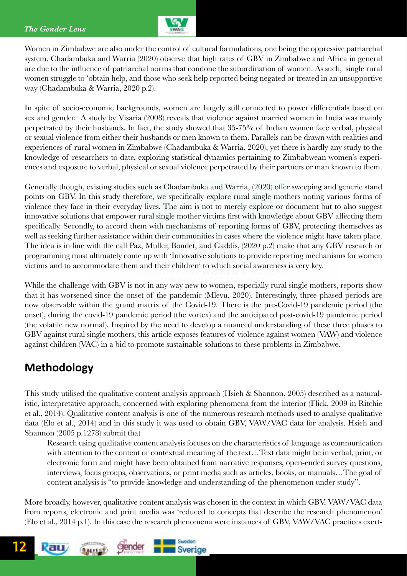### <span id="page-11-0"></span>*The Gender Lens*



Women in Zimbabwe are also under the control of cultural formulations, one being the oppressive patriarchal system. Chadambuka and Warria (2020) observe that high rates of GBV in Zimbabwe and Africa in general are due to the influence of patriarchal norms that condone the subordination of women. As such, single rural women struggle to 'obtain help, and those who seek help reported being negated or treated in an unsupportive way (Chadambuka & Warria, 2020 p.2).

In spite of socio-economic backgrounds, women are largely still connected to power differentials based on sex and gender. A study by Visaria (2008) reveals that violence against married women in India was mainly perpetrated by their husbands. In fact, the study showed that 35-75% of Indian women face verbal, physical or sexual violence from either their husbands or men known to them. Parallels can be drawn with realities and experiences of rural women in Zimbabwe (Chadambuka & Warria, 2020), yet there is hardly any study to the knowledge of researchers to date, exploring statistical dynamics pertaining to Zimbabwean women's experiences and exposure to verbal, physical or sexual violence perpetrated by their partners or man known to them.

Generally though, existing studies such as Chadambuka and Warria, (2020) offer sweeping and generic stand points on GBV. In this study therefore, we specifically explore rural single mothers noting various forms of violence they face in their everyday lives. The aim is not to merely explore or document but to also suggest innovative solutions that empower rural single mother victims first with knowledge about GBV affecting them specifically. Secondly, to accord them with mechanisms of reporting forms of GBV, protecting themselves as well as seeking further assistance within their communities in cases where the violence might have taken place. The idea is in line with the call Paz, Muller, Boudet, and Gaddis, (2020 p.2) make that any GBV research or programming must ultimately come up with 'Innovative solutions to provide reporting mechanisms for women victims and to accommodate them and their children' to which social awareness is very key.

While the challenge with GBV is not in any way new to women, especially rural single mothers, reports show that it has worsened since the onset of the pandemic (Mlevu, 2020). Interestingly, three phased periods are now observable within the grand matrix of the Covid-19. There is the pre-Covid-19 pandemic period (the onset), during the covid-19 pandemic period (the vortex) and the anticipated post-covid-19 pandemic period (the volatile new normal). Inspired by the need to develop a nuanced understanding of these three phases to GBV against rural single mothers, this article exposes features of violence against women (VAW) and violence against children (VAC) in a bid to promote sustainable solutions to these problems in Zimbabwe.

## **Methodology**

12

rau

This study utilised the qualitative content analysis approach (Hsieh & Shannon, 2005) described as a naturalistic, interpretative approach, concerned with exploring phenomena from the interior (Flick, 2009 in Ritchie et al., 2014). Qualitative content analysis is one of the numerous research methods used to analyse qualitative data (Elo et al., 2014) and in this study it was used to obtain GBV, VAW/VAC data for analysis. Hsieh and Shannon (2005 p.1278) submit that

Research using qualitative content analysis focuses on the characteristics of language as communication with attention to the content or contextual meaning of the text…Text data might be in verbal, print, or electronic form and might have been obtained from narrative responses, open-ended survey questions, interviews, focus groups, observations, or print media such as articles, books, or manuals…The goal of content analysis is "to provide knowledge and understanding of the phenomenon under study".

More broadly, however, qualitative content analysis was chosen in the context in which GBV, VAW/VAC data from reports, electronic and print media was 'reduced to concepts that describe the research phenomenon' (Elo et al., 2014 p.1). In this case the research phenomena were instances of GBV, VAW/VAC practices exert-

Sverige

Gender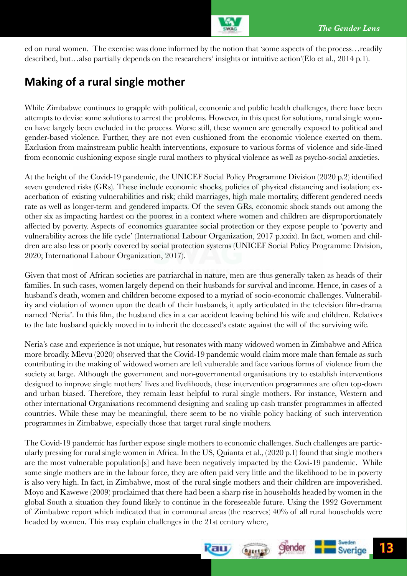<span id="page-12-0"></span>ed on rural women. The exercise was done informed by the notion that 'some aspects of the process…readily described, but…also partially depends on the researchers' insights or intuitive action'(Elo et al., 2014 p.1).

# **Making of a rural single mother**

While Zimbabwe continues to grapple with political, economic and public health challenges, there have been attempts to devise some solutions to arrest the problems. However, in this quest for solutions, rural single women have largely been excluded in the process. Worse still, these women are generally exposed to political and gender-based violence. Further, they are not even cushioned from the economic violence exerted on them. Exclusion from mainstream public health interventions, exposure to various forms of violence and side-lined from economic cushioning expose single rural mothers to physical violence as well as psycho-social anxieties.

At the height of the Covid-19 pandemic, the UNICEF Social Policy Programme Division (2020 p.2) identified seven gendered risks (GRs). These include economic shocks, policies of physical distancing and isolation; exacerbation of existing vulnerabilities and risk; child marriages, high male mortality, different gendered needs rate as well as longer-term and gendered impacts. Of the seven GRs, economic shock stands out among the other six as impacting hardest on the poorest in a context where women and children are disproportionately affected by poverty. Aspects of economics guarantee social protection or they expose people to 'poverty and vulnerability across the life cycle' (International Labour Organization, 2017 p.xxix). In fact, women and children are also less or poorly covered by social protection systems (UNICEF Social Policy Programme Division, 2020; International Labour Organization, 2017).

Given that most of African societies are patriarchal in nature, men are thus generally taken as heads of their families. In such cases, women largely depend on their husbands for survival and income. Hence, in cases of a husband's death, women and children become exposed to a myriad of socio-economic challenges. Vulnerability and violation of women upon the death of their husbands, it aptly articulated in the television film-drama named 'Neria'. In this film, the husband dies in a car accident leaving behind his wife and children. Relatives to the late husband quickly moved in to inherit the deceased's estate against the will of the surviving wife.

Neria's case and experience is not unique, but resonates with many widowed women in Zimbabwe and Africa more broadly. Mlevu (2020) observed that the Covid-19 pandemic would claim more male than female as such contributing in the making of widowed women are left vulnerable and face various forms of violence from the society at large. Although the government and non-governmental organisations try to establish interventions designed to improve single mothers' lives and livelihoods, these intervention programmes are often top-down and urban biased. Therefore, they remain least helpful to rural single mothers. For instance, Western and other international Organisations recommend designing and scaling up cash transfer programmes in affected countries. While these may be meaningful, there seem to be no visible policy backing of such intervention programmes in Zimbabwe, especially those that target rural single mothers.

The Covid-19 pandemic has further expose single mothers to economic challenges. Such challenges are particularly pressing for rural single women in Africa. In the US, Quianta et al., (2020 p.1) found that single mothers are the most vulnerable population[s] and have been negatively impacted by the Covi-19 pandemic. While some single mothers are in the labour force, they are often paid very little and the likelihood to be in poverty is also very high. In fact, in Zimbabwe, most of the rural single mothers and their children are impoverished. Moyo and Kawewe (2009) proclaimed that there had been a sharp rise in households headed by women in the global South a situation they found likely to continue in the foreseeable future. Using the 1992 Government of Zimbabwe report which indicated that in communal areas (the reserves) 40% of all rural households were headed by women. This may explain challenges in the 21st century where,



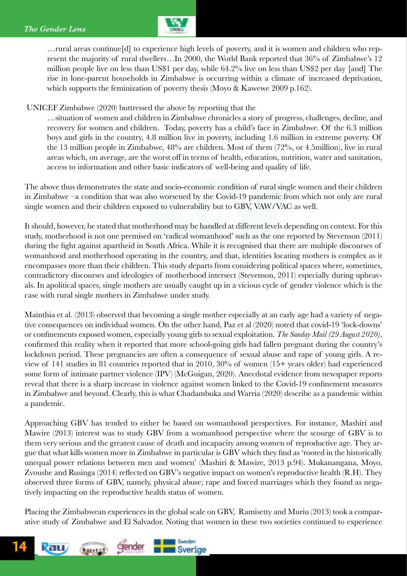rau



…rural areas continue[d] to experience high levels of poverty, and it is women and children who represent the majority of rural dwellers…In 2000, the World Bank reported that 36% of Zimbabwe's 12 million people live on less than US\$1 per day, while 64.2% live on less than US\$2 per day [and] The rise in lone-parent households in Zimbabwe is occurring within a climate of increased deprivation, which supports the feminization of poverty thesis (Moyo & Kawewe 2009 p.162).

### UNICEF Zimbabwe (2020) buttressed the above by reporting that the

…situation of women and children in Zimbabwe chronicles a story of progress, challenges, decline, and recovery for women and children. Today, poverty has a child's face in Zimbabwe. Of the 6.3 million boys and girls in the country, 4.8 million live in poverty, including 1.6 million in extreme poverty. Of the 13 million people in Zimbabwe, 48% are children. Most of them (72%, or 4.5million), live in rural areas which, on average, are the worst off in terms of health, education, nutrition, water and sanitation, access to information and other basic indicators of well-being and quality of life.

The above thus demonstrates the state and socio-economic condition of rural single women and their children in Zimbabwe –a condition that was also worsened by the Covid-19 pandemic from which not only are rural single women and their children exposed to vulnerability but to GBV, VAW/VAC as well.

It should, however, be stated that motherhood may be handled at different levels depending on context. For this study, motherhood is not one premised on 'radical womanhood' such as the one reported by Stevenson (2011) during the fight against apartheid in South Africa. While it is recognised that there are multiple discourses of womanhood and motherhood operating in the country, and that, identities locating mothers is complex as it encompasses more than their children. This study departs from considering political spaces where, sometimes, contradictory discourses and ideologies of motherhood intersect (Stevenson, 2011) especially during upheavals. In apolitical spaces, single mothers are usually caught up in a vicious cycle of gender violence which is the case with rural single mothers in Zimbabwe under study.

Mainthia et al. (2013) observed that becoming a single mother especially at an early age had a variety of negative consequences on individual women. On the other hand, Paz et al (2020) noted that covid-19 'lock-downs' or confinements exposed women, especially young girls to sexual exploitation. *The Sunday Mail (29 August 2020)*, confirmed this reality when it reported that more school-going girls had fallen pregnant during the country's lockdown period. These pregnancies are often a consequence of sexual abuse and rape of young girls. A review of 141 studies in 81 countries reported that in 2010, 30% of women (15+ years older) had experienced some form of intimate partner violence (IPV) (McGuigan, 2020). Anecdotal evidence from newspaper reports reveal that there is a sharp increase in violence against women linked to the Covid-19 confinement measures in Zimbabwe and beyond. Clearly, this is what Chadambuka and Warria (2020) describe as a pandemic within a pandemic.

Approaching GBV has tended to either be based on womanhood perspectives. For instance, Mashiri and Mawire (2013) interest was to study GBV from a womanhood perspective where the scourge of GBV is to them very serious and the greatest cause of death and incapacity among women of reproductive age. They argue that what kills women more in Zimbabwe in particular is GBV which they find as 'rooted in the historically unequal power relations between men and women' (Mashiri & Mawire, 2013 p.94). Mukanangana, Moyo, Zvoushe and Rusinga (2014) reflected on GBV's negative impact on women's reproductive health (R.H). They observed three forms of GBV, namely, physical abuse; rape and forced marriages which they found as negatively impacting on the reproductive health status of women.

Placing the Zimbabwean experiences in the global scale on GBV, Ramisetty and Muriu (2013) took a comparative study of Zimbabwe and El Salvador. Noting that women in these two societies continued to experience

Sverige

Gender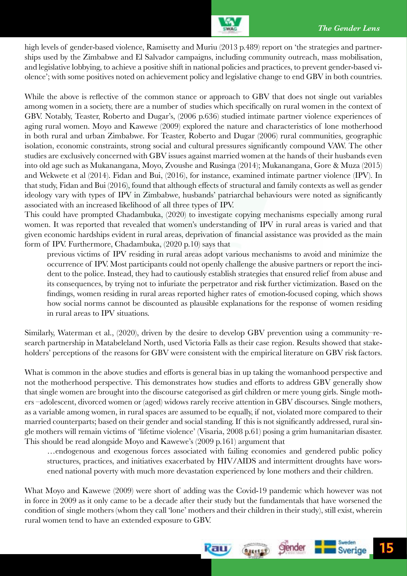Giender

high levels of gender-based violence, Ramisetty and Muriu (2013 p.489) report on 'the strategies and partnerships used by the Zimbabwe and El Salvador campaigns, including community outreach, mass mobilisation, and legislative lobbying, to achieve a positive shift in national policies and practices, to prevent gender-based violence'; with some positives noted on achievement policy and legislative change to end GBV in both countries.

While the above is reflective of the common stance or approach to GBV that does not single out variables among women in a society, there are a number of studies which specifically on rural women in the context of GBV. Notably, Teaster, Roberto and Dugar's, (2006 p.636) studied intimate partner violence experiences of aging rural women. Moyo and Kawewe (2009) explored the nature and characteristics of lone motherhood in both rural and urban Zimbabwe. For Teaster, Roberto and Dugar (2006) rural communities, geographic isolation, economic constraints, strong social and cultural pressures significantly compound VAW. The other studies are exclusively concerned with GBV issues against married women at the hands of their husbands even into old age such as Mukanangana, Moyo, Zvoushe and Rusinga (2014); Mukanangana, Gore & Muza (2015) and Wekwete et al (2014). Fidan and Bui, (2016), for instance, examined intimate partner violence (IPV). In that study, Fidan and Bui (2016), found that although effects of structural and family contexts as well as gender ideology vary with types of IPV in Zimbabwe, husbands' patriarchal behaviours were noted as significantly associated with an increased likelihood of all three types of IPV.

This could have prompted Chadambuka, (2020) to investigate copying mechanisms especially among rural women. It was reported that revealed that women's understanding of IPV in rural areas is varied and that given economic hardships evident in rural areas, deprivation of financial assistance was provided as the main form of IPV. Furthermore, Chadambuka, (2020 p.10) says that

previous victims of IPV residing in rural areas adopt various mechanisms to avoid and minimize the occurrence of IPV. Most participants could not openly challenge the abusive partners or report the incident to the police. Instead, they had to cautiously establish strategies that ensured relief from abuse and its consequences, by trying not to infuriate the perpetrator and risk further victimization. Based on the findings, women residing in rural areas reported higher rates of emotion-focused coping, which shows how social norms cannot be discounted as plausible explanations for the response of women residing in rural areas to IPV situations.

Similarly, Waterman et al., (2020), driven by the desire to develop GBV prevention using a community–research partnership in Matabeleland North, used Victoria Falls as their case region. Results showed that stakeholders' perceptions of the reasons for GBV were consistent with the empirical literature on GBV risk factors.

What is common in the above studies and efforts is general bias in up taking the womanhood perspective and not the motherhood perspective. This demonstrates how studies and efforts to address GBV generally show that single women are brought into the discourse categorised as girl children or mere young girls. Single mothers –adolescent, divorced women or (aged) widows rarely receive attention in GBV discourses. Single mothers, as a variable among women, in rural spaces are assumed to be equally, if not, violated more compared to their married counterparts; based on their gender and social standing. If this is not significantly addressed, rural single mothers will remain victims of 'lifetime violence' (Visaria, 2008 p.61) posing a grim humanitarian disaster. This should be read alongside Moyo and Kawewe's (2009 p.161) argument that

…endogenous and exogenous forces associated with failing economies and gendered public policy structures, practices, and initiatives exacerbated by HIV/AIDS and intermittent droughts have worsened national poverty with much more devastation experienced by lone mothers and their children.

kau

What Moyo and Kawewe (2009) were short of adding was the Covid-19 pandemic which however was not in force in 2009 as it only came to be a decade after their study but the fundamentals that have worsened the condition of single mothers (whom they call 'lone' mothers and their children in their study), still exist, wherein rural women tend to have an extended exposure to GBV.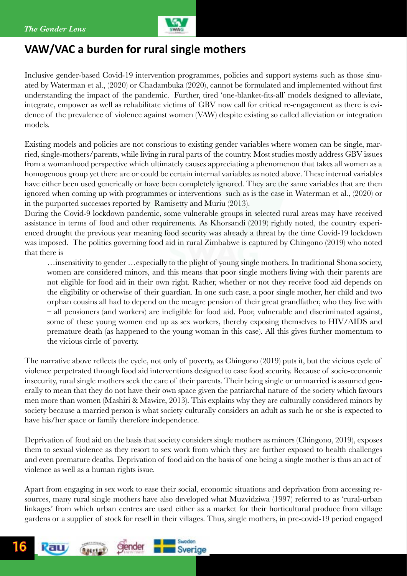#### <span id="page-15-0"></span>*The Gender Lens*



# **VAW/VAC a burden for rural single mothers**

Inclusive gender-based Covid-19 intervention programmes, policies and support systems such as those sinuated by Waterman et al., (2020) or Chadambuka (2020), cannot be formulated and implemented without first understanding the impact of the pandemic. Further, tired 'one-blanket-fits-all' models designed to alleviate, integrate, empower as well as rehabilitate victims of GBV now call for critical re-engagement as there is evidence of the prevalence of violence against women (VAW) despite existing so called alleviation or integration models.

Existing models and policies are not conscious to existing gender variables where women can be single, married, single-mothers/parents, while living in rural parts of the country. Most studies mostly address GBV issues from a womanhood perspective which ultimately causes appreciating a phenomenon that takes all women as a homogenous group yet there are or could be certain internal variables as noted above. These internal variables have either been used generically or have been completely ignored. They are the same variables that are then ignored when coming up with programmes or interventions such as is the case in Waterman et al., (2020) or in the purported successes reported by Ramisetty and Muriu (2013).

During the Covid-9 lockdown pandemic, some vulnerable groups in selected rural areas may have received assistance in terms of food and other requirements. As Khorsandi (2019) rightly noted, the country experienced drought the previous year meaning food security was already a threat by the time Covid-19 lockdown was imposed. The politics governing food aid in rural Zimbabwe is captured by Chingono (2019) who noted that there is

…insensitivity to gender …especially to the plight of young single mothers. In traditional Shona society, women are considered minors, and this means that poor single mothers living with their parents are not eligible for food aid in their own right. Rather, whether or not they receive food aid depends on the eligibility or otherwise of their guardian. In one such case, a poor single mother, her child and two orphan cousins all had to depend on the meagre pension of their great grandfather, who they live with – all pensioners (and workers) are ineligible for food aid. Poor, vulnerable and discriminated against, some of these young women end up as sex workers, thereby exposing themselves to HIV/AIDS and premature death (as happened to the young woman in this case). All this gives further momentum to the vicious circle of poverty.

The narrative above reflects the cycle, not only of poverty, as Chingono (2019) puts it, but the vicious cycle of violence perpetrated through food aid interventions designed to ease food security. Because of socio-economic insecurity, rural single mothers seek the care of their parents. Their being single or unmarried is assumed generally to mean that they do not have their own space given the patriarchal nature of the society which favours men more than women (Mashiri & Mawire, 2013). This explains why they are culturally considered minors by society because a married person is what society culturally considers an adult as such he or she is expected to have his/her space or family therefore independence.

Deprivation of food aid on the basis that society considers single mothers as minors (Chingono, 2019), exposes them to sexual violence as they resort to sex work from which they are further exposed to health challenges and even premature deaths. Deprivation of food aid on the basis of one being a single mother is thus an act of violence as well as a human rights issue.

Apart from engaging in sex work to ease their social, economic situations and deprivation from accessing resources, many rural single mothers have also developed what Muzvidziwa (1997) referred to as 'rural-urban linkages' from which urban centres are used either as a market for their horticultural produce from village gardens or a supplier of stock for resell in their villages. Thus, single mothers, in pre-covid-19 period engaged

Sverige

Gender

rau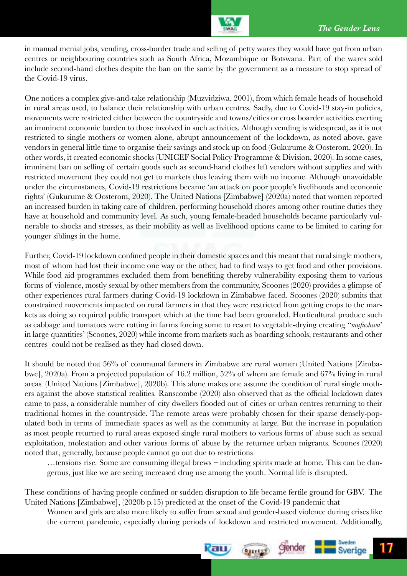in manual menial jobs, vending, cross-border trade and selling of petty wares they would have got from urban centres or neighbouring countries such as South Africa, Mozambique or Botswana. Part of the wares sold include second-hand clothes despite the ban on the same by the government as a measure to stop spread of the Covid-19 virus.

One notices a complex give-and-take relationship (Muzvidziwa, 2001), from which female heads of household in rural areas used, to balance their relationship with urban centres. Sadly, due to Covid-19 stay-in policies, movements were restricted either between the countryside and towns/cities or cross boarder activities exerting an imminent economic burden to those involved in such activities. Although vending is widespread, as it is not restricted to single mothers or women alone, abrupt announcement of the lockdown, as noted above, gave vendors in general little time to organise their savings and stock up on food (Gukurume & Oosterom, 2020). In other words, it created economic shocks (UNICEF Social Policy Programme & Division, 2020). In some cases, imminent ban on selling of certain goods such as second-hand clothes left vendors without supplies and with restricted movement they could not get to markets thus leaving them with no income. Although unavoidable under the circumstances, Covid-19 restrictions became 'an attack on poor people's livelihoods and economic rights' (Gukurume & Oosterom, 2020). The United Nations [Zimbabwe] (2020a) noted that women reported an increased burden in taking care of children, performing household chores among other routine duties they have at household and community level. As such, young female-headed households became particularly vulnerable to shocks and stresses, as their mobility as well as livelihood options came to be limited to caring for younger siblings in the home.

Further, Covid-19 lockdown confined people in their domestic spaces and this meant that rural single mothers, most of whom had lost their income one way or the other, had to find ways to get food and other provisions. While food aid programmes excluded them from benefiting thereby vulnerability exposing them to various forms of violence, mostly sexual by other members from the community, Scoones (2020) provides a glimpse of other experiences rural farmers during Covid-19 lockdown in Zimbabwe faced. Scoones (2020) submits that constrained movements impacted on rural farmers in that they were restricted from getting crops to the markets as doing so required public transport which at the time had been grounded. Horticultural produce such as cabbage and tomatoes were rotting in farms forcing some to resort to vegetable-drying creating ''*mufushwa*' in large quantities' (Scoones, 2020) while income from markets such as boarding schools, restaurants and other centres could not be realised as they had closed down.

It should be noted that 56% of communal farmers in Zimbabwe are rural women (United Nations [Zimbabwe], 2020a). From a projected population of 16.2 million, 52% of whom are female and 67% living in rural areas (United Nations [Zimbabwe], 2020b). This alone makes one assume the condition of rural single mothers against the above statistical realities. Ranscombe (2020) also observed that as the official lockdown dates came to pass, a considerable number of city dwellers flooded out of cities or urban centres returning to their traditional homes in the countryside. The remote areas were probably chosen for their sparse densely-populated both in terms of immediate spaces as well as the community at large. But the increase in population as most people returned to rural areas exposed single rural mothers to various forms of abuse such as sexual exploitation, molestation and other various forms of abuse by the returnee urban migrants. Scoones (2020) noted that, generally, because people cannot go out due to restrictions

…tensions rise. Some are consuming illegal brews – including spirits made at home. This can be dangerous, just like we are seeing increased drug use among the youth. Normal life is disrupted.

These conditions of having people confined or sudden disruption to life became fertile ground for GBV. The United Nations [Zimbabwe], (2020b p.15) predicted at the onset of the Covid-19 pandemic that

Women and girls are also more likely to suffer from sexual and gender-based violence during crises like the current pandemic, especially during periods of lockdown and restricted movement. Additionally,



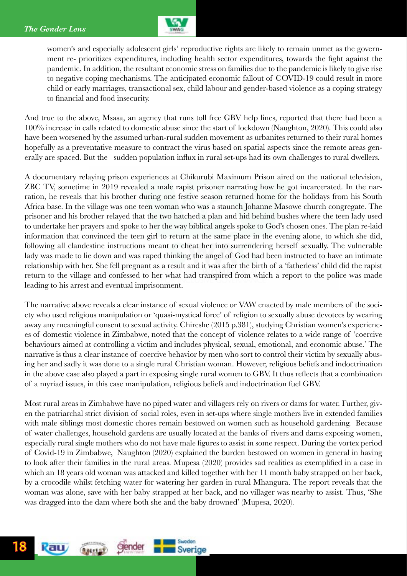

<span id="page-17-0"></span>women's and especially adolescent girls' reproductive rights are likely to remain unmet as the government re- prioritizes expenditures, including health sector expenditures, towards the fight against the pandemic. In addition, the resultant economic stress on families due to the pandemic is likely to give rise to negative coping mechanisms. The anticipated economic fallout of COVID-19 could result in more child or early marriages, transactional sex, child labour and gender-based violence as a coping strategy to financial and food insecurity.

And true to the above, Msasa, an agency that runs toll free GBV help lines, reported that there had been a 100% increase in calls related to domestic abuse since the start of lockdown (Naughton, 2020). This could also have been worsened by the assumed urban-rural sudden movement as urbanites returned to their rural homes hopefully as a preventative measure to contract the virus based on spatial aspects since the remote areas generally are spaced. But the sudden population influx in rural set-ups had its own challenges to rural dwellers.

A documentary relaying prison experiences at Chikurubi Maximum Prison aired on the national television, ZBC TV, sometime in 2019 revealed a male rapist prisoner narrating how he got incarcerated. In the narration, he reveals that his brother during one festive season returned home for the holidays from his South Africa base. In the village was one teen woman who was a staunch Johanne Masowe church congregate. The prisoner and his brother relayed that the two hatched a plan and hid behind bushes where the teen lady used to undertake her prayers and spoke to her the way biblical angels spoke to God's chosen ones. The plan re-laid information that convinced the teen girl to return at the same place in the evening alone, to which she did, following all clandestine instructions meant to cheat her into surrendering herself sexually. The vulnerable lady was made to lie down and was raped thinking the angel of God had been instructed to have an intimate relationship with her. She fell pregnant as a result and it was after the birth of a 'fatherless' child did the rapist return to the village and confessed to her what had transpired from which a report to the police was made leading to his arrest and eventual imprisonment.

The narrative above reveals a clear instance of sexual violence or VAW enacted by male members of the society who used religious manipulation or 'quasi-mystical force' of religion to sexually abuse devotees by wearing away any meaningful consent to sexual activity. Chireshe (2015 p.381), studying Christian women's experiences of domestic violence in Zimbabwe, noted that the concept of violence relates to a wide range of 'coercive behaviours aimed at controlling a victim and includes physical, sexual, emotional, and economic abuse.' The narrative is thus a clear instance of coercive behavior by men who sort to control their victim by sexually abusing her and sadly it was done to a single rural Christian woman. However, religious beliefs and indoctrination in the above case also played a part in exposing single rural women to GBV. It thus reflects that a combination of a myriad issues, in this case manipulation, religious beliefs and indoctrination fuel GBV.

Most rural areas in Zimbabwe have no piped water and villagers rely on rivers or dams for water. Further, given the patriarchal strict division of social roles, even in set-ups where single mothers live in extended families with male siblings most domestic chores remain bestowed on women such as household gardening. Because of water challenges, household gardens are usually located at the banks of rivers and dams exposing women, especially rural single mothers who do not have male figures to assist in some respect. During the vortex period of Covid-19 in Zimbabwe, Naughton (2020) explained the burden bestowed on women in general in having to look after their families in the rural areas. Mupesa (2020) provides sad realities as exemplified in a case in which an 18 years old woman was attacked and killed together with her 11 month baby strapped on her back, by a crocodile whilst fetching water for watering her garden in rural Mhangura. The report reveals that the woman was alone, save with her baby strapped at her back, and no villager was nearby to assist. Thus, 'She was dragged into the dam where both she and the baby drowned' (Mupesa, 2020).

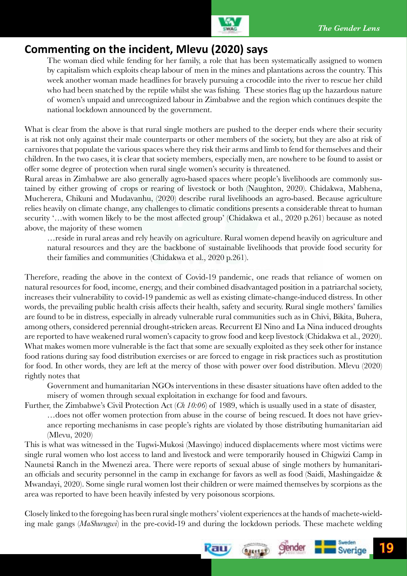Sverige

# **Commenting on the incident, Mlevu (2020) says**

The woman died while fending for her family, a role that has been systematically assigned to women by capitalism which exploits cheap labour of men in the mines and plantations across the country. This week another woman made headlines for bravely pursuing a crocodile into the river to rescue her child who had been snatched by the reptile whilst she was fishing. These stories flag up the hazardous nature of women's unpaid and unrecognized labour in Zimbabwe and the region which continues despite the national lockdown announced by the government.

What is clear from the above is that rural single mothers are pushed to the deeper ends where their security is at risk not only against their male counterparts or other members of the society, but they are also at risk of carnivores that populate the various spaces where they risk their arms and limb to fend for themselves and their children. In the two cases, it is clear that society members, especially men, are nowhere to be found to assist or offer some degree of protection when rural single women's security is threatened.

Rural areas in Zimbabwe are also generally agro-based spaces where people's livelihoods are commonly sustained by either growing of crops or rearing of livestock or both (Naughton, 2020). Chidakwa, Mabhena, Mucherera, Chikuni and Mudavanhu, (2020) describe rural livelihoods an agro-based. Because agriculture relies heavily on climate change, any challenges to climatic conditions presents a considerable threat to human security '…with women likely to be the most affected group' (Chidakwa et al., 2020 p.261) because as noted above, the majority of these women

…reside in rural areas and rely heavily on agriculture. Rural women depend heavily on agriculture and natural resources and they are the backbone of sustainable livelihoods that provide food security for their families and communities (Chidakwa et al., 2020 p.261).

Therefore, reading the above in the context of Covid-19 pandemic, one reads that reliance of women on natural resources for food, income, energy, and their combined disadvantaged position in a patriarchal society, increases their vulnerability to covid-19 pandemic as well as existing climate-change-induced distress. In other words, the prevailing public health crisis affects their health, safety and security. Rural single mothers' families are found to be in distress, especially in already vulnerable rural communities such as in Chivi, Bikita, Buhera, among others, considered perennial drought-stricken areas. Recurrent El Nino and La Nina induced droughts are reported to have weakened rural women's capacity to grow food and keep livestock (Chidakwa et al., 2020). What makes women more vulnerable is the fact that some are sexually exploited as they seek other for instance food rations during say food distribution exercises or are forced to engage in risk practices such as prostitution for food. In other words, they are left at the mercy of those with power over food distribution. Mlevu (2020) rightly notes that

Government and humanitarian NGOs interventions in these disaster situations have often added to the misery of women through sexual exploitation in exchange for food and favours.

Further, the Zimbabwe's Civil Protection Act (*Ch 10:06*) of 1989, which is usually used in a state of disaster,

…does not offer women protection from abuse in the course of being rescued. It does not have grievance reporting mechanisms in case people's rights are violated by those distributing humanitarian aid (Mlevu, 2020)

This is what was witnessed in the Tugwi-Mukosi (Masvingo) induced displacements where most victims were single rural women who lost access to land and livestock and were temporarily housed in Chigwizi Camp in Naunetsi Ranch in the Mwenezi area. There were reports of sexual abuse of single mothers by humanitarian officials and security personnel in the camp in exchange for favors as well as food (Saidi, Mashingaidze & Mwandayi, 2020). Some single rural women lost their children or were maimed themselves by scorpions as the area was reported to have been heavily infested by very poisonous scorpions.

Closely linked to the foregoing has been rural single mothers' violent experiences at the hands of machete-wielding male gangs (*MaShurugwi*) in the pre-covid-19 and during the lockdown periods. These machete welding

Kau

Clender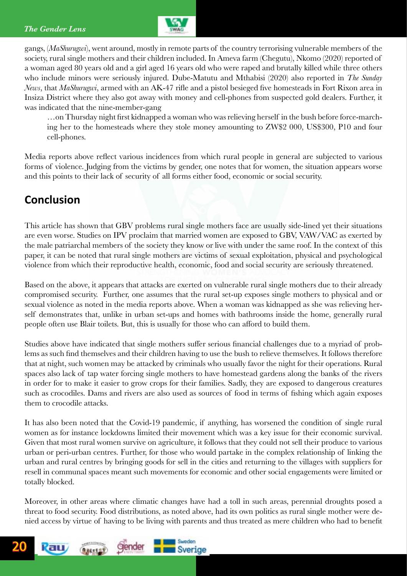### <span id="page-19-0"></span>*The Gender Lens*



gangs, (*MaShurugwi*), went around, mostly in remote parts of the country terrorising vulnerable members of the society, rural single mothers and their children included. In Ameva farm (Chegutu), Nkomo (2020) reported of a woman aged 80 years old and a girl aged 16 years old who were raped and brutally killed while three others who include minors were seriously injured. Dube-Matutu and Mthabisi (2020) also reported in *The Sunday News*, that *MaShurugwi*, armed with an AK-47 rifle and a pistol besieged five homesteads in Fort Rixon area in Insiza District where they also got away with money and cell-phones from suspected gold dealers. Further, it was indicated that the nine-member-gang

…on Thursday night first kidnapped a woman who was relieving herself in the bush before force-marching her to the homesteads where they stole money amounting to ZW\$2 000, US\$300, P10 and four cell-phones.

Media reports above reflect various incidences from which rural people in general are subjected to various forms of violence. Judging from the victims by gender, one notes that for women, the situation appears worse and this points to their lack of security of all forms either food, economic or social security.

# **Conclusion**

This article has shown that GBV problems rural single mothers face are usually side-lined yet their situations are even worse. Studies on IPV proclaim that married women are exposed to GBV, VAW/VAC as exerted by the male patriarchal members of the society they know or live with under the same roof. In the context of this paper, it can be noted that rural single mothers are victims of sexual exploitation, physical and psychological violence from which their reproductive health, economic, food and social security are seriously threatened.

Based on the above, it appears that attacks are exerted on vulnerable rural single mothers due to their already compromised security. Further, one assumes that the rural set-up exposes single mothers to physical and or sexual violence as noted in the media reports above. When a woman was kidnapped as she was relieving herself demonstrates that, unlike in urban set-ups and homes with bathrooms inside the home, generally rural people often use Blair toilets. But, this is usually for those who can afford to build them.

Studies above have indicated that single mothers suffer serious financial challenges due to a myriad of problems as such find themselves and their children having to use the bush to relieve themselves. It follows therefore that at night, such women may be attacked by criminals who usually favor the night for their operations. Rural spaces also lack of tap water forcing single mothers to have homestead gardens along the banks of the rivers in order for to make it easier to grow crops for their families. Sadly, they are exposed to dangerous creatures such as crocodiles. Dams and rivers are also used as sources of food in terms of fishing which again exposes them to crocodile attacks.

It has also been noted that the Covid-19 pandemic, if anything, has worsened the condition of single rural women as for instance lockdowns limited their movement which was a key issue for their economic survival. Given that most rural women survive on agriculture, it follows that they could not sell their produce to various urban or peri-urban centres. Further, for those who would partake in the complex relationship of linking the urban and rural centres by bringing goods for sell in the cities and returning to the villages with suppliers for resell in communal spaces meant such movements for economic and other social engagements were limited or totally blocked.

Moreover, in other areas where climatic changes have had a toll in such areas, perennial droughts posed a threat to food security. Food distributions, as noted above, had its own politics as rural single mother were denied access by virtue of having to be living with parents and thus treated as mere children who had to benefit

Sverige

Gender

rau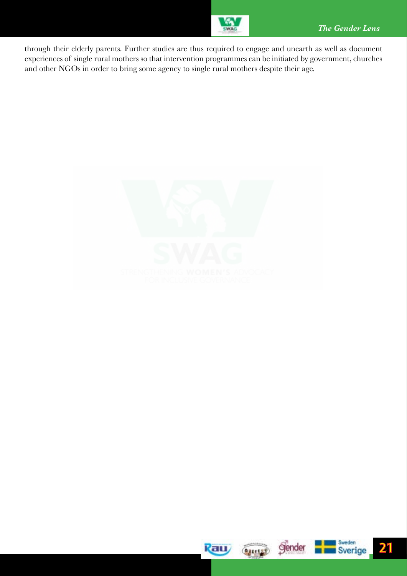through their elderly parents. Further studies are thus required to engage and unearth as well as document experiences of single rural mothers so that intervention programmes can be initiated by government, churches and other NGOs in order to bring some agency to single rural mothers despite their age.











21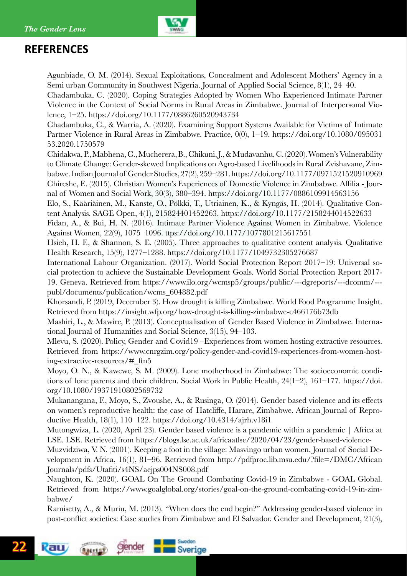

## <span id="page-21-0"></span>**REFERENCES**

Agunbiade, O. M. (2014). Sexual Exploitations, Concealment and Adolescent Mothers' Agency in a Semi urban Community in Southwest Nigeria. Journal of Applied Social Science, 8(1), 24–40.

Chadambuka, C. (2020). Coping Strategies Adopted by Women Who Experienced Intimate Partner Violence in the Context of Social Norms in Rural Areas in Zimbabwe. Journal of Interpersonal Violence, 1–25. https://doi.org/10.1177/0886260520943734

Chadambuka, C., & Warria, A. (2020). Examining Support Systems Available for Victims of Intimate Partner Violence in Rural Areas in Zimbabwe. Practice, 0(0), 1–19. https://doi.org/10.1080/095031 53.2020.1750579

Chidakwa, P., Mabhena, C., Mucherera, B., Chikuni, J., & Mudavanhu, C. (2020). Women's Vulnerability to Climate Change: Gender-skewed Implications on Agro-based Livelihoods in Rural Zvishavane, Zimbabwe. Indian Journal of Gender Studies, 27(2), 259–281. https://doi.org/10.1177/0971521520910969 Chireshe, E. (2015). Christian Women's Experiences of Domestic Violence in Zimbabwe. Affilia - Journal of Women and Social Work, 30(3), 380–394. https://doi.org/10.1177/0886109914563156

Elo, S., Kääriäinen, M., Kanste, O., Pölkki, T., Utriainen, K., & Kyngäs, H. (2014). Qualitative Content Analysis. SAGE Open, 4(1), 215824401452263. https://doi.org/10.1177/2158244014522633

Fidan, A., & Bui, H. N. (2016). Intimate Partner Violence Against Women in Zimbabwe. Violence Against Women, 22(9), 1075–1096. ttps://doi.org/10.1177/1077801215617551

Hsieh, H. F., & Shannon, S. E. (2005). Three approaches to qualitative content analysis. Qualitative Health Research, 15(9), 1277–1288. https://doi.org/10.1177/1049732305276687

International Labour Organization. (2017). World Social Protection Report 2017–19: Universal social protection to achieve the Sustainable Development Goals. World Social Protection Report 2017- 19. Geneva. Retrieved from https://www.ilo.org/wcmsp5/groups/public/---dgreports/---dcomm/-- publ/documents/publication/wcms\_604882.pdf

Khorsandi, P. (2019, December 3). How drought is killing Zimbabwe. World Food Programme Insight. Retrieved from https://insight.wfp.org/how-drought-is-killing-zimbabwe-c466176b73db

Mashiri, L., & Mawire, P. (2013). Conceptualisation of Gender Based Violence in Zimbabwe. International Journal of Humanities and Social Science, 3(15), 94–103.

Mlevu, S. (2020). Policy, Gender and Covid19 –Experiences from women hosting extractive resources. Retrieved from https://www.cnrgzim.org/policy-gender-and-covid19-experiences-from-women-hosting-extractive-resources/#\_ftn5

Moyo, O. N., & Kawewe, S. M. (2009). Lone motherhood in Zimbabwe: The socioeconomic conditions of lone parents and their children. Social Work in Public Health, 24(1–2), 161–177. https://doi. org/10.1080/19371910802569732

Mukanangana, F., Moyo, S., Zvoushe, A., & Rusinga, O. (2014). Gender based violence and its effects on women's reproductive health: the case of Hatcliffe, Harare, Zimbabwe. African Journal of Reproductive Health, 18(1), 110–122. https://doi.org/10.4314/ajrh.v18i1

Mutongwiza, L. (2020, April 23). Gender based violence is a pandemic within a pandemic | Africa at LSE. LSE. Retrieved from https://blogs.lse.ac.uk/africaatlse/2020/04/23/gender-based-violence-

Muzvidziwa, V. N. (2001). Keeping a foot in the village: Masvingo urban women. Journal of Social Development in Africa, 16(1), 81–96. Retrieved from http://pdfproc.lib.msu.edu/?file=/DMC/African Journals/pdfs/Utafiti/s4NS/aejps004NS008.pdf

Naughton, K. (2020). GOAL On The Ground Combating Covid-19 in Zimbabwe - GOAL Global. Retrieved from https://www.goalglobal.org/stories/goal-on-the-ground-combating-covid-19-in-zimbabwe/

Ramisetty, A., & Muriu, M. (2013). "When does the end begin?" Addressing gender-based violence in post-conflict societies: Case studies from Zimbabwe and El Salvador. Gender and Development, 21(3),

Sweden

Sverige

Gender

kau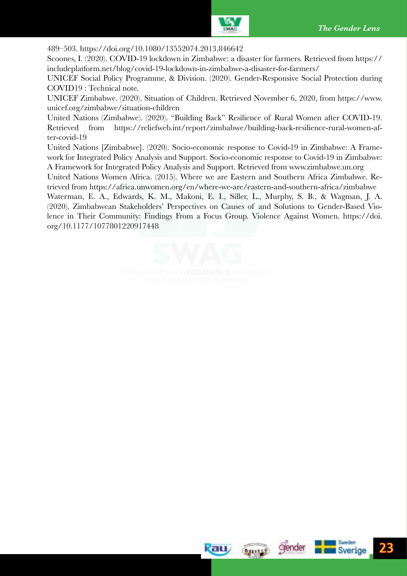

489–503. https://doi.org/10.1080/13552074.2013.846642

Scoones, I. (2020). COVID-19 lockdown in Zimbabwe: a disaster for farmers. Retrieved from https:// includeplatform.net/blog/covid-19-lockdown-in-zimbabwe-a-disaster-for-farmers/

UNICEF Social Policy Programme, & Division. (2020). Gender-Responsive Social Protection during COVID19 : Technical note.

UNICEF Zimbabwe. (2020). Situation of Children. Retrieved November 6, 2020, from https://www. unicef.org/zimbabwe/situation-children

United Nations (Zimbabwe). (2020). "Building Back" Resilience of Rural Women after COVID-19. Retrieved from https://reliefweb.int/report/zimbabwe/building-back-resilience-rural-women-after-covid-19

United Nations [Zimbabwe]. (2020). Socio-economic response to Covid-19 in Zimbabwe: A Framework for Integrated Policy Analysis and Support. Socio-economic response to Covid-19 in Zimbabwe: A Framework for Integrated Policy Analysis and Support. Retrieved from www.zimbabwe.un.org

United Nations Women Africa. (2015). Where we are Eastern and Southern Africa Zimbabwe. Retrieved from https://africa.unwomen.org/en/where-we-are/eastern-and-southern-africa/zimbabwe

Waterman, E. A., Edwards, K. M., Makoni, E. I., Siller, L., Murphy, S. B., & Wagman, J. A. (2020). Zimbabwean Stakeholders' Perspectives on Causes of and Solutions to Gender-Based Violence in Their Community: Findings From a Focus Group. Violence Against Women. https://doi. org/10.1177/1077801220917448





kau





23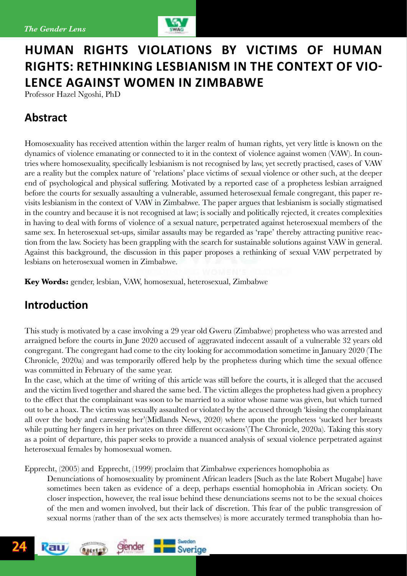

# <span id="page-23-0"></span>**HUMAN RIGHTS VIOLATIONS BY VICTIMS OF HUMAN RIGHTS: RETHINKING LESBIANISM IN THE CONTEXT OF VIO-LENCE AGAINST WOMEN IN ZIMBABWE**

Professor Hazel Ngoshi, PhD

# **Abstract**

Homosexuality has received attention within the larger realm of human rights, yet very little is known on the dynamics of violence emanating or connected to it in the context of violence against women (VAW). In countries where homosexuality, specifically lesbianism is not recognised by law, yet secretly practised, cases of VAW are a reality but the complex nature of 'relations' place victims of sexual violence or other such, at the deeper end of psychological and physical suffering. Motivated by a reported case of a prophetess lesbian arraigned before the courts for sexually assaulting a vulnerable, assumed heterosexual female congregant, this paper revisits lesbianism in the context of VAW in Zimbabwe. The paper argues that lesbianism is socially stigmatised in the country and because it is not recognised at law; is socially and politically rejected, it creates complexities in having to deal with forms of violence of a sexual nature, perpetrated against heterosexual members of the same sex. In heterosexual set-ups, similar assaults may be regarded as 'rape' thereby attracting punitive reaction from the law. Society has been grappling with the search for sustainable solutions against VAW in general. Against this background, the discussion in this paper proposes a rethinking of sexual VAW perpetrated by lesbians on heterosexual women in Zimbabwe.

**Key Words:** gender, lesbian, VAW, homosexual, heterosexual, Zimbabwe

## **Introduction**

This study is motivated by a case involving a 29 year old Gweru (Zimbabwe) prophetess who was arrested and arraigned before the courts in June 2020 accused of aggravated indecent assault of a vulnerable 32 years old congregant. The congregant had come to the city looking for accommodation sometime in January 2020 (The Chronicle, 2020a) and was temporarily offered help by the prophetess during which time the sexual offence was committed in February of the same year.

In the case, which at the time of writing of this article was still before the courts, it is alleged that the accused and the victim lived together and shared the same bed. The victim alleges the prophetess had given a prophecy to the effect that the complainant was soon to be married to a suitor whose name was given, but which turned out to be a hoax. The victim was sexually assaulted or violated by the accused through 'kissing the complainant all over the body and caressing her'(Midlands News, 2020) where upon the prophetess 'sucked her breasts while putting her fingers in her privates on three different occasions'(The Chronicle, 2020a). Taking this story as a point of departure, this paper seeks to provide a nuanced analysis of sexual violence perpetrated against heterosexual females by homosexual women.

Epprecht, (2005) and Epprecht, (1999) proclaim that Zimbabwe experiences homophobia as

Sweden

Sverige

Gender

Denunciations of homosexuality by prominent African leaders [Such as the late Robert Mugabe] have sometimes been taken as evidence of a deep, perhaps essential homophobia in African society. On closer inspection, however, the real issue behind these denunciations seems not to be the sexual choices of the men and women involved, but their lack of discretion. This fear of the public transgression of sexual norms (rather than of the sex acts themselves) is more accurately termed transphobia than ho-

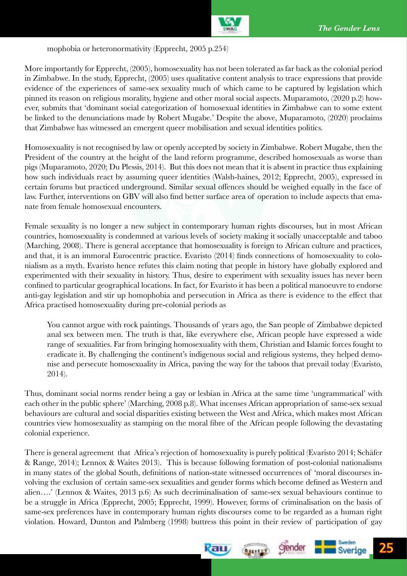Sverige

mophobia or heteronormativity (Epprecht, 2005 p.254)

More importantly for Epprecht, (2005), homosexuality has not been tolerated as far back as the colonial period in Zimbabwe. In the study, Epprecht, (2005) uses qualitative content analysis to trace expressions that provide evidence of the experiences of same-sex sexuality much of which came to be captured by legislation which pinned its reason on religious morality, hygiene and other moral social aspects. Muparamoto, (2020 p.2) however, submits that 'dominant social categorization of homosexual identities in Zimbabwe can to some extent be linked to the denunciations made by Robert Mugabe.' Despite the above, Muparamoto, (2020) proclaims that Zimbabwe has witnessed an emergent queer mobilisation and sexual identities politics.

Homosexuality is not recognised by law or openly accepted by society in Zimbabwe. Robert Mugabe, then the President of the country at the height of the land reform programme, described homosexuals as worse than pigs (Muparamoto, 2020; Du Plessis, 2014). But this does not mean that it is absent in practice thus explaining how such individuals react by assuming queer identities (Walsh-haines, 2012; Epprecht, 2005), expressed in certain forums but practiced underground. Similar sexual offences should be weighed equally in the face of law. Further, interventions on GBV will also find better surface area of operation to include aspects that emanate from female homosexual encounters.

Female sexuality is no longer a new subject in contemporary human rights discourses, but in most African countries, homosexuality is condemned at various levels of society making it socially unacceptable and taboo (Marching, 2008). There is general acceptance that homosexuality is foreign to African culture and practices, and that, it is an immoral Eurocentric practice. Evaristo (2014) finds connections of homosexuality to colonialism as a myth. Evaristo hence refutes this claim noting that people in history have globally explored and experimented with their sexuality in history. Thus, desire to experiment with sexuality issues has never been confined to particular geographical locations. In fact, for Evaristo it has been a political manoeuvre to endorse anti-gay legislation and stir up homophobia and persecution in Africa as there is evidence to the effect that Africa practised homosexuality during pre-colonial periods as

You cannot argue with rock paintings. Thousands of years ago, the San people of Zimbabwe depicted anal sex between men. The truth is that, like everywhere else, African people have expressed a wide range of sexualities. Far from bringing homosexuality with them, Christian and Islamic forces fought to eradicate it. By challenging the continent's indigenous social and religious systems, they helped demonise and persecute homosexuality in Africa, paving the way for the taboos that prevail today (Evaristo, 2014).

Thus, dominant social norms render being a gay or lesbian in Africa at the same time 'ungrammatical' with each other in the public sphere' (Marching, 2008 p.8). What incenses African appropriation of same-sex sexual behaviours are cultural and social disparities existing between the West and Africa, which makes most African countries view homosexuality as stamping on the moral fibre of the African people following the devastating colonial experience.

There is general agreement that Africa's rejection of homosexuality is purely political (Evaristo 2014; Schäfer & Range, 2014); Lennox & Waites 2013). This is because following formation of post-colonial nationalisms in many states of the global South, definitions of nation-state witnessed occurrences of 'moral discourses involving the exclusion of certain same-sex sexualities and gender forms which become defined as Western and alien….' (Lennox & Waites, 2013 p.6) As such decriminalisation of same-sex sexual behaviours continue to be a struggle in Africa (Epprecht, 2005; Epprecht, 1999). However, forms of criminalisation on the basis of same-sex preferences have in contemporary human rights discourses come to be regarded as a human right violation. Howard, Dunton and Palmberg (1998) buttress this point in their review of participation of gay



Glender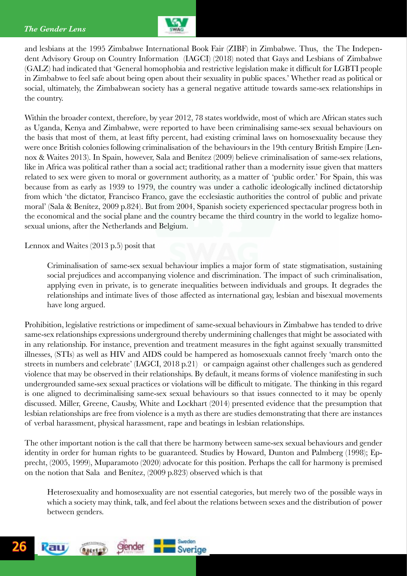

and lesbians at the 1995 Zimbabwe International Book Fair (ZIBF) in Zimbabwe. Thus, the The Independent Advisory Group on Country Information (IAGCI) (2018) noted that Gays and Lesbians of Zimbabwe (GALZ) had indicated that 'General homophobia and restrictive legislation make it difficult for LGBTI people in Zimbabwe to feel safe about being open about their sexuality in public spaces.' Whether read as political or social, ultimately, the Zimbabwean society has a general negative attitude towards same-sex relationships in the country.

Within the broader context, therefore, by year 2012, 78 states worldwide, most of which are African states such as Uganda, Kenya and Zimbabwe, were reported to have been criminalising same-sex sexual behaviours on the basis that most of them, at least fifty percent, had existing criminal laws on homosexuality because they were once British colonies following criminalisation of the behaviours in the 19th century British Empire (Lennox & Waites 2013). In Spain, however, Sala and Benítez (2009) believe criminalisation of same-sex relations, like in Africa was political rather than a social act; traditional rather than a modernity issue given that matters related to sex were given to moral or government authority, as a matter of 'public order.' For Spain, this was because from as early as 1939 to 1979, the country was under a catholic ideologically inclined dictatorship from which 'the dictator, Francisco Franco, gave the ecclesiastic authorities the control of public and private moral' (Sala & Benítez, 2009 p.824). But from 2004, Spanish society experienced spectacular progress both in the economical and the social plane and the country became the third country in the world to legalize homosexual unions, after the Netherlands and Belgium.

Lennox and Waites (2013 p.5) posit that

Criminalisation of same-sex sexual behaviour implies a major form of state stigmatisation, sustaining social prejudices and accompanying violence and discrimination. The impact of such criminalisation, applying even in private, is to generate inequalities between individuals and groups. It degrades the relationships and intimate lives of those affected as international gay, lesbian and bisexual movements have long argued.

Prohibition, legislative restrictions or impediment of same-sexual behaviours in Zimbabwe has tended to drive same-sex relationships expressions underground thereby undermining challenges that might be associated with in any relationship. For instance, prevention and treatment measures in the fight against sexually transmitted illnesses, (STIs) as well as HIV and AIDS could be hampered as homosexuals cannot freely 'march onto the streets in numbers and celebrate' (IAGCI, 2018 p.21) or campaign against other challenges such as gendered violence that may be observed in their relationships. By default, it means forms of violence manifesting in such undergrounded same-sex sexual practices or violations will be difficult to mitigate. The thinking in this regard is one aligned to decriminalising same-sex sexual behaviours so that issues connected to it may be openly discussed. Miller, Greene, Causby, White and Lockhart (2014) presented evidence that the presumption that lesbian relationships are free from violence is a myth as there are studies demonstrating that there are instances of verbal harassment, physical harassment, rape and beatings in lesbian relationships.

The other important notion is the call that there be harmony between same-sex sexual behaviours and gender identity in order for human rights to be guaranteed. Studies by Howard, Dunton and Palmberg (1998); Epprecht, (2005, 1999), Muparamoto (2020) advocate for this position. Perhaps the call for harmony is premised on the notion that Sala and Benítez, (2009 p.823) observed which is that

Heterosexuality and homosexuality are not essential categories, but merely two of the possible ways in which a society may think, talk, and feel about the relations between sexes and the distribution of power between genders.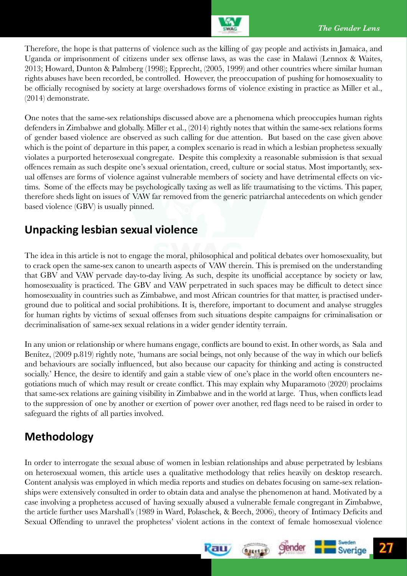<span id="page-26-0"></span>Therefore, the hope is that patterns of violence such as the killing of gay people and activists in Jamaica, and Uganda or imprisonment of citizens under sex offense laws, as was the case in Malawi (Lennox & Waites, 2013; Howard, Dunton & Palmberg (1998); Epprecht, (2005, 1999) and other countries where similar human rights abuses have been recorded, be controlled. However, the preoccupation of pushing for homosexuality to be officially recognised by society at large overshadows forms of violence existing in practice as Miller et al., (2014) demonstrate.

One notes that the same-sex relationships discussed above are a phenomena which preoccupies human rights defenders in Zimbabwe and globally. Miller et al., (2014) rightly notes that within the same-sex relations forms of gender based violence are observed as such calling for due attention. But based on the case given above which is the point of departure in this paper, a complex scenario is read in which a lesbian prophetess sexually violates a purported heterosexual congregate. Despite this complexity a reasonable submission is that sexual offences remain as such despite one's sexual orientation, creed, culture or social status. Most importantly, sexual offenses are forms of violence against vulnerable members of society and have detrimental effects on victims. Some of the effects may be psychologically taxing as well as life traumatising to the victims. This paper, therefore sheds light on issues of VAW far removed from the generic patriarchal antecedents on which gender based violence (GBV) is usually pinned.

# **Unpacking lesbian sexual violence**

The idea in this article is not to engage the moral, philosophical and political debates over homosexuality, but to crack open the same-sex canon to unearth aspects of VAW therein. This is premised on the understanding that GBV and VAW pervade day-to-day living. As such, despite its unofficial acceptance by society or law, homosexuality is practiced. The GBV and VAW perpetrated in such spaces may be difficult to detect since homosexuality in countries such as Zimbabwe, and most African countries for that matter, is practised underground due to political and social prohibitions. It is, therefore, important to document and analyse struggles for human rights by victims of sexual offenses from such situations despite campaigns for criminalisation or decriminalisation of same-sex sexual relations in a wider gender identity terrain.

In any union or relationship or where humans engage, conflicts are bound to exist. In other words, as Sala and Benítez, (2009 p.819) rightly note, 'humans are social beings, not only because of the way in which our beliefs and behaviours are socially influenced, but also because our capacity for thinking and acting is constructed socially.' Hence, the desire to identify and gain a stable view of one's place in the world often encounters negotiations much of which may result or create conflict. This may explain why Muparamoto (2020) proclaims that same-sex relations are gaining visibility in Zimbabwe and in the world at large. Thus, when conflicts lead to the suppression of one by another or exertion of power over another, red flags need to be raised in order to safeguard the rights of all parties involved.

# **Methodology**

In order to interrogate the sexual abuse of women in lesbian relationships and abuse perpetrated by lesbians on heterosexual women, this article uses a qualitative methodology that relies heavily on desktop research. Content analysis was employed in which media reports and studies on debates focusing on same-sex relationships were extensively consulted in order to obtain data and analyse the phenomenon at hand. Motivated by a case involving a prophetess accused of having sexually abused a vulnerable female congregant in Zimbabwe, the article further uses Marshall's (1989 in Ward, Polaschek, & Beech, 2006), theory of Intimacy Deficits and Sexual Offending to unravel the prophetess' violent actions in the context of female homosexual violence





Clender

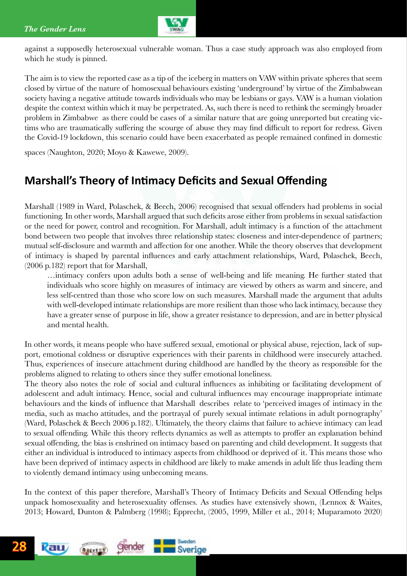

<span id="page-27-0"></span>against a supposedly heterosexual vulnerable woman. Thus a case study approach was also employed from which he study is pinned.

The aim is to view the reported case as a tip of the iceberg in matters on VAW within private spheres that seem closed by virtue of the nature of homosexual behaviours existing 'underground' by virtue of the Zimbabwean society having a negative attitude towards individuals who may be lesbians or gays. VAW is a human violation despite the context within which it may be perpetrated. As, such there is need to rethink the seemingly broader problem in Zimbabwe as there could be cases of a similar nature that are going unreported but creating victims who are traumatically suffering the scourge of abuse they may find difficult to report for redress. Given the Covid-19 lockdown, this scenario could have been exacerbated as people remained confined in domestic

spaces (Naughton, 2020; Moyo & Kawewe, 2009).

# **Marshall's Theory of Intimacy Deficits and Sexual Offending**

Marshall (1989 in Ward, Polaschek, & Beech, 2006) recognised that sexual offenders had problems in social functioning. In other words, Marshall argued that such deficits arose either from problems in sexual satisfaction or the need for power, control and recognition. For Marshall, adult intimacy is a function of the attachment bond between two people that involves three relationship states: closeness and inter-dependence of partners; mutual self-disclosure and warmth and affection for one another. While the theory observes that development of intimacy is shaped by parental influences and early attachment relationships, Ward, Polaschek, Beech, (2006 p.182) report that for Marshall,

…intimacy confers upon adults both a sense of well-being and life meaning. He further stated that individuals who score highly on measures of intimacy are viewed by others as warm and sincere, and less self-centred than those who score low on such measures. Marshall made the argument that adults with well-developed intimate relationships are more resilient than those who lack intimacy, because they have a greater sense of purpose in life, show a greater resistance to depression, and are in better physical and mental health.

In other words, it means people who have suffered sexual, emotional or physical abuse, rejection, lack of support, emotional coldness or disruptive experiences with their parents in childhood were insecurely attached. Thus, experiences of insecure attachment during childhood are handled by the theory as responsible for the problems aligned to relating to others since they suffer emotional loneliness.

The theory also notes the role of social and cultural influences as inhibiting or facilitating development of adolescent and adult intimacy. Hence, social and cultural influences may encourage inappropriate intimate behaviours and the kinds of influence that Marshall describes relate to 'perceived images of intimacy in the media, such as macho attitudes, and the portrayal of purely sexual intimate relations in adult pornography' (Ward, Polaschek & Beech 2006 p.182). Ultimately, the theory claims that failure to achieve intimacy can lead to sexual offending. While this theory reflects dynamics as well as attempts to proffer an explanation behind sexual offending, the bias is enshrined on intimacy based on parenting and child development. It suggests that either an individual is introduced to intimacy aspects from childhood or deprived of it. This means those who have been deprived of intimacy aspects in childhood are likely to make amends in adult life thus leading them to violently demand intimacy using unbecoming means.

In the context of this paper therefore, Marshall's Theory of Intimacy Deficits and Sexual Offending helps unpack homosexuality and heterosexuality offenses. As studies have extensively shown, (Lennox & Waites, 2013; Howard, Dunton & Palmberg (1998); Epprecht, (2005, 1999, Miller et al., 2014; Muparamoto 2020)

Sverige

Gender

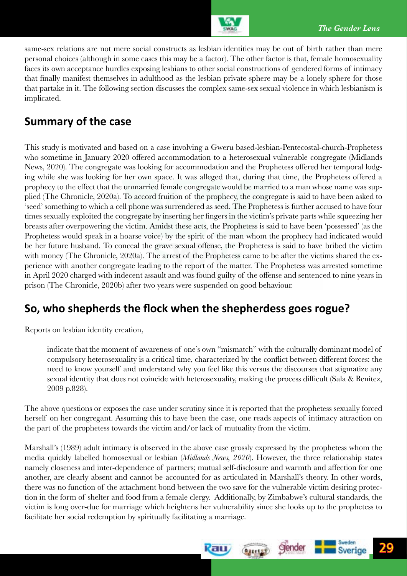

<span id="page-28-0"></span>same-sex relations are not mere social constructs as lesbian identities may be out of birth rather than mere personal choices (although in some cases this may be a factor). The other factor is that, female homosexuality faces its own acceptance hurdles exposing lesbians to other social constructions of gendered forms of intimacy that finally manifest themselves in adulthood as the lesbian private sphere may be a lonely sphere for those that partake in it. The following section discusses the complex same-sex sexual violence in which lesbianism is implicated.

### **Summary of the case**

This study is motivated and based on a case involving a Gweru based-lesbian-Pentecostal-church-Prophetess who sometime in January 2020 offered accommodation to a heterosexual vulnerable congregate (Midlands News, 2020). The congregate was looking for accommodation and the Prophetess offered her temporal lodging while she was looking for her own space. It was alleged that, during that time, the Prophetess offered a prophecy to the effect that the unmarried female congregate would be married to a man whose name was supplied (The Chronicle, 2020a). To accord fruition of the prophecy, the congregate is said to have been asked to 'seed' something to which a cell phone was surrendered as seed. The Prophetess is further accused to have four times sexually exploited the congregate by inserting her fingers in the victim's private parts while squeezing her breasts after overpowering the victim. Amidst these acts, the Prophetess is said to have been 'possessed' (as the Prophetess would speak in a hoarse voice) by the spirit of the man whom the prophecy had indicated would be her future husband. To conceal the grave sexual offense, the Prophetess is said to have bribed the victim with money (The Chronicle, 2020a). The arrest of the Prophetess came to be after the victims shared the experience with another congregate leading to the report of the matter. The Prophetess was arrested sometime in April 2020 charged with indecent assault and was found guilty of the offense and sentenced to nine years in prison (The Chronicle, 2020b) after two years were suspended on good behaviour.

# **So, who shepherds the flock when the shepherdess goes rogue?**

Reports on lesbian identity creation,

indicate that the moment of awareness of one's own "mismatch" with the culturally dominant model of compulsory heterosexuality is a critical time, characterized by the conflict between different forces: the need to know yourself and understand why you feel like this versus the discourses that stigmatize any sexual identity that does not coincide with heterosexuality, making the process difficult (Sala & Benítez, 2009 p.828).

The above questions or exposes the case under scrutiny since it is reported that the prophetess sexually forced herself on her congregant. Assuming this to have been the case, one reads aspects of intimacy attraction on the part of the prophetess towards the victim and/or lack of mutuality from the victim.

Marshall's (1989) adult intimacy is observed in the above case grossly expressed by the prophetess whom the media quickly labelled homosexual or lesbian (*Midlands News, 2020*). However, the three relationship states namely closeness and inter-dependence of partners; mutual self-disclosure and warmth and affection for one another, are clearly absent and cannot be accounted for as articulated in Marshall's theory. In other words, there was no function of the attachment bond between the two save for the vulnerable victim desiring protection in the form of shelter and food from a female clergy. Additionally, by Zimbabwe's cultural standards, the victim is long over-due for marriage which heightens her vulnerability since she looks up to the prophetess to facilitate her social redemption by spiritually facilitating a marriage.



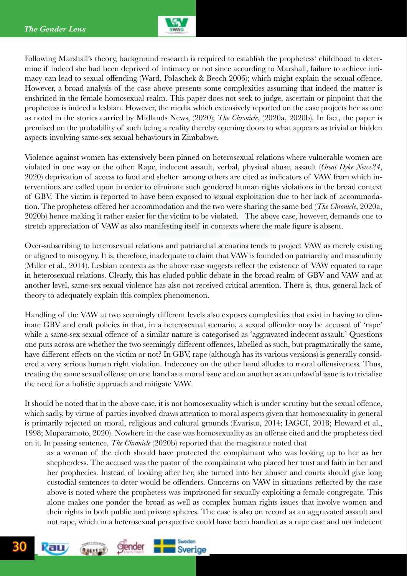

Following Marshall's theory, background research is required to establish the prophetess' childhood to determine if indeed she had been deprived of intimacy or not since according to Marshall, failure to achieve intimacy can lead to sexual offending (Ward, Polaschek & Beech 2006); which might explain the sexual offence. However, a broad analysis of the case above presents some complexities assuming that indeed the matter is enshrined in the female homosexual realm. This paper does not seek to judge, ascertain or pinpoint that the prophetess is indeed a lesbian. However, the media which extensively reported on the case projects her as one as noted in the stories carried by Midlands News, (2020); *The Chronicle*, (2020a, 2020b). In fact, the paper is premised on the probability of such being a reality thereby opening doors to what appears as trivial or hidden aspects involving same-sex sexual behaviours in Zimbabwe.

Violence against women has extensively been pinned on heterosexual relations where vulnerable women are violated in one way or the other. Rape, indecent assault, verbal, physical abuse, assault (*Great Dyke News24*, 2020) deprivation of access to food and shelter among others are cited as indicators of VAW from which interventions are called upon in order to eliminate such gendered human rights violations in the broad context of GBV. The victim is reported to have been exposed to sexual exploitation due to her lack of accommodation. The prophetess offered her accommodation and the two were sharing the same bed (*The Chronicle*, 2020a, 2020b) hence making it rather easier for the victim to be violated. The above case, however, demands one to stretch appreciation of VAW as also manifesting itself in contexts where the male figure is absent.

Over-subscribing to heterosexual relations and patriarchal scenarios tends to project VAW as merely existing or aligned to misogyny. It is, therefore, inadequate to claim that VAW is founded on patriarchy and masculinity (Miller et al., 2014). Lesbian contexts as the above case suggests reflect the existence of VAW equated to rape in heterosexual relations. Clearly, this has eluded public debate in the broad realm of GBV and VAW and at another level, same-sex sexual violence has also not received critical attention. There is, thus, general lack of theory to adequately explain this complex phenomenon.

Handling of the VAW at two seemingly different levels also exposes complexities that exist in having to eliminate GBV and craft policies in that, in a heterosexual scenario, a sexual offender may be accused of 'rape' while a same-sex sexual offence of a similar nature is categorised as 'aggravated indecent assault.' Questions one puts across are whether the two seemingly different offences, labelled as such, but pragmatically the same, have different effects on the victim or not? In GBV, rape (although has its various versions) is generally considered a very serious human right violation. Indecency on the other hand alludes to moral offensiveness. Thus, treating the same sexual offense on one hand as a moral issue and on another as an unlawful issue is to trivialise the need for a holistic approach and mitigate VAW.

It should be noted that in the above case, it is not homosexuality which is under scrutiny but the sexual offence, which sadly, by virtue of parties involved draws attention to moral aspects given that homosexuality in general is primarily rejected on moral, religious and cultural grounds (Evaristo, 2014; IAGCI, 2018; Howard et al., 1998; Muparamoto, 2020). Nowhere in the case was homosexuality as an offense cited and the prophetess tied on it. In passing sentence, *The Chronicle* (2020b) reported that the magistrate noted that

as a woman of the cloth should have protected the complainant who was looking up to her as her shepherdess. The accused was the pastor of the complainant who placed her trust and faith in her and her prophecies. Instead of looking after her, she turned into her abuser and courts should give long custodial sentences to deter would be offenders. Concerns on VAW in situations reflected by the case above is noted where the prophetess was imprisoned for sexually exploiting a female congregate. This alone makes one ponder the broad as well as complex human rights issues that involve women and their rights in both public and private spheres. The case is also on record as an aggravated assault and not rape, which in a heterosexual perspective could have been handled as a rape case and not indecent

Sverige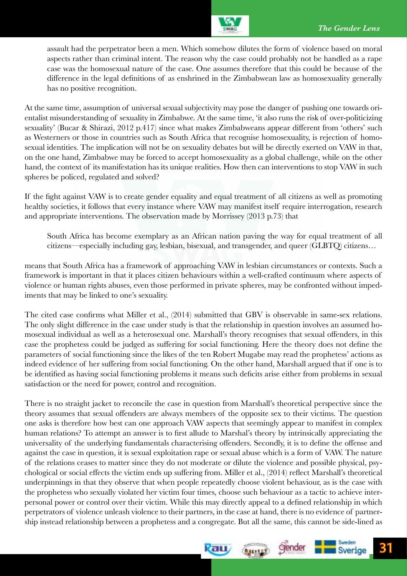assault had the perpetrator been a men. Which somehow dilutes the form of violence based on moral aspects rather than criminal intent. The reason why the case could probably not be handled as a rape case was the homosexual nature of the case. One assumes therefore that this could be because of the difference in the legal definitions of as enshrined in the Zimbabwean law as homosexuality generally has no positive recognition.

At the same time, assumption of universal sexual subjectivity may pose the danger of pushing one towards orientalist misunderstanding of sexuality in Zimbabwe. At the same time, 'it also runs the risk of over-politicizing sexuality' (Bucar & Shirazi, 2012 p.417) since what makes Zimbabweans appear different from 'others' such as Westerners or those in countries such as South Africa that recognise homosexuality, is rejection of homosexual identities. The implication will not be on sexuality debates but will be directly exerted on VAW in that, on the one hand, Zimbabwe may be forced to accept homosexuality as a global challenge, while on the other hand, the context of its manifestation has its unique realities. How then can interventions to stop VAW in such spheres be policed, regulated and solved?

If the fight against VAW is to create gender equality and equal treatment of all citizens as well as promoting healthy societies, it follows that every instance where VAW may manifest itself require interrogation, research and appropriate interventions. The observation made by Morrissey (2013 p.73) that

South Africa has become exemplary as an African nation paving the way for equal treatment of all citizens—especially including gay, lesbian, bisexual, and transgender, and queer (GLBTQ) citizens…

means that South Africa has a framework of approaching VAW in lesbian circumstances or contexts. Such a framework is important in that it places citizen behaviours within a well-crafted continuum where aspects of violence or human rights abuses, even those performed in private spheres, may be confronted without impediments that may be linked to one's sexuality.

The cited case confirms what Miller et al., (2014) submitted that GBV is observable in same-sex relations. The only slight difference in the case under study is that the relationship in question involves an assumed homosexual individual as well as a heterosexual one. Marshall's theory recognises that sexual offenders, in this case the prophetess could be judged as suffering for social functioning. Here the theory does not define the parameters of social functioning since the likes of the ten Robert Mugabe may read the prophetess' actions as indeed evidence of her suffering from social functioning. On the other hand, Marshall argued that if one is to be identified as having social functioning problems it means such deficits arise either from problems in sexual satisfaction or the need for power, control and recognition.

There is no straight jacket to reconcile the case in question from Marshall's theoretical perspective since the theory assumes that sexual offenders are always members of the opposite sex to their victims. The question one asks is therefore how best can one approach VAW aspects that seemingly appear to manifest in complex human relations? To attempt an answer is to first allude to Marshal's theory by intrinsically appreciating the universality of the underlying fundamentals characterising offenders. Secondly, it is to define the offense and against the case in question, it is sexual exploitation rape or sexual abuse which is a form of VAW. The nature of the relations ceases to matter since they do not moderate or dilute the violence and possible physical, psychological or social effects the victim ends up suffering from. Miller et al., (2014) reflect Marshall's theoretical underpinnings in that they observe that when people repeatedly choose violent behaviour, as is the case with the prophetess who sexually violated her victim four times, choose such behaviour as a tactic to achieve interpersonal power or control over their victim. While this may directly appeal to a defined relationship in which perpetrators of violence unleash violence to their partners, in the case at hand, there is no evidence of partnership instead relationship between a prophetess and a congregate. But all the same, this cannot be side-lined as





Clender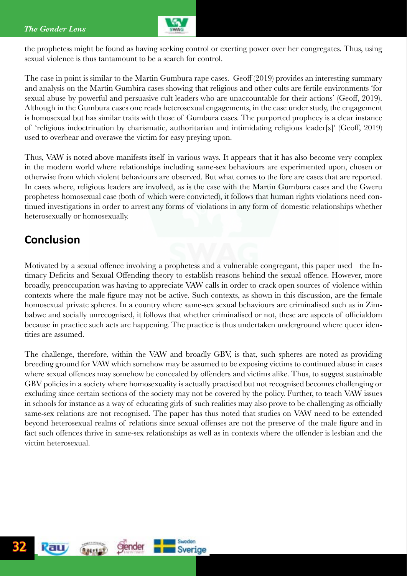

<span id="page-31-0"></span>the prophetess might be found as having seeking control or exerting power over her congregates. Thus, using sexual violence is thus tantamount to be a search for control.

The case in point is similar to the Martin Gumbura rape cases. Geoff (2019) provides an interesting summary and analysis on the Martin Gumbira cases showing that religious and other cults are fertile environments 'for sexual abuse by powerful and persuasive cult leaders who are unaccountable for their actions' (Geoff, 2019). Although in the Gumbura cases one reads heterosexual engagements, in the case under study, the engagement is homosexual but has similar traits with those of Gumbura cases. The purported prophecy is a clear instance of 'religious indoctrination by charismatic, authoritarian and intimidating religious leader[s]' (Geoff, 2019) used to overbear and overawe the victim for easy preying upon.

Thus, VAW is noted above manifests itself in various ways. It appears that it has also become very complex in the modern world where relationships including same-sex behaviours are experimented upon, chosen or otherwise from which violent behaviours are observed. But what comes to the fore are cases that are reported. In cases where, religious leaders are involved, as is the case with the Martin Gumbura cases and the Gweru prophetess homosexual case (both of which were convicted), it follows that human rights violations need continued investigations in order to arrest any forms of violations in any form of domestic relationships whether heterosexually or homosexually.

# **Conclusion**

Motivated by a sexual offence involving a prophetess and a vulnerable congregant, this paper used the Intimacy Deficits and Sexual Offending theory to establish reasons behind the sexual offence. However, more broadly, preoccupation was having to appreciate VAW calls in order to crack open sources of violence within contexts where the male figure may not be active. Such contexts, as shown in this discussion, are the female homosexual private spheres. In a country where same-sex sexual behaviours are criminalised such as in Zimbabwe and socially unrecognised, it follows that whether criminalised or not, these are aspects of officialdom because in practice such acts are happening. The practice is thus undertaken underground where queer identities are assumed.

The challenge, therefore, within the VAW and broadly GBV, is that, such spheres are noted as providing breeding ground for VAW which somehow may be assumed to be exposing victims to continued abuse in cases where sexual offences may somehow be concealed by offenders and victims alike. Thus, to suggest sustainable GBV policies in a society where homosexuality is actually practised but not recognised becomes challenging or excluding since certain sections of the society may not be covered by the policy. Further, to teach VAW issues in schools for instance as a way of educating girls of such realities may also prove to be challenging as officially same-sex relations are not recognised. The paper has thus noted that studies on VAW need to be extended beyond heterosexual realms of relations since sexual offenses are not the preserve of the male figure and in fact such offences thrive in same-sex relationships as well as in contexts where the offender is lesbian and the victim heterosexual.

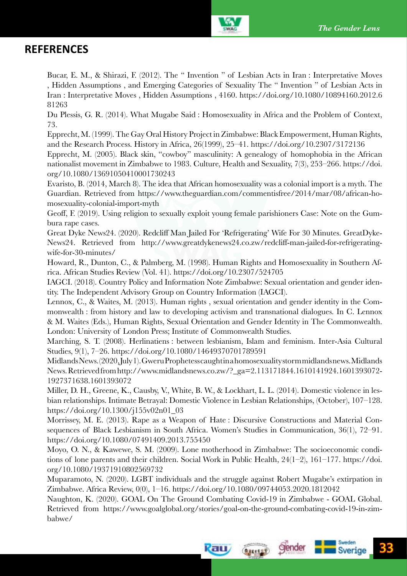Sverige



### <span id="page-32-0"></span>**REFERENCES**

Bucar, E. M., & Shirazi, F. (2012). The " Invention " of Lesbian Acts in Iran : Interpretative Moves , Hidden Assumptions , and Emerging Categories of Sexuality The " Invention " of Lesbian Acts in Iran : Interpretative Moves , Hidden Assumptions , 4160. https://doi.org/10.1080/10894160.2012.6 81263

Du Plessis, G. R. (2014). What Mugabe Said : Homosexuality in Africa and the Problem of Context, 73.

Epprecht, M. (1999). The Gay Oral History Project in Zimbabwe: Black Empowerment, Human Rights, and the Research Process. History in Africa, 26(1999), 25–41. https://doi.org/10.2307/3172136

Epprecht, M. (2005). Black skin, "cowboy" masculinity: A genealogy of homophobia in the African nationalist movement in Zimbabwe to 1983. Culture, Health and Sexuality, 7(3), 253–266. https://doi. org/10.1080/13691050410001730243

Evaristo, B. (2014, March 8). The idea that African homosexuality was a colonial import is a myth. The Guardian. Retrieved from https://www.theguardian.com/commentisfree/2014/mar/08/african-homosexuality-colonial-import-myth

Geoff, F. (2019). Using religion to sexually exploit young female parishioners Case: Note on the Gumbura rape cases.

Great Dyke News24. (2020). Redcliff Man Jailed For 'Refrigerating' Wife For 30 Minutes. GreatDyke-News24. Retrieved from http://www.greatdykenews24.co.zw/redcliff-man-jailed-for-refrigeratingwife-for-30-minutes/

Howard, R., Dunton, C., & Palmberg, M. (1998). Human Rights and Homosexuality in Southern Africa. African Studies Review (Vol. 41). https://doi.org/10.2307/524705

IAGCI. (2018). Country Policy and Information Note Zimbabwe: Sexual orientation and gender identity. The Independent Advisory Group on Country Information (IAGCI).

Lennox, C., & Waites, M. (2013). Human rights , sexual orientation and gender identity in the Commonwealth : from history and law to developing activism and transnational dialogues. In C. Lennox & M. Waites (Eds.), Human Rights, Sexual Orientation and Gender Identity in The Commonwealth. London: University of London Press; Institute of Commonwealth Studies.

Marching, S. T. (2008). Herlinatiens : between lesbianism, Islam and feminism. Inter‐Asia Cultural Studies, 9(1), 7–26. https://doi.org/10.1080/14649370701789591

Midlands News. (2020, July 1). Gweru Prophetess caught in a homosexuality storm midlands news. Midlands News. Retrieved from http://www.midlandsnews.co.zw/?\_ga=2.113171844.1610141924.1601393072- 1927371638.1601393072

Miller, D. H., Greene, K., Causby, V., White, B. W., & Lockhart, L. L. (2014). Domestic violence in lesbian relationships. Intimate Betrayal: Domestic Violence in Lesbian Relationships, (October), 107–128. https://doi.org/10.1300/j155v02n01\_03

Morrissey, M. E. (2013). Rape as a Weapon of Hate : Discursive Constructions and Material Consequences of Black Lesbianism in South Africa. Women's Studies in Communication, 36(1), 72–91. https://doi.org/10.1080/07491409.2013.755450

Moyo, O. N., & Kawewe, S. M. (2009). Lone motherhood in Zimbabwe: The socioeconomic conditions of lone parents and their children. Social Work in Public Health, 24(1–2), 161–177. https://doi. org/10.1080/19371910802569732

Muparamoto, N. (2020). LGBT individuals and the struggle against Robert Mugabe's extirpation in Zimbabwe. Africa Review, 0(0), 1–16. https://doi.org/10.1080/09744053.2020.1812042

Naughton, K. (2020). GOAL On The Ground Combating Covid-19 in Zimbabwe - GOAL Global. Retrieved from https://www.goalglobal.org/stories/goal-on-the-ground-combating-covid-19-in-zimbabwe/



Giender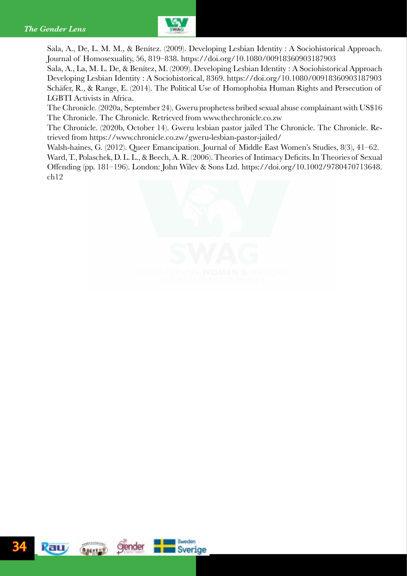#### *The Gender Lens*



Sala, A., De, L. M. M., & Benítez. (2009). Developing Lesbian Identity : A Sociohistorical Approach. Journal of Homosexuality, 56, 819–838. https://doi.org/10.1080/00918360903187903

Sala, A., La, M. L. De, & Benítez, M. (2009). Developing Lesbian Identity : A Sociohistorical Approach Developing Lesbian Identity : A Sociohistorical, 8369. https://doi.org/10.1080/00918360903187903 Schäfer, R., & Range, E. (2014). The Political Use of Homophobia Human Rights and Persecution of LGBTI Activists in Africa.

The Chronicle. (2020a, September 24). Gweru prophetess bribed sexual abuse complainant with US\$16 The Chronicle. The Chronicle. Retrieved from www.thechronicle.co.zw

The Chronicle. (2020b, October 14). Gweru lesbian pastor jailed The Chronicle. The Chronicle. Retrieved from https://www.chronicle.co.zw/gweru-lesbian-pastor-jailed/

Walsh-haines, G. (2012). Queer Emancipation. Journal of Middle East Women's Studies, 8(3), 41–62. Ward, T., Polaschek, D. L. L., & Beech, A. R. (2006). Theories of Intimacy Deficits. In Theories of Sexual Offending (pp. 181–196). London: John Wilev & Sons Ltd. https://doi.org/10.1002/9780470713648. ch12



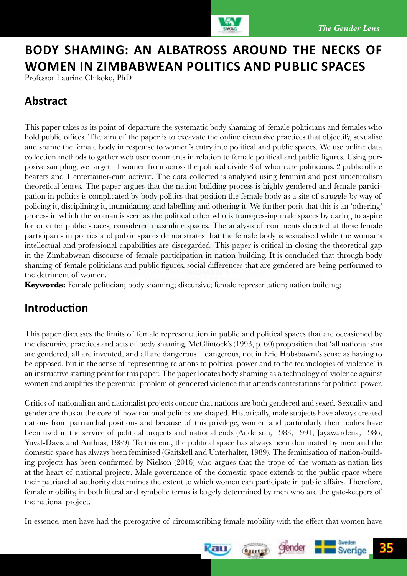

# <span id="page-34-0"></span>**BODY SHAMING: AN ALBATROSS AROUND THE NECKS OF WOMEN IN ZIMBABWEAN POLITICS AND PUBLIC SPACES**

Professor Laurine Chikoko, PhD

# **Abstract**

This paper takes as its point of departure the systematic body shaming of female politicians and females who hold public offices. The aim of the paper is to excavate the online discursive practices that objectify, sexualise and shame the female body in response to women's entry into political and public spaces. We use online data collection methods to gather web user comments in relation to female political and public figures. Using purposive sampling, we target 11 women from across the political divide 8 of whom are politicians, 2 public office bearers and 1 entertainer-cum activist. The data collected is analysed using feminist and post structuralism theoretical lenses. The paper argues that the nation building process is highly gendered and female participation in politics is complicated by body politics that position the female body as a site of struggle by way of policing it, disciplining it, intimidating, and labelling and othering it. We further posit that this is an 'othering' process in which the woman is seen as the political other who is transgressing male spaces by daring to aspire for or enter public spaces, considered masculine spaces. The analysis of comments directed at these female participants in politics and public spaces demonstrates that the female body is sexualised while the woman's intellectual and professional capabilities are disregarded. This paper is critical in closing the theoretical gap in the Zimbabwean discourse of female participation in nation building. It is concluded that through body shaming of female politicians and public figures, social differences that are gendered are being performed to the detriment of women.

**Keywords:** Female politician; body shaming; discursive; female representation; nation building;

# **Introduction**

This paper discusses the limits of female representation in public and political spaces that are occasioned by the discursive practices and acts of body shaming. McClintock's (1993, p. 60) proposition that 'all nationalisms are gendered, all are invented, and all are dangerous – dangerous, not in Eric Hobsbawm's sense as having to be opposed, but in the sense of representing relations to political power and to the technologies of violence' is an instructive starting point for this paper. The paper locates body shaming as a technology of violence against women and amplifies the perennial problem of gendered violence that attends contestations for political power.

Critics of nationalism and nationalist projects concur that nations are both gendered and sexed. Sexuality and gender are thus at the core of how national politics are shaped. Historically, male subjects have always created nations from patriarchal positions and because of this privilege, women and particularly their bodies have been used in the service of political projects and national ends (Anderson, 1983, 1991; Jayawardena, 1986; Yuval-Davis and Anthias, 1989). To this end, the political space has always been dominated by men and the domestic space has always been feminised (Gaitskell and Unterhalter, 1989). The feminisation of nation-building projects has been confirmed by Nielson (2016) who argues that the trope of the woman-as-nation lies at the heart of national projects. Male governance of the domestic space extends to the public space where their patriarchal authority determines the extent to which women can participate in public affairs. Therefore, female mobility, in both literal and symbolic terms is largely determined by men who are the gate-keepers of the national project.

In essence, men have had the prerogative of circumscribing female mobility with the effect that women have



Glender

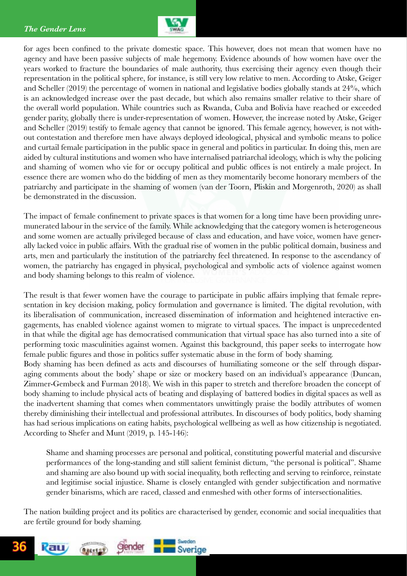#### *The Gender Lens*



for ages been confined to the private domestic space. This however, does not mean that women have no agency and have been passive subjects of male hegemony. Evidence abounds of how women have over the years worked to fracture the boundaries of male authority, thus exercising their agency even though their representation in the political sphere, for instance, is still very low relative to men. According to Atske, Geiger and Scheller (2019) the percentage of women in national and legislative bodies globally stands at 24%, which is an acknowledged increase over the past decade, but which also remains smaller relative to their share of the overall world population. While countries such as Rwanda, Cuba and Bolivia have reached or exceeded gender parity, globally there is under-representation of women. However, the increase noted by Atske, Geiger and Scheller (2019) testify to female agency that cannot be ignored. This female agency, however, is not without contestation and therefore men have always deployed ideological, physical and symbolic means to police and curtail female participation in the public space in general and politics in particular. In doing this, men are aided by cultural institutions and women who have internalised patriarchal ideology, which is why the policing and shaming of women who vie for or occupy political and public offices is not entirely a male project. In essence there are women who do the bidding of men as they momentarily become honorary members of the patriarchy and participate in the shaming of women (van der Toorn, Pliskin and Morgenroth, 2020) as shall be demonstrated in the discussion.

The impact of female confinement to private spaces is that women for a long time have been providing unremunerated labour in the service of the family. While acknowledging that the category women is heterogeneous and some women are actually privileged because of class and education, and have voice, women have generally lacked voice in public affairs. With the gradual rise of women in the public political domain, business and arts, men and particularly the institution of the patriarchy feel threatened. In response to the ascendancy of women, the patriarchy has engaged in physical, psychological and symbolic acts of violence against women and body shaming belongs to this realm of violence.

The result is that fewer women have the courage to participate in public affairs implying that female representation in key decision making, policy formulation and governance is limited. The digital revolution, with its liberalisation of communication, increased dissemination of information and heightened interactive engagements, has enabled violence against women to migrate to virtual spaces. The impact is unprecedented in that while the digital age has democratised communication that virtual space has also turned into a site of performing toxic masculinities against women. Against this background, this paper seeks to interrogate how female public figures and those in politics suffer systematic abuse in the form of body shaming.

Body shaming has been defined as acts and discourses of humiliating someone or the self through disparaging comments about the body' shape or size or mockery based on an individual's appearance (Duncan, Zimmer-Gembeck and Furman 2018). We wish in this paper to stretch and therefore broaden the concept of body shaming to include physical acts of beating and displaying of battered bodies in digital spaces as well as the inadvertent shaming that comes when commentators unwittingly praise the bodily attributes of women thereby diminishing their intellectual and professional attributes. In discourses of body politics, body shaming has had serious implications on eating habits, psychological wellbeing as well as how citizenship is negotiated. According to Shefer and Munt (2019, p. 145-146):

Shame and shaming processes are personal and political, constituting powerful material and discursive performances of the long-standing and still salient feminist dictum, "the personal is political". Shame and shaming are also bound up with social inequality, both reflecting and serving to reinforce, reinstate and legitimise social injustice. Shame is closely entangled with gender subjectification and normative gender binarisms, which are raced, classed and enmeshed with other forms of intersectionalities.

The nation building project and its politics are characterised by gender, economic and social inequalities that are fertile ground for body shaming.

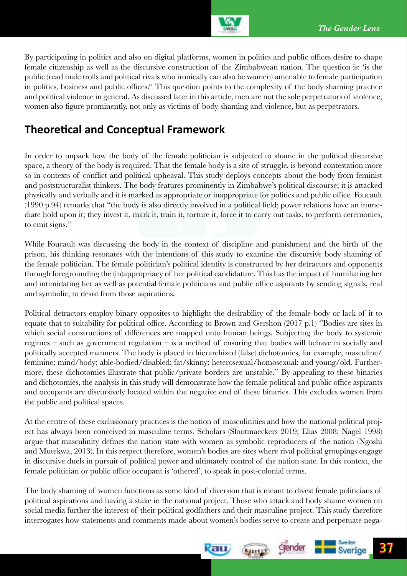

Sverige

Clender

<span id="page-36-0"></span>By participating in politics and also on digital platforms, women in politics and public offices desire to shape female citizenship as well as the discursive construction of the Zimbabwean nation. The question is: 'is the public (read male trolls and political rivals who ironically can also be women) amenable to female participation in politics, business and public offices?' This question points to the complexity of the body shaming practice and political violence in general. As discussed later in this article, men are not the sole perpetrators of violence; women also figure prominently, not only as victims of body shaming and violence, but as perpetrators.

# **Theoretical and Conceptual Framework**

In order to unpack how the body of the female politician is subjected to shame in the political discursive space, a theory of the body is required. That the female body is a site of struggle, is beyond contestation more so in contexts of conflict and political upheaval. This study deploys concepts about the body from feminist and poststructuralist thinkers. The body features prominently in Zimbabwe's political discourse; it is attacked physically and verbally and it is marked as appropriate or inappropriate for politics and public office. Foucault (1990 p.94) remarks that "the body is also directly involved in a political field; power relations have an immediate hold upon it; they invest it, mark it, train it, torture it, force it to carry out tasks, to perform ceremonies, to emit signs."

While Foucault was discussing the body in the context of discipline and punishment and the birth of the prison, his thinking resonates with the intentions of this study to examine the discursive body shaming of the female politician. The female politician's political identity is constructed by her detractors and opponents through foregrounding the (in)appropriacy of her political candidature. This has the impact of humiliating her and intimidating her as well as potential female politicians and public office aspirants by sending signals, real and symbolic, to desist from those aspirations.

Political detractors employ binary opposites to highlight the desirability of the female body or lack of it to equate that to suitability for political office. According to Brown and Gershon (2017 p.1) ''Bodies are sites in which social constructions of differences are mapped onto human beings. Subjecting the body to systemic regimes – such as government regulation – is a method of ensuring that bodies will behave in socially and politically accepted manners. The body is placed in hierarchized (false) dichotomies, for example, masculine/ feminine; mind/body; able-bodied/disabled; fat/skinny; heterosexual/homosexual; and young/old. Furthermore, these dichotomies illustrate that public/private borders are unstable.'' By appealing to these binaries and dichotomies, the analysis in this study will demonstrate how the female political and public office aspirants and occupants are discursively located within the negative end of these binaries. This excludes women from the public and political spaces.

At the centre of these exclusionary practices is the notion of masculinities and how the national political project has always been conceived in masculine terms. Scholars (Slootmaeckers 2019; Elias 2008; Nagel 1998) argue that masculinity defines the nation state with women as symbolic reproducers of the nation (Ngoshi and Mutekwa, 2013). In this respect therefore, women's bodies are sites where rival political groupings engage in discursive duels in pursuit of political power and ultimately control of the nation state. In this context, the female politician or public office occupant is 'othered', to speak in post-colonial terms.

The body shaming of women functions as some kind of diversion that is meant to divest female politicians of political aspirations and having a stake in the national project. Those who attack and body shame women on social media further the interest of their political godfathers and their masculine project. This study therefore interrogates how statements and comments made about women's bodies serve to create and perpetuate nega-

kau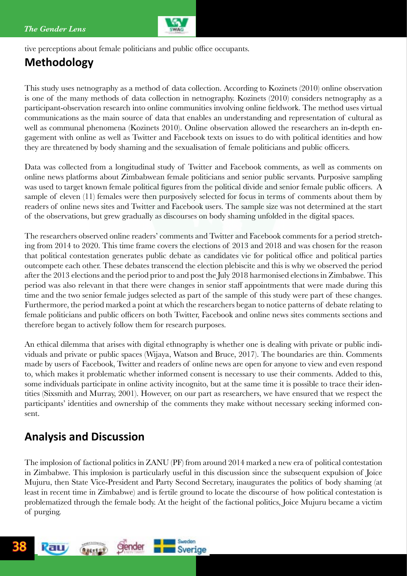

<span id="page-37-0"></span>tive perceptions about female politicians and public office occupants.

# **Methodology**

This study uses netnography as a method of data collection. According to Kozinets (2010) online observation is one of the many methods of data collection in netnography. Kozinets (2010) considers netnography as a participant-observation research into online communities involving online fieldwork. The method uses virtual communications as the main source of data that enables an understanding and representation of cultural as well as communal phenomena (Kozinets 2010). Online observation allowed the researchers an in-depth engagement with online as well as Twitter and Facebook texts on issues to do with political identities and how they are threatened by body shaming and the sexualisation of female politicians and public officers.

Data was collected from a longitudinal study of Twitter and Facebook comments, as well as comments on online news platforms about Zimbabwean female politicians and senior public servants. Purposive sampling was used to target known female political figures from the political divide and senior female public officers. A sample of eleven (11) females were then purposively selected for focus in terms of comments about them by readers of online news sites and Twitter and Facebook users. The sample size was not determined at the start of the observations, but grew gradually as discourses on body shaming unfolded in the digital spaces.

The researchers observed online readers' comments and Twitter and Facebook comments for a period stretching from 2014 to 2020. This time frame covers the elections of 2013 and 2018 and was chosen for the reason that political contestation generates public debate as candidates vie for political office and political parties outcompete each other. These debates transcend the election plebiscite and this is why we observed the period after the 2013 elections and the period prior to and post the July 2018 harmonised elections in Zimbabwe. This period was also relevant in that there were changes in senior staff appointments that were made during this time and the two senior female judges selected as part of the sample of this study were part of these changes. Furthermore, the period marked a point at which the researchers began to notice patterns of debate relating to female politicians and public officers on both Twitter, Facebook and online news sites comments sections and therefore began to actively follow them for research purposes.

An ethical dilemma that arises with digital ethnography is whether one is dealing with private or public individuals and private or public spaces (Wijaya, Watson and Bruce, 2017). The boundaries are thin. Comments made by users of Facebook, Twitter and readers of online news are open for anyone to view and even respond to, which makes it problematic whether informed consent is necessary to use their comments. Added to this, some individuals participate in online activity incognito, but at the same time it is possible to trace their identities (Sixsmith and Murray, 2001). However, on our part as researchers, we have ensured that we respect the participants' identities and ownership of the comments they make without necessary seeking informed consent.

## **Analysis and Discussion**

The implosion of factional politics in ZANU (PF) from around 2014 marked a new era of political contestation in Zimbabwe. This implosion is particularly useful in this discussion since the subsequent expulsion of Joice Mujuru, then State Vice-President and Party Second Secretary, inaugurates the politics of body shaming (at least in recent time in Zimbabwe) and is fertile ground to locate the discourse of how political contestation is problematized through the female body. At the height of the factional politics, Joice Mujuru became a victim of purging.

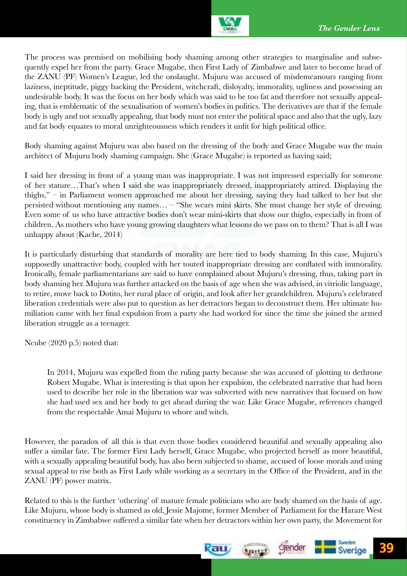The process was premised on mobilising body shaming among other strategies to marginalise and subsequently expel her from the party. Grace Mugabe, then First Lady of Zimbabwe and later to become head of the ZANU (PF) Women's League, led the onslaught. Mujuru was accused of misdemeanours ranging from laziness, ineptitude, piggy backing the President, witchcraft, disloyalty, immorality, ugliness and possessing an undesirable body. It was the focus on her body which was said to be too fat and therefore not sexually appealing, that is emblematic of the sexualisation of women's bodies in politics. The derivatives are that if the female body is ugly and not sexually appealing, that body must not enter the political space and also that the ugly, lazy and fat body equates to moral unrighteousness which renders it unfit for high political office.

Body shaming against Mujuru was also based on the dressing of the body and Grace Mugabe was the main architect of Mujuru body shaming campaign. She (Grace Mugabe) is reported as having said;

I said her dressing in front of a young man was inappropriate. I was not impressed especially for someone of her stature…That's when I said she was inappropriately dressed, inappropriately attired. Displaying the thighs," – in Parliament women approached me about her dressing, saying they had talked to her but she persisted without mentioning any names… – "She wears mini skirts. She must change her style of dressing. Even some of us who have attractive bodies don't wear mini-skirts that show our thighs, especially in front of children. As mothers who have young growing daughters what lessons do we pass on to them? That is all I was unhappy about (Kache, 2014)

It is particularly disturbing that standards of morality are here tied to body shaming. In this case, Mujuru's supposedly unattractive body, coupled with her touted inappropriate dressing are conflated with immorality. Ironically, female parliamentarians are said to have complained about Mujuru's dressing, thus, taking part in body shaming her. Mujuru was further attacked on the basis of age when she was advised, in vitriolic language, to retire, move back to Dotito, her rural place of origin, and look after her grandchildren. Mujuru's celebrated liberation credentials were also put to question as her detractors began to deconstruct them. Her ultimate humiliation came with her final expulsion from a party she had worked for since the time she joined the armed liberation struggle as a teenager.

Ncube (2020 p.5) noted that:

In 2014, Mujuru was expelled from the ruling party because she was accused of plotting to dethrone Robert Mugabe. What is interesting is that upon her expulsion, the celebrated narrative that had been used to describe her role in the liberation war was subverted with new narratives that focused on how she had used sex and her body to get ahead during the war. Like Grace Mugabe, references changed from the respectable Amai Mujuru to whore and witch.

However, the paradox of all this is that even those bodies considered beautiful and sexually appealing also suffer a similar fate. The former First Lady herself, Grace Mugabe, who projected herself as more beautiful, with a sexually appealing beautiful body, has also been subjected to shame, accused of loose morals and using sexual appeal to rise both as First Lady while working as a secretary in the Office of the President, and in the ZANU (PF) power matrix.

Related to this is the further 'othering' of mature female politicians who are body shamed on the basis of age. Like Mujuru, whose body is shamed as old, Jessie Majome, former Member of Parliament for the Harare West constituency in Zimbabwe suffered a similar fate when her detractors within her own party, the Movement for



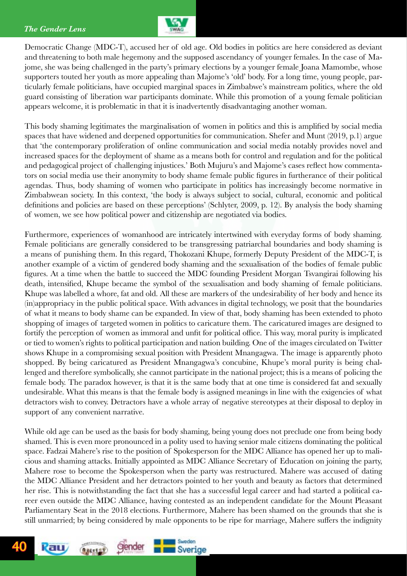Kau



Democratic Change (MDC-T), accused her of old age. Old bodies in politics are here considered as deviant and threatening to both male hegemony and the supposed ascendancy of younger females. In the case of Majome, she was being challenged in the party's primary elections by a younger female Joana Mamombe, whose supporters touted her youth as more appealing than Majome's 'old' body. For a long time, young people, particularly female politicians, have occupied marginal spaces in Zimbabwe's mainstream politics, where the old guard consisting of liberation war participants dominate. While this promotion of a young female politician appears welcome, it is problematic in that it is inadvertently disadvantaging another woman.

This body shaming legitimates the marginalisation of women in politics and this is amplified by social media spaces that have widened and deepened opportunities for communication. Shefer and Munt (2019, p.1) argue that 'the contemporary proliferation of online communication and social media notably provides novel and increased spaces for the deployment of shame as a means both for control and regulation and for the political and pedagogical project of challenging injustices.' Both Mujuru's and Majome's cases reflect how commentators on social media use their anonymity to body shame female public figures in furtherance of their political agendas. Thus, body shaming of women who participate in politics has increasingly become normative in Zimbabwean society. In this context, 'the body is always subject to social, cultural, economic and political definitions and policies are based on these perceptions' (Schlyter, 2009, p. 12). By analysis the body shaming of women, we see how political power and citizenship are negotiated via bodies.

Furthermore, experiences of womanhood are intricately intertwined with everyday forms of body shaming. Female politicians are generally considered to be transgressing patriarchal boundaries and body shaming is a means of punishing them. In this regard, Thokozani Khupe, formerly Deputy President of the MDC-T, is another example of a victim of gendered body shaming and the sexualisation of the bodies of female public figures. At a time when the battle to succeed the MDC founding President Morgan Tsvangirai following his death, intensified, Khupe became the symbol of the sexualisation and body shaming of female politicians. Khupe was labelled a whore, fat and old. All these are markers of the undesirability of her body and hence its (in)appropriacy in the public political space. With advances in digital technology, we posit that the boundaries of what it means to body shame can be expanded. In view of that, body shaming has been extended to photo shopping of images of targeted women in politics to caricature them. The caricatured images are designed to fortify the perception of women as immoral and unfit for political office. This way, moral purity is implicated or tied to women's rights to political participation and nation building. One of the images circulated on Twitter shows Khupe in a compromising sexual position with President Mnangagwa. The image is apparently photo shopped. By being caricatured as President Mnangagwa's concubine, Khupe's moral purity is being challenged and therefore symbolically, she cannot participate in the national project; this is a means of policing the female body. The paradox however, is that it is the same body that at one time is considered fat and sexually undesirable. What this means is that the female body is assigned meanings in line with the exigencies of what detractors wish to convey. Detractors have a whole array of negative stereotypes at their disposal to deploy in support of any convenient narrative.

While old age can be used as the basis for body shaming, being young does not preclude one from being body shamed. This is even more pronounced in a polity used to having senior male citizens dominating the political space. Fadzai Mahere's rise to the position of Spokesperson for the MDC Alliance has opened her up to malicious and shaming attacks. Initially appointed as MDC Alliance Secretary of Education on joining the party, Mahere rose to become the Spokesperson when the party was restructured. Mahere was accused of dating the MDC Alliance President and her detractors pointed to her youth and beauty as factors that determined her rise. This is notwithstanding the fact that she has a successful legal career and had started a political career even outside the MDC Alliance, having contested as an independent candidate for the Mount Pleasant Parliamentary Seat in the 2018 elections. Furthermore, Mahere has been shamed on the grounds that she is still unmarried; by being considered by male opponents to be ripe for marriage, Mahere suffers the indignity

Sverige

Gender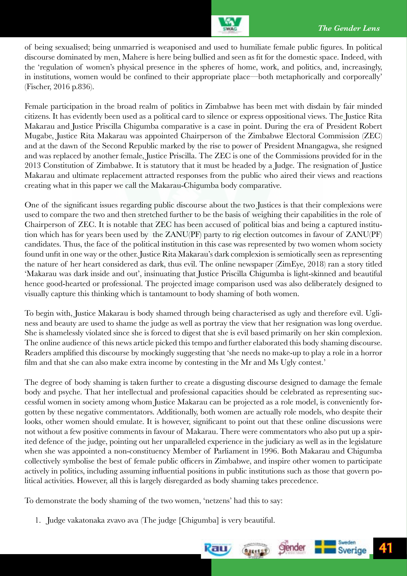Sverige

Giender

of being sexualised; being unmarried is weaponised and used to humiliate female public figures. In political discourse dominated by men, Mahere is here being bullied and seen as fit for the domestic space. Indeed, with the 'regulation of women's physical presence in the spheres of home, work, and politics, and, increasingly, in institutions, women would be confined to their appropriate place—both metaphorically and corporeally' (Fischer, 2016 p.836).

Female participation in the broad realm of politics in Zimbabwe has been met with disdain by fair minded citizens. It has evidently been used as a political card to silence or express oppositional views. The Justice Rita Makarau and Justice Priscilla Chigumba comparative is a case in point. During the era of President Robert Mugabe, Justice Rita Makarau was appointed Chairperson of the Zimbabwe Electoral Commission (ZEC) and at the dawn of the Second Republic marked by the rise to power of President Mnangagwa, she resigned and was replaced by another female, Justice Priscilla. The ZEC is one of the Commissions provided for in the 2013 Constitution of Zimbabwe. It is statutory that it must be headed by a Judge. The resignation of Justice Makarau and ultimate replacement attracted responses from the public who aired their views and reactions creating what in this paper we call the Makarau-Chigumba body comparative.

One of the significant issues regarding public discourse about the two Justices is that their complexions were used to compare the two and then stretched further to be the basis of weighing their capabilities in the role of Chairperson of ZEC. It is notable that ZEC has been accused of political bias and being a captured institution which has for years been used by the ZANU(PF) party to rig election outcomes in favour of ZANU(PF) candidates. Thus, the face of the political institution in this case was represented by two women whom society found unfit in one way or the other. Justice Rita Makarau's dark complexion is semiotically seen as representing the nature of her heart considered as dark, thus evil. The online newspaper (ZimEye, 2018) ran a story titled 'Makarau was dark inside and out', insinuating that Justice Priscilla Chigumba is light-skinned and beautiful hence good-hearted or professional. The projected image comparison used was also deliberately designed to visually capture this thinking which is tantamount to body shaming of both women.

To begin with, Justice Makarau is body shamed through being characterised as ugly and therefore evil. Ugliness and beauty are used to shame the judge as well as portray the view that her resignation was long overdue. She is shamelessly violated since she is forced to digest that she is evil based primarily on her skin complexion. The online audience of this news article picked this tempo and further elaborated this body shaming discourse. Readers amplified this discourse by mockingly suggesting that 'she needs no make-up to play a role in a horror film and that she can also make extra income by contesting in the Mr and Ms Ugly contest.'

The degree of body shaming is taken further to create a disgusting discourse designed to damage the female body and psyche. That her intellectual and professional capacities should be celebrated as representing successful women in society among whom Justice Makarau can be projected as a role model, is conveniently forgotten by these negative commentators. Additionally, both women are actually role models, who despite their looks, other women should emulate. It is however, significant to point out that these online discussions were not without a few positive comments in favour of Makarau. There were commentators who also put up a spirited defence of the judge, pointing out her unparalleled experience in the judiciary as well as in the legislature when she was appointed a non-constituency Member of Parliament in 1996. Both Makarau and Chigumba collectively symbolise the best of female public officers in Zimbabwe, and inspire other women to participate actively in politics, including assuming influential positions in public institutions such as those that govern political activities. However, all this is largely disregarded as body shaming takes precedence.

kau

To demonstrate the body shaming of the two women, 'netzens' had this to say:

1. Judge vakatonaka zvavo ava (The judge [Chigumba] is very beautiful.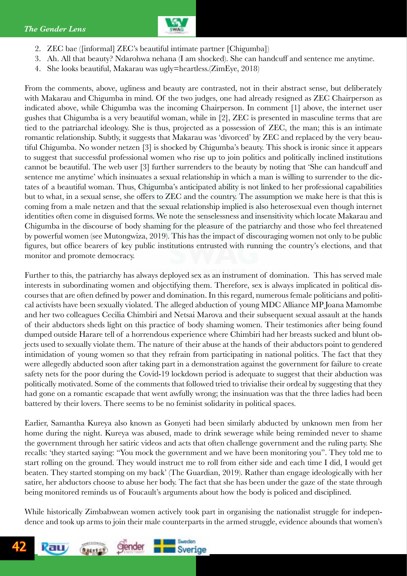Kau



- 2. ZEC bae ([informal] ZEC's beautiful intimate partner [Chigumba])
- 3. Ah. All that beauty? Ndarohwa nehana (I am shocked). She can handcuff and sentence me anytime.
- 4. She looks beautiful, Makarau was ugly=heartless.(ZimEye, 2018)

From the comments, above, ugliness and beauty are contrasted, not in their abstract sense, but deliberately with Makarau and Chigumba in mind. Of the two judges, one had already resigned as ZEC Chairperson as indicated above, while Chigumba was the incoming Chairperson. In comment [1] above, the internet user gushes that Chigumba is a very beautiful woman, while in [2], ZEC is presented in masculine terms that are tied to the patriarchal ideology. She is thus, projected as a possession of ZEC, the man; this is an intimate romantic relationship. Subtly, it suggests that Makarau was 'divorced' by ZEC and replaced by the very beautiful Chigumba. No wonder netzen [3] is shocked by Chigumba's beauty. This shock is ironic since it appears to suggest that successful professional women who rise up to join politics and politically inclined institutions cannot be beautiful. The web user [3] further surrenders to the beauty by noting that 'She can handcuff and sentence me anytime' which insinuates a sexual relationship in which a man is willing to surrender to the dictates of a beautiful woman. Thus, Chigumba's anticipated ability is not linked to her professional capabilities but to what, in a sexual sense, she offers to ZEC and the country. The assumption we make here is that this is coming from a male netzen and that the sexual relationship implied is also heterosexual even though internet identities often come in disguised forms. We note the senselessness and insensitivity which locate Makarau and Chigumba in the discourse of body shaming for the pleasure of the patriarchy and those who feel threatened by powerful women (see Mutongwiza, 2019). This has the impact of discouraging women not only to be public figures, but office bearers of key public institutions entrusted with running the country's elections, and that monitor and promote democracy.

Further to this, the patriarchy has always deployed sex as an instrument of domination. This has served male interests in subordinating women and objectifying them. Therefore, sex is always implicated in political discourses that are often defined by power and domination. In this regard, numerous female politicians and political activists have been sexually violated. The alleged abduction of young MDC Alliance MP Joana Mamombe and her two colleagues Cecilia Chimbiri and Netsai Marova and their subsequent sexual assault at the hands of their abductors sheds light on this practice of body shaming women. Their testimonies after being found dumped outside Harare tell of a horrendous experience where Chimbiri had her breasts sucked and blunt objects used to sexually violate them. The nature of their abuse at the hands of their abductors point to gendered intimidation of young women so that they refrain from participating in national politics. The fact that they were allegedly abducted soon after taking part in a demonstration against the government for failure to create safety nets for the poor during the Covid-19 lockdown period is adequate to suggest that their abduction was politically motivated. Some of the comments that followed tried to trivialise their ordeal by suggesting that they had gone on a romantic escapade that went awfully wrong; the insinuation was that the three ladies had been battered by their lovers. There seems to be no feminist solidarity in political spaces.

Earlier, Samantha Kureya also known as Gonyeti had been similarly abducted by unknown men from her home during the night. Kureya was abused, made to drink sewerage while being reminded never to shame the government through her satiric videos and acts that often challenge government and the ruling party. She recalls: 'they started saying: "You mock the government and we have been monitoring you". They told me to start rolling on the ground. They would instruct me to roll from either side and each time I did, I would get beaten. They started stomping on my back' (The Guardian, 2019). Rather than engage ideologically with her satire, her abductors choose to abuse her body. The fact that she has been under the gaze of the state through being monitored reminds us of Foucault's arguments about how the body is policed and disciplined.

While historically Zimbabwean women actively took part in organising the nationalist struggle for independence and took up arms to join their male counterparts in the armed struggle, evidence abounds that women's

Sverige

Gender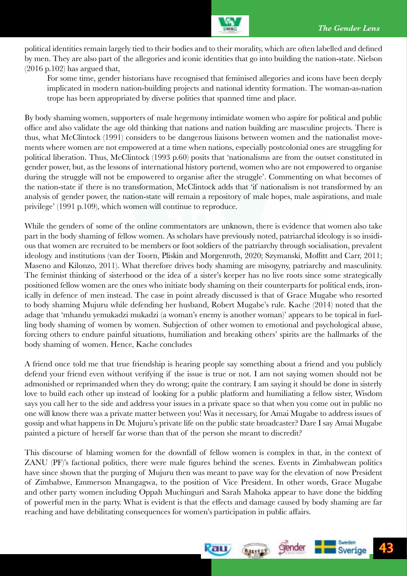political identities remain largely tied to their bodies and to their morality, which are often labelled and defined by men. They are also part of the allegories and iconic identities that go into building the nation-state. Nielson  $(2016 \text{ p}.102)$  has argued that,

For some time, gender historians have recognised that feminised allegories and icons have been deeply implicated in modern nation-building projects and national identity formation. The woman-as-nation trope has been appropriated by diverse polities that spanned time and place.

By body shaming women, supporters of male hegemony intimidate women who aspire for political and public office and also validate the age old thinking that nations and nation building are masculine projects. There is thus, what McClintock (1991) considers to be dangerous liaisons between women and the nationalist movements where women are not empowered at a time when nations, especially postcolonial ones are struggling for political liberation. Thus, McClintock (1993 p.60) posits that 'nationalisms are from the outset constituted in gender power, but, as the lessons of international history portend, women who are not empowered to organise during the struggle will not be empowered to organise after the struggle'. Commenting on what becomes of the nation-state if there is no transformation, McClintock adds that 'if nationalism is not transformed by an analysis of gender power, the nation-state will remain a repository of male hopes, male aspirations, and male privilege' (1991 p.109), which women will continue to reproduce.

While the genders of some of the online commentators are unknown, there is evidence that women also take part in the body shaming of fellow women. As scholars have previously noted, patriarchal ideology is so insidious that women are recruited to be members or foot soldiers of the patriarchy through socialisation, prevalent ideology and institutions (van der Toorn, Pliskin and Morgenroth, 2020; Szymanski, Moffitt and Carr, 2011; Maseno and Kilonzo, 2011). What therefore drives body shaming are misogyny, patriarchy and masculinity. The feminist thinking of sisterhood or the idea of a sister's keeper has no live roots since some strategically positioned fellow women are the ones who initiate body shaming on their counterparts for political ends, ironically in defence of men instead. The case in point already discussed is that of Grace Mugabe who resorted to body shaming Mujuru while defending her husband, Robert Mugabe's rule. Kache (2014) noted that the adage that 'mhandu yemukadzi mukadzi (a woman's enemy is another woman)' appears to be topical in fuelling body shaming of women by women. Subjection of other women to emotional and psychological abuse, forcing others to endure painful situations, humiliation and breaking others' spirits are the hallmarks of the body shaming of women. Hence, Kache concludes

A friend once told me that true friendship is hearing people say something about a friend and you publicly defend your friend even without verifying if the issue is true or not. I am not saying women should not be admonished or reprimanded when they do wrong; quite the contrary. I am saying it should be done in sisterly love to build each other up instead of looking for a public platform and humiliating a fellow sister, Wisdom says you call her to the side and address your issues in a private space so that when you come out in public no one will know there was a private matter between you! Was it necessary, for Amai Mugabe to address issues of gossip and what happens in Dr. Mujuru's private life on the public state broadcaster? Dare I say Amai Mugabe painted a picture of herself far worse than that of the person she meant to discredit?

This discourse of blaming women for the downfall of fellow women is complex in that, in the context of ZANU (PF)'s factional politics, there were male figures behind the scenes. Events in Zimbabwean politics have since shown that the purging of Mujuru then was meant to pave way for the elevation of now President of Zimbabwe, Emmerson Mnangagwa, to the position of Vice President. In other words, Grace Mugabe and other party women including Oppah Muchinguri and Sarah Mahoka appear to have done the bidding of powerful men in the party. What is evident is that the effects and damage caused by body shaming are far reaching and have debilitating consequences for women's participation in public affairs.

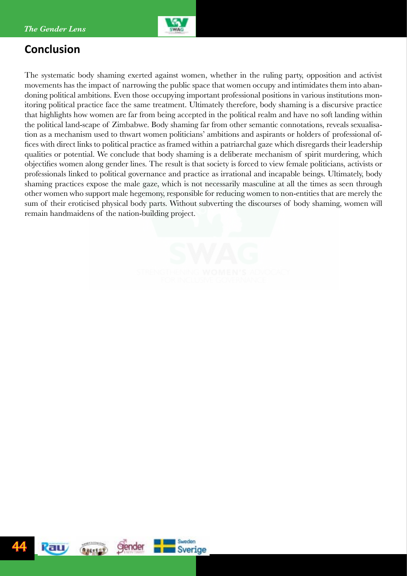

# <span id="page-43-0"></span>**Conclusion**

The systematic body shaming exerted against women, whether in the ruling party, opposition and activist movements has the impact of narrowing the public space that women occupy and intimidates them into abandoning political ambitions. Even those occupying important professional positions in various institutions monitoring political practice face the same treatment. Ultimately therefore, body shaming is a discursive practice that highlights how women are far from being accepted in the political realm and have no soft landing within the political land-scape of Zimbabwe. Body shaming far from other semantic connotations, reveals sexualisation as a mechanism used to thwart women politicians' ambitions and aspirants or holders of professional offices with direct links to political practice as framed within a patriarchal gaze which disregards their leadership qualities or potential. We conclude that body shaming is a deliberate mechanism of spirit murdering, which objectifies women along gender lines. The result is that society is forced to view female politicians, activists or professionals linked to political governance and practice as irrational and incapable beings. Ultimately, body shaming practices expose the male gaze, which is not necessarily masculine at all the times as seen through other women who support male hegemony, responsible for reducing women to non-entities that are merely the sum of their eroticised physical body parts. Without subverting the discourses of body shaming, women will remain handmaidens of the nation-building project.

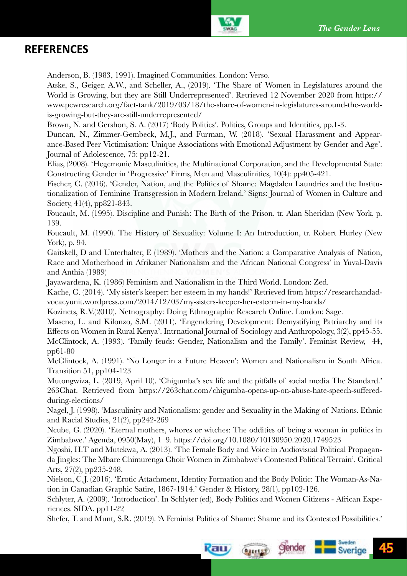Sverige

<span id="page-44-0"></span>

Anderson, B. (1983, 1991). Imagined Communities. London: Verso.

Atske, S., Geiger, A.W., and Scheller, A., (2019). 'The Share of Women in Legislatures around the World is Growing, but they are Still Underrepresented'. Retrieved 12 November 2020 from https:// www.pewresearch.org/fact-tank/2019/03/18/the-share-of-women-in-legislatures-around-the-worldis-growing-but-they-are-still-underrepresented/

Brown, N. and Gershon, S. A. (2017) 'Body Politics'. Politics, Groups and Identities, pp.1-3.

Duncan, N., Zimmer-Gembeck, M.J., and Furman, W. (2018). 'Sexual Harassment and Appearance-Based Peer Victimisation: Unique Associations with Emotional Adjustment by Gender and Age'. Journal of Adolescence, 75: pp12-21.

Elias, (2008). 'Hegemonic Masculinities, the Multinational Corporation, and the Developmental State: Constructing Gender in 'Progressive' Firms, Men and Masculinities, 10(4): pp405-421.

Fischer, C. (2016). 'Gender, Nation, and the Politics of Shame: Magdalen Laundries and the Institutionalization of Feminine Transgression in Modern Ireland.' Signs: Journal of Women in Culture and Society, 41(4), pp821-843.

Foucault, M. (1995). Discipline and Punish: The Birth of the Prison, tr. Alan Sheridan (New York, p. 139.

Foucault, M. (1990). The History of Sexuality: Volume I: An Introduction, tr. Robert Hurley (New York), p. 94.

Gaitskell, D and Unterhalter, E (1989). 'Mothers and the Nation: a Comparative Analysis of Nation, Race and Motherhood in Afrikaner Nationalism and the African National Congress' in Yuval-Davis and Anthia (1989)

Jayawardena, K. (1986) Feminism and Nationalism in the Third World. London: Zed.

Kache, C. (2014). 'My sister's keeper: her esteem in my hands!' Retrieved from https://researchandadvocacyunit.wordpress.com/2014/12/03/my-sisters-keeper-her-esteem-in-my-hands/

Kozinets, R.V.(2010). Netnography: Doing Ethnographic Research Online. London: Sage.

Maseno, L. and Kilonzo, S.M. (2011). 'Engendering Development: Demystifying Patriarchy and its Effects on Women in Rural Kenya'. Intrnational Journal of Sociology and Anthropology, 3(2), pp45-55. McClintock, A. (1993). 'Family feuds: Gender, Nationalism and the Family'. Feminist Review, 44, pp61-80

McClintock, A. (1991). 'No Longer in a Future Heaven': Women and Nationalism in South Africa. Transition 51, pp104-123

Mutongwiza, L. (2019, April 10). 'Chigumba's sex life and the pitfalls of social media The Standard.' 263Chat. Retrieved from https://263chat.com/chigumba-opens-up-on-abuse-hate-speech-sufferedduring-elections/

Nagel, J. (1998). 'Masculinity and Nationalism: gender and Sexuality in the Making of Nations. Ethnic and Racial Studies, 21(2), pp242-269

Ncube, G. (2020). 'Eternal mothers, whores or witches: The oddities of being a woman in politics in Zimbabwe.' Agenda, 0950(May), 1–9. https://doi.org/10.1080/10130950.2020.1749523

Ngoshi, H.T and Mutekwa, A. (2013). 'The Female Body and Voice in Audiovisual Political Propaganda Jingles: The Mbare Chimurenga Choir Women in Zimbabwe's Contested Political Terrain'. Critical Arts, 27(2), pp235-248.

Nielson, C.J. (2016). 'Erotic Attachment, Identity Formation and the Body Politic: The Woman-As-Nation in Canadian Graphic Satire, 1867-1914.' Gender & History, 28(1), pp102-126.

Schlyter, A. (2009). 'Introduction'. In Schlyter (ed), Body Politics and Women Citizens - African Experiences. SIDA. pp11-22

Shefer, T. and Munt, S.R. (2019). 'A Feminist Politics of Shame: Shame and its Contested Possibilities.'



Glender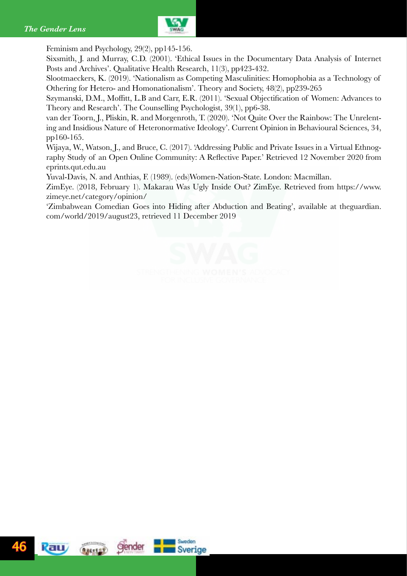#### *The Gender Lens*



Feminism and Psychology, 29(2), pp145-156.

Sixsmith, J. and Murray, C.D. (2001). 'Ethical Issues in the Documentary Data Analysis of Internet Posts and Archives'. Qualitative Health Research, 11(3), pp423-432.

Slootmaeckers, K. (2019). 'Nationalism as Competing Masculinities: Homophobia as a Technology of Othering for Hetero- and Homonationalism'. Theory and Society, 48(2), pp239-265

Szymanski, D.M., Moffitt, L.B and Carr, E.R. (2011). 'Sexual Objectification of Women: Advances to Theory and Research'. The Counselling Psychologist, 39(1), pp6-38.

van der Toorn, J., Pliskin, R. and Morgenroth, T. (2020). 'Not Quite Over the Rainbow: The Unrelenting and Insidious Nature of Heteronormative Ideology'. Current Opinion in Behavioural Sciences, 34, pp160-165.

Wijaya, W., Watson, J., and Bruce, C. (2017). 'Addressing Public and Private Issues in a Virtual Ethnography Study of an Open Online Community: A Reflective Paper.' Retrieved 12 November 2020 from eprints.qut.edu.au

Yuval-Davis, N. and Anthias, F. (1989). (eds)Women-Nation-State. London: Macmillan.

ZimEye. (2018, February 1). Makarau Was Ugly Inside Out? ZimEye. Retrieved from https://www. zimeye.net/category/opinion/

'Zimbabwean Comedian Goes into Hiding after Abduction and Beating', available at theguardian. com/world/2019/august23, retrieved 11 December 2019



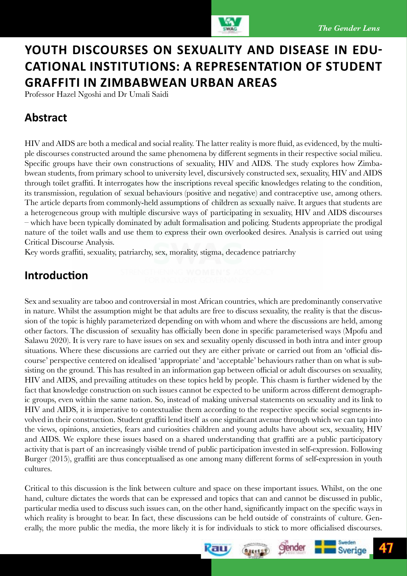

# <span id="page-46-0"></span>**YOUTH DISCOURSES ON SEXUALITY AND DISEASE IN EDU-CATIONAL INSTITUTIONS: A REPRESENTATION OF STUDENT GRAFFITI IN ZIMBABWEAN URBAN AREAS**

Professor Hazel Ngoshi and Dr Umali Saidi

# **Abstract**

HIV and AIDS are both a medical and social reality. The latter reality is more fluid, as evidenced, by the multiple discourses constructed around the same phenomena by different segments in their respective social milieu. Specific groups have their own constructions of sexuality, HIV and AIDS. The study explores how Zimbabwean students, from primary school to university level, discursively constructed sex, sexuality, HIV and AIDS through toilet graffiti. It interrogates how the inscriptions reveal specific knowledges relating to the condition, its transmission, regulation of sexual behaviours (positive and negative) and contraceptive use, among others. The article departs from commonly-held assumptions of children as sexually naïve. It argues that students are a heterogeneous group with multiple discursive ways of participating in sexuality, HIV and AIDS discourses – which have been typically dominated by adult formalisation and policing. Students appropriate the prodigal nature of the toilet walls and use them to express their own overlooked desires. Analysis is carried out using Critical Discourse Analysis.

Key words graffiti, sexuality, patriarchy, sex, morality, stigma, decadence patriarchy

### **Introduction**

Sex and sexuality are taboo and controversial in most African countries, which are predominantly conservative in nature. Whilst the assumption might be that adults are free to discuss sexuality, the reality is that the discussion of the topic is highly parameterized depending on with whom and where the discussions are held, among other factors. The discussion of sexuality has officially been done in specific parameterised ways (Mpofu and Salawu 2020). It is very rare to have issues on sex and sexuality openly discussed in both intra and inter group situations. Where these discussions are carried out they are either private or carried out from an 'official discourse' perspective centered on idealised 'appropriate' and 'acceptable' behaviours rather than on what is subsisting on the ground. This has resulted in an information gap between official or adult discourses on sexuality, HIV and AIDS, and prevailing attitudes on these topics held by people. This chasm is further widened by the fact that knowledge construction on such issues cannot be expected to be uniform across different demographic groups, even within the same nation. So, instead of making universal statements on sexuality and its link to HIV and AIDS, it is imperative to contextualise them according to the respective specific social segments involved in their construction. Student graffiti lend itself as one significant avenue through which we can tap into the views, opinions, anxieties, fears and curiosities children and young adults have about sex, sexuality, HIV and AIDS. We explore these issues based on a shared understanding that graffiti are a public participatory activity that is part of an increasingly visible trend of public participation invested in self-expression. Following Burger (2015), graffiti are thus conceptualised as one among many different forms of self-expression in youth cultures.

Critical to this discussion is the link between culture and space on these important issues. Whilst, on the one hand, culture dictates the words that can be expressed and topics that can and cannot be discussed in public, particular media used to discuss such issues can, on the other hand, significantly impact on the specific ways in which reality is brought to bear. In fact, these discussions can be held outside of constraints of culture. Generally, the more public the media, the more likely it is for individuals to stick to more officialised discourses.





Glender

47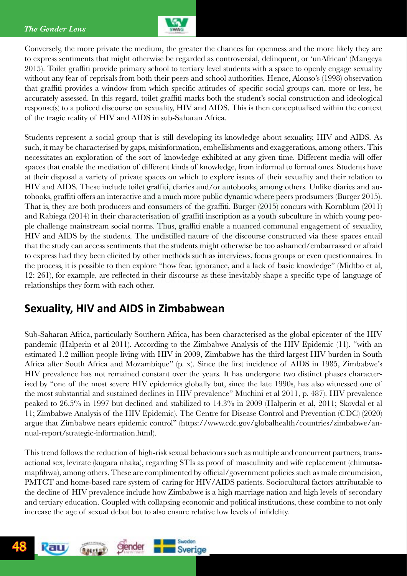

<span id="page-47-0"></span>Conversely, the more private the medium, the greater the chances for openness and the more likely they are to express sentiments that might otherwise be regarded as controversial, delinquent, or 'unAfrican' (Mangeya 2015). Toilet graffiti provide primary school to tertiary level students with a space to openly engage sexuality without any fear of reprisals from both their peers and school authorities. Hence, Alonso's (1998) observation that graffiti provides a window from which specific attitudes of specific social groups can, more or less, be accurately assessed. In this regard, toilet graffiti marks both the student's social construction and ideological response(s) to a policed discourse on sexuality, HIV and AIDS. This is then conceptualised within the context of the tragic reality of HIV and AIDS in sub-Saharan Africa.

Students represent a social group that is still developing its knowledge about sexuality, HIV and AIDS. As such, it may be characterised by gaps, misinformation, embellishments and exaggerations, among others. This necessitates an exploration of the sort of knowledge exhibited at any given time. Different media will offer spaces that enable the mediation of different kinds of knowledge, from informal to formal ones. Students have at their disposal a variety of private spaces on which to explore issues of their sexuality and their relation to HIV and AIDS. These include toilet graffiti, diaries and/or autobooks, among others. Unlike diaries and autobooks, graffiti offers an interactive and a much more public dynamic where peers prodsumers (Burger 2015). That is, they are both producers and consumers of the graffiti. Burger (2015) concurs with Kornblum (2011) and Rabiega (2014) in their characterisation of graffiti inscription as a youth subculture in which young people challenge mainstream social norms. Thus, graffiti enable a nuanced communal engagement of sexuality, HIV and AIDS by the students. The undistilled nature of the discourse constructed via these spaces entail that the study can access sentiments that the students might otherwise be too ashamed/embarrassed or afraid to express had they been elicited by other methods such as interviews, focus groups or even questionnaires. In the process, it is possible to then explore "how fear, ignorance, and a lack of basic knowledge" (Midtbo et al, 12: 261), for example, are reflected in their discourse as these inevitably shape a specific type of language of relationships they form with each other.

## **Sexuality, HIV and AIDS in Zimbabwean**

Sub-Saharan Africa, particularly Southern Africa, has been characterised as the global epicenter of the HIV pandemic (Halperin et al 2011). According to the Zimbabwe Analysis of the HIV Epidemic (11). "with an estimated 1.2 million people living with HIV in 2009, Zimbabwe has the third largest HIV burden in South Africa after South Africa and Mozambique" (p. x). Since the first incidence of AIDS in 1985, Zimbabwe's HIV prevalence has not remained constant over the years. It has undergone two distinct phases characterised by "one of the most severe HIV epidemics globally but, since the late 1990s, has also witnessed one of the most substantial and sustained declines in HIV prevalence" Muchini et al 2011, p. 487). HIV prevalence peaked to 26.5% in 1997 but declined and stabilized to 14.3% in 2009 (Halperin et al, 2011; Skovdal et al 11; Zimbabwe Analysis of the HIV Epidemic). The Centre for Disease Control and Prevention (CDC) (2020) argue that Zimbabwe nears epidemic control" (https://www.cdc.gov/globalhealth/countries/zimbabwe/annual-report/strategic-information.html).

This trend follows the reduction of high-risk sexual behaviours such as multiple and concurrent partners, transactional sex, levirate (kugara nhaka), regarding STIs as proof of masculinity and wife replacement (chimutsamapfihwa), among others. These are complimented by official/government policies such as male circumcision, PMTCT and home-based care system of caring for HIV/AIDS patients. Sociocultural factors attributable to the decline of HIV prevalence include how Zimbabwe is a high marriage nation and high levels of secondary and tertiary education. Coupled with collapsing economic and political institutions, these combine to not only increase the age of sexual debut but to also ensure relative low levels of infidelity.

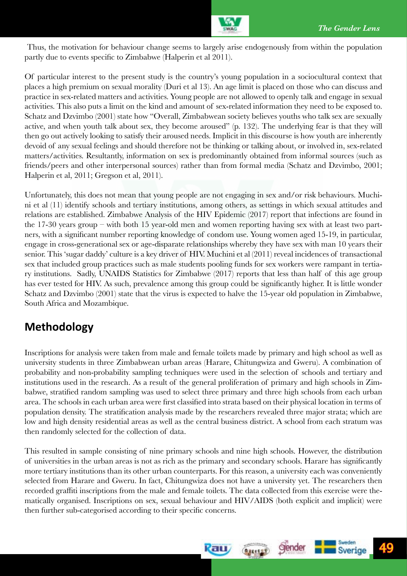<span id="page-48-0"></span> Thus, the motivation for behaviour change seems to largely arise endogenously from within the population partly due to events specific to Zimbabwe (Halperin et al 2011).

Of particular interest to the present study is the country's young population in a sociocultural context that places a high premium on sexual morality (Duri et al 13). An age limit is placed on those who can discuss and practice in sex-related matters and activities. Young people are not allowed to openly talk and engage in sexual activities. This also puts a limit on the kind and amount of sex-related information they need to be exposed to. Schatz and Dzvimbo (2001) state how "Overall, Zimbabwean society believes youths who talk sex are sexually active, and when youth talk about sex, they become aroused" (p. 132). The underlying fear is that they will then go out actively looking to satisfy their aroused needs. Implicit in this discourse is how youth are inherently devoid of any sexual feelings and should therefore not be thinking or talking about, or involved in, sex-related matters/activities. Resultantly, information on sex is predominantly obtained from informal sources (such as friends/peers and other interpersonal sources) rather than from formal media (Schatz and Dzvimbo, 2001; Halperin et al, 2011; Gregson et al, 2011).

Unfortunately, this does not mean that young people are not engaging in sex and/or risk behaviours. Muchini et al (11) identify schools and tertiary institutions, among others, as settings in which sexual attitudes and relations are established. Zimbabwe Analysis of the HIV Epidemic (2017) report that infections are found in the 17-30 years group – with both 15 year-old men and women reporting having sex with at least two partners, with a significant number reporting knowledge of condom use. Young women aged 15-19, in particular, engage in cross-generational sex or age-disparate relationships whereby they have sex with man 10 years their senior. This 'sugar daddy' culture is a key driver of HIV. Muchini et al (2011) reveal incidences of transactional sex that included group practices such as male students pooling funds for sex workers were rampant in tertiary institutions. Sadly, UNAIDS Statistics for Zimbabwe (2017) reports that less than half of this age group has ever tested for HIV. As such, prevalence among this group could be significantly higher. It is little wonder Schatz and Dzvimbo (2001) state that the virus is expected to halve the 15-year old population in Zimbabwe, South Africa and Mozambique.

## **Methodology**

Inscriptions for analysis were taken from male and female toilets made by primary and high school as well as university students in three Zimbabwean urban areas (Harare, Chitungwiza and Gweru). A combination of probability and non-probability sampling techniques were used in the selection of schools and tertiary and institutions used in the research. As a result of the general proliferation of primary and high schools in Zimbabwe, stratified random sampling was used to select three primary and three high schools from each urban area. The schools in each urban area were first classified into strata based on their physical location in terms of population density. The stratification analysis made by the researchers revealed three major strata; which are low and high density residential areas as well as the central business district. A school from each stratum was then randomly selected for the collection of data.

This resulted in sample consisting of nine primary schools and nine high schools. However, the distribution of universities in the urban areas is not as rich as the primary and secondary schools. Harare has significantly more tertiary institutions than its other urban counterparts. For this reason, a university each was conveniently selected from Harare and Gweru. In fact, Chitungwiza does not have a university yet. The researchers then recorded graffiti inscriptions from the male and female toilets. The data collected from this exercise were thematically organised. Inscriptions on sex, sexual behaviour and HIV/AIDS (both explicit and implicit) were then further sub-categorised according to their specific concerns.

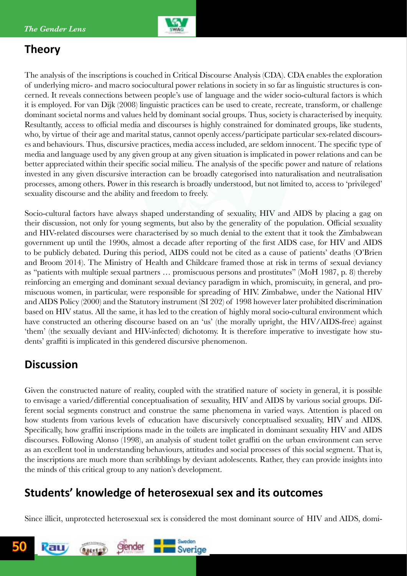

# <span id="page-49-0"></span>**Theory**

The analysis of the inscriptions is couched in Critical Discourse Analysis (CDA). CDA enables the exploration of underlying micro- and macro sociocultural power relations in society in so far as linguistic structures is concerned. It reveals connections between people's use of language and the wider socio-cultural factors is which it is employed. For van Dijk (2008) linguistic practices can be used to create, recreate, transform, or challenge dominant societal norms and values held by dominant social groups. Thus, society is characterised by inequity. Resultantly, access to official media and discourses is highly constrained for dominated groups, like students, who, by virtue of their age and marital status, cannot openly access/participate particular sex-related discourses and behaviours. Thus, discursive practices, media access included, are seldom innocent. The specific type of media and language used by any given group at any given situation is implicated in power relations and can be better appreciated within their specific social milieu. The analysis of the specific power and nature of relations invested in any given discursive interaction can be broadly categorised into naturalisation and neutralisation processes, among others. Power in this research is broadly understood, but not limited to, access to 'privileged' sexuality discourse and the ability and freedom to freely.

Socio-cultural factors have always shaped understanding of sexuality, HIV and AIDS by placing a gag on their discussion, not only for young segments, but also by the generality of the population. Official sexuality and HIV-related discourses were characterised by so much denial to the extent that it took the Zimbabwean government up until the 1990s, almost a decade after reporting of the first AIDS case, for HIV and AIDS to be publicly debated. During this period, AIDS could not be cited as a cause of patients' deaths (O'Brien and Broom 2014). The Ministry of Health and Childcare framed those at risk in terms of sexual deviancy as "patients with multiple sexual partners … promiscuous persons and prostitutes" (MoH 1987, p. 8) thereby reinforcing an emerging and dominant sexual deviancy paradigm in which, promiscuity, in general, and promiscuous women, in particular, were responsible for spreading of HIV. Zimbabwe, under the National HIV and AIDS Policy (2000) and the Statutory instrument (SI 202) of 1998 however later prohibited discrimination based on HIV status. All the same, it has led to the creation of highly moral socio-cultural environment which have constructed an othering discourse based on an 'us' (the morally upright, the HIV/AIDS-free) against 'them' (the sexually deviant and HIV-infected) dichotomy. It is therefore imperative to investigate how students' graffiti is implicated in this gendered discursive phenomenon.

## **Discussion**

Given the constructed nature of reality, coupled with the stratified nature of society in general, it is possible to envisage a varied/differential conceptualisation of sexuality, HIV and AIDS by various social groups. Different social segments construct and construe the same phenomena in varied ways. Attention is placed on how students from various levels of education have discursively conceptualised sexuality, HIV and AIDS. Specifically, how graffiti inscriptions made in the toilets are implicated in dominant sexuality HIV and AIDS discourses. Following Alonso (1998), an analysis of student toilet graffiti on the urban environment can serve as an excellent tool in understanding behaviours, attitudes and social processes of this social segment. That is, the inscriptions are much more than scribblings by deviant adolescents. Rather, they can provide insights into the minds of this critical group to any nation's development.

## **Students' knowledge of heterosexual sex and its outcomes**

Gender

Since illicit, unprotected heterosexual sex is considered the most dominant source of HIV and AIDS, domi-

Sweden

Sverige

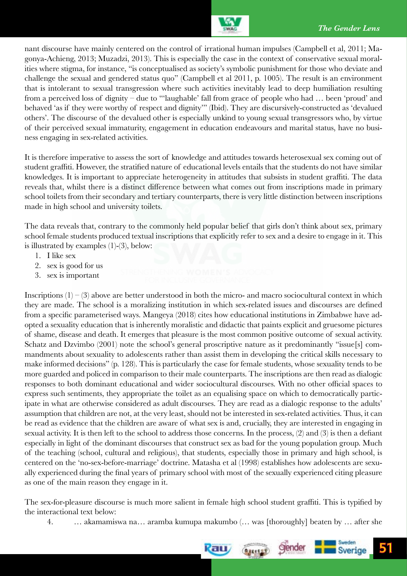Sweden

Sverige

Gender

nant discourse have mainly centered on the control of irrational human impulses (Campbell et al, 2011; Magonya-Achieng, 2013; Muzadzi, 2013). This is especially the case in the context of conservative sexual moralities where stigma, for instance, "is conceptualised as society's symbolic punishment for those who deviate and challenge the sexual and gendered status quo" (Campbell et al 2011, p. 1005). The result is an environment that is intolerant to sexual transgression where such activities inevitably lead to deep humiliation resulting from a perceived loss of dignity – due to "'laughable' fall from grace of people who had … been 'proud' and behaved 'as if they were worthy of respect and dignity'" (Ibid). They are discursively-constructed as 'devalued others'. The discourse of the devalued other is especially unkind to young sexual transgressors who, by virtue of their perceived sexual immaturity, engagement in education endeavours and marital status, have no business engaging in sex-related activities.

It is therefore imperative to assess the sort of knowledge and attitudes towards heterosexual sex coming out of student graffiti. However, the stratified nature of educational levels entails that the students do not have similar knowledges. It is important to appreciate heterogeneity in attitudes that subsists in student graffiti. The data reveals that, whilst there is a distinct difference between what comes out from inscriptions made in primary school toilets from their secondary and tertiary counterparts, there is very little distinction between inscriptions made in high school and university toilets.

The data reveals that, contrary to the commonly held popular belief that girls don't think about sex, primary school female students produced textual inscriptions that explicitly refer to sex and a desire to engage in it. This is illustrated by examples (1)-(3), below:

- 1. I like sex
- 2. sex is good for us
- 3. sex is important

Inscriptions  $(1) - (3)$  above are better understood in both the micro- and macro sociocultural context in which they are made. The school is a moralizing institution in which sex-related issues and discourses are defined from a specific parameterised ways. Mangeya (2018) cites how educational institutions in Zimbabwe have adopted a sexuality education that is inherently moralistic and didactic that paints explicit and gruesome pictures of shame, disease and death. It emerges that pleasure is the most common positive outcome of sexual activity. Schatz and Dzvimbo (2001) note the school's general proscriptive nature as it predominantly "issue[s] commandments about sexuality to adolescents rather than assist them in developing the critical skills necessary to make informed decisions" (p. 128). This is particularly the case for female students, whose sexuality tends to be more guarded and policed in comparison to their male counterparts. The inscriptions are then read as dialogic responses to both dominant educational and wider sociocultural discourses. With no other official spaces to express such sentiments, they appropriate the toilet as an equalising space on which to democratically participate in what are otherwise considered as adult discourses. They are read as a dialogic response to the adults' assumption that children are not, at the very least, should not be interested in sex-related activities. Thus, it can be read as evidence that the children are aware of what sex is and, crucially, they are interested in engaging in sexual activity. It is then left to the school to address those concerns. In the process, (2) and (3) is then a defiant especially in light of the dominant discourses that construct sex as bad for the young population group. Much of the teaching (school, cultural and religious), that students, especially those in primary and high school, is centered on the 'no-sex-before-marriage' doctrine. Matasha et al (1998) establishes how adolescents are sexually experienced during the final years of primary school with most of the sexually experienced citing pleasure as one of the main reason they engage in it.

The sex-for-pleasure discourse is much more salient in female high school student graffiti. This is typified by the interactional text below:

4. … akamamiswa na… aramba kumupa makumbo (… was [thoroughly] beaten by … after she

kau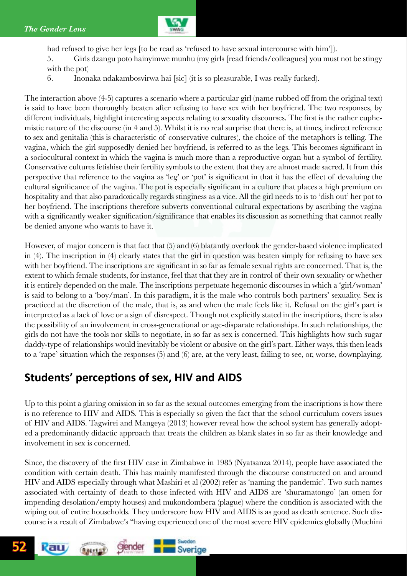

<span id="page-51-0"></span>had refused to give her legs [to be read as 'refused to have sexual intercourse with him']).

5. Girls dzangu poto hainyimwe munhu (my girls [read friends/colleagues] you must not be stingy with the pot)

6. Inonaka ndakambosvirwa hai [sic] (it is so pleasurable, I was really fucked).

The interaction above (4-5) captures a scenario where a particular girl (name rubbed off from the original text) is said to have been thoroughly beaten after refusing to have sex with her boyfriend. The two responses, by different individuals, highlight interesting aspects relating to sexuality discourses. The first is the rather euphemistic nature of the discourse (in 4 and 5). Whilst it is no real surprise that there is, at times, indirect reference to sex and genitalia (this is characteristic of conservative cultures), the choice of the metaphors is telling. The vagina, which the girl supposedly denied her boyfriend, is referred to as the legs. This becomes significant in a sociocultural context in which the vagina is much more than a reproductive organ but a symbol of fertility. Conservative cultures fetishise their fertility symbols to the extent that they are almost made sacred. It from this perspective that reference to the vagina as 'leg' or 'pot' is significant in that it has the effect of devaluing the cultural significance of the vagina. The pot is especially significant in a culture that places a high premium on hospitality and that also paradoxically regards stinginess as a vice. All the girl needs to is to 'dish out' her pot to her boyfriend. The inscriptions therefore subverts conventional cultural expectations by ascribing the vagina with a significantly weaker signification/significance that enables its discussion as something that cannot really be denied anyone who wants to have it.

However, of major concern is that fact that (5) and (6) blatantly overlook the gender-based violence implicated in (4). The inscription in (4) clearly states that the girl in question was beaten simply for refusing to have sex with her boyfriend. The inscriptions are significant in so far as female sexual rights are concerned. That is, the extent to which female students, for instance, feel that that they are in control of their own sexuality or whether it is entirely depended on the male. The inscriptions perpetuate hegemonic discourses in which a 'girl/woman' is said to belong to a 'boy/man'. In this paradigm, it is the male who controls both partners' sexuality. Sex is practiced at the discretion of the male, that is, as and when the male feels like it. Refusal on the girl's part is interpreted as a lack of love or a sign of disrespect. Though not explicitly stated in the inscriptions, there is also the possibility of an involvement in cross-generational or age-disparate relationships. In such relationships, the girls do not have the tools nor skills to negotiate, in so far as sex is concerned. This highlights how such sugar daddy-type of relationships would inevitably be violent or abusive on the girl's part. Either ways, this then leads to a 'rape' situation which the responses (5) and (6) are, at the very least, failing to see, or, worse, downplaying.

# **Students' perceptions of sex, HIV and AIDS**

Up to this point a glaring omission in so far as the sexual outcomes emerging from the inscriptions is how there is no reference to HIV and AIDS. This is especially so given the fact that the school curriculum covers issues of HIV and AIDS. Tagwirei and Mangeya (2013) however reveal how the school system has generally adopted a predominantly didactic approach that treats the children as blank slates in so far as their knowledge and involvement in sex is concerned.

Since, the discovery of the first HIV case in Zimbabwe in 1985 (Nyatsanza 2014), people have associated the condition with certain death. This has mainly manifested through the discourse constructed on and around HIV and AIDS especially through what Mashiri et al (2002) refer as 'naming the pandemic'. Two such names associated with certainty of death to those infected with HIV and AIDS are 'shuramatongo' (an omen for impending desolation/empty houses) and mukondombera (plague) where the condition is associated with the wiping out of entire households. They underscore how HIV and AIDS is as good as death sentence. Such discourse is a result of Zimbabwe's "having experienced one of the most severe HIV epidemics globally (Muchini

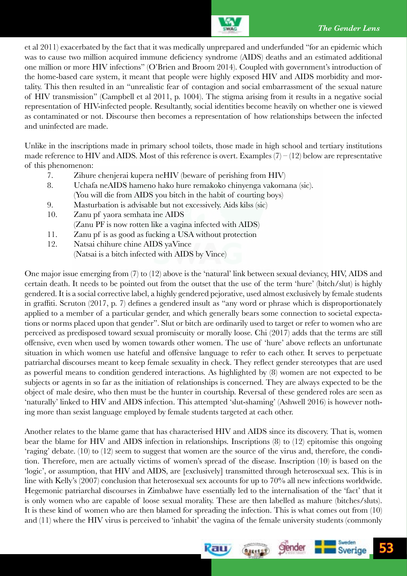Sverige



et al 2011) exacerbated by the fact that it was medically unprepared and underfunded "for an epidemic which was to cause two million acquired immune deficiency syndrome (AIDS) deaths and an estimated additional one million or more HIV infections" (O'Brien and Broom 2014). Coupled with government's introduction of the home-based care system, it meant that people were highly exposed HIV and AIDS morbidity and mortality. This then resulted in an "unrealistic fear of contagion and social embarrassment of the sexual nature of HIV transmission" (Campbell et al 2011, p. 1004). The stigma arising from it results in a negative social representation of HIV-infected people. Resultantly, social identities become heavily on whether one is viewed as contaminated or not. Discourse then becomes a representation of how relationships between the infected and uninfected are made.

Unlike in the inscriptions made in primary school toilets, those made in high school and tertiary institutions made reference to HIV and AIDS. Most of this reference is overt. Examples  $(7) - (12)$  below are representative of this phenomenon:

- 7. Zihure chenjerai kupera neHIV (beware of perishing from HIV)
- 8. Uchafa neAIDS hameno hako hure remakoko chinyenga vakomana (sic). (You will die from AIDS you bitch in the habit of courting boys)
- 9. Masturbation is advisable but not excessively. Aids kilss (sic)
- 10. Zanu pf yaora semhata ine AIDS (Zanu PF is now rotten like a vagina infected with AIDS)
- 11. Zanu pf is as good as fucking a USA without protection
- 12. Natsai chihure chine AIDS yaVince (Natsai is a bitch infected with AIDS by Vince)

One major issue emerging from (7) to (12) above is the 'natural' link between sexual deviancy, HIV, AIDS and certain death. It needs to be pointed out from the outset that the use of the term 'hure' (bitch/slut) is highly gendered. It is a social corrective label, a highly gendered pejorative, used almost exclusively by female students in graffiti. Scruton (2017, p. 7) defines a gendered insult as "any word or phrase which is disproportionately applied to a member of a particular gender, and which generally bears some connection to societal expectations or norms placed upon that gender". Slut or bitch are ordinarily used to target or refer to women who are perceived as predisposed toward sexual promiscuity or morally loose. Chi (2017) adds that the terms are still offensive, even when used by women towards other women. The use of 'hure' above reflects an unfortunate situation in which women use hateful and offensive language to refer to each other. It serves to perpetuate patriarchal discourses meant to keep female sexuality in check. They reflect gender stereotypes that are used as powerful means to condition gendered interactions. As highlighted by (8) women are not expected to be subjects or agents in so far as the initiation of relationships is concerned. They are always expected to be the object of male desire, who then must be the hunter in courtship. Reversal of these gendered roles are seen as 'naturally' linked to HIV and AIDS infection. This attempted 'slut-shaming' (Ashwell 2016) is however nothing more than sexist language employed by female students targeted at each other.

Another relates to the blame game that has characterised HIV and AIDS since its discovery. That is, women bear the blame for HIV and AIDS infection in relationships. Inscriptions (8) to (12) epitomise this ongoing 'raging' debate. (10) to (12) seem to suggest that women are the source of the virus and, therefore, the condition. Therefore, men are actually victims of women's spread of the disease. Inscription (10) is based on the 'logic', or assumption, that HIV and AIDS, are [exclusively] transmitted through heterosexual sex. This is in line with Kelly's (2007) conclusion that heterosexual sex accounts for up to 70% all new infections worldwide. Hegemonic patriarchal discourses in Zimbabwe have essentially led to the internalisation of the 'fact' that it is only women who are capable of loose sexual morality. These are then labelled as mahure (bitches/sluts). It is these kind of women who are then blamed for spreading the infection. This is what comes out from (10) and (11) where the HIV virus is perceived to 'inhabit' the vagina of the female university students (commonly



Glender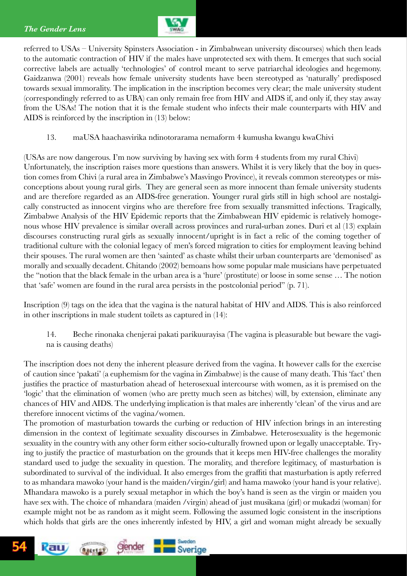rau

Gender



referred to USAs – University Spinsters Association - in Zimbabwean university discourses) which then leads to the automatic contraction of HIV if the males have unprotected sex with them. It emerges that such social corrective labels are actually 'technologies' of control meant to serve patriarchal ideologies and hegemony. Gaidzanwa (2001) reveals how female university students have been stereotyped as 'naturally' predisposed towards sexual immorality. The implication in the inscription becomes very clear; the male university student (correspondingly referred to as UBA) can only remain free from HIV and AIDS if, and only if, they stay away from the USAs! The notion that it is the female student who infects their male counterparts with HIV and AIDS is reinforced by the inscription in (13) below:

13. maUSA haachasvirika ndinotorarama nemaform 4 kumusha kwangu kwaChivi

(USAs are now dangerous. I'm now surviving by having sex with form 4 students from my rural Chivi) Unfortunately, the inscription raises more questions than answers. Whilst it is very likely that the boy in question comes from Chivi (a rural area in Zimbabwe's Masvingo Province), it reveals common stereotypes or misconceptions about young rural girls. They are general seen as more innocent than female university students and are therefore regarded as an AIDS-free generation. Younger rural girls still in high school are nostalgically constructed as innocent virgins who are therefore free from sexually transmitted infections. Tragically, Zimbabwe Analysis of the HIV Epidemic reports that the Zimbabwean HIV epidemic is relatively homogenous whose HIV prevalence is similar overall across provinces and rural-urban zones. Duri et al (13) explain discourses constructing rural girls as sexually innocent/upright is in fact a relic of the coming together of traditional culture with the colonial legacy of men's forced migration to cities for employment leaving behind their spouses. The rural women are then 'sainted' as chaste whilst their urban counterparts are 'demonised' as morally and sexually decadent. Chitando (2002) bemoans how some popular male musicians have perpetuated the "notion that the black female in the urban area is a 'hure' (prostitute) or loose in some sense … The notion that 'safe' women are found in the rural area persists in the postcolonial period" (p. 71).

Inscription (9) tags on the idea that the vagina is the natural habitat of HIV and AIDS. This is also reinforced in other inscriptions in male student toilets as captured in (14):

14. Beche rinonaka chenjerai pakati parikuurayisa (The vagina is pleasurable but beware the vagina is causing deaths)

The inscription does not deny the inherent pleasure derived from the vagina. It however calls for the exercise of caution since 'pakati' (a euphemism for the vagina in Zimbabwe) is the cause of many death. This 'fact' then justifies the practice of masturbation ahead of heterosexual intercourse with women, as it is premised on the 'logic' that the elimination of women (who are pretty much seen as bitches) will, by extension, eliminate any chances of HIV and AIDS. The underlying implication is that males are inherently 'clean' of the virus and are therefore innocent victims of the vagina/women.

The promotion of masturbation towards the curbing or reduction of HIV infection brings in an interesting dimension in the context of legitimate sexuality discourses in Zimbabwe. Heterosexuality is the hegemonic sexuality in the country with any other form either socio-culturally frowned upon or legally unacceptable. Trying to justify the practice of masturbation on the grounds that it keeps men HIV-free challenges the morality standard used to judge the sexuality in question. The morality, and therefore legitimacy, of masturbation is subordinated to survival of the individual. It also emerges from the graffiti that masturbation is aptly referred to as mhandara mawoko (your hand is the maiden/virgin/girl) and hama mawoko (your hand is your relative). Mhandara mawoko is a purely sexual metaphor in which the boy's hand is seen as the virgin or maiden you have sex with. The choice of mhandara (maiden /virgin) ahead of just musikana (girl) or mukadzi (woman) for example might not be as random as it might seem. Following the assumed logic consistent in the inscriptions which holds that girls are the ones inherently infested by HIV, a girl and woman might already be sexually

Sverige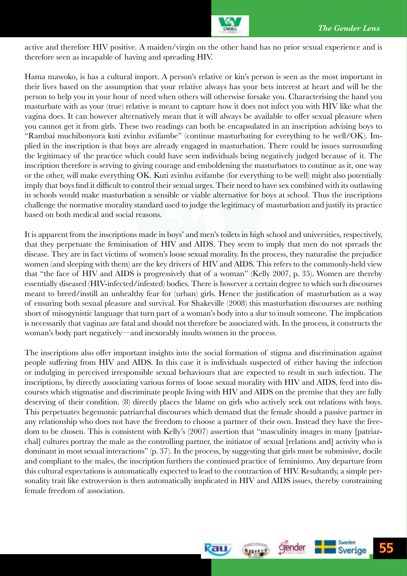Sverige

active and therefore HIV positive. A maiden/virgin on the other hand has no prior sexual experience and is therefore seen as incapable of having and spreading HIV.

Hama mawoko, is has a cultural import. A person's relative or kin's person is seen as the most important in their lives based on the assumption that your relative always has your bets interest at heart and will be the person to help you in your hour of need when others will otherwise forsake you. Characterising the hand you masturbate with as your (true) relative is meant to capture how it does not infect you with HIV like what the vagina does. It can however alternatively mean that it will always be available to offer sexual pleasure when you cannot get it from girls. These two readings can both be encapsulated in an inscription advising boys to "Rambai muchibonyora kuti zvinhu zvifambe" (continue masturbating for everything to be well/OK). Implied in the inscription is that boys are already engaged in masturbation. There could be issues surrounding the legitimacy of the practice which could have seen individuals being negatively judged because of it. The inscription therefore is serving to giving courage and emboldening the masturbators to continue as it, one way or the other, will make everything OK. Kuti zvinhu zvifambe (for everything to be well) might also potentially imply that boys find it difficult to control their sexual urges. Their need to have sex combined with its outlawing in schools would make masturbation a sensible or viable alternative for boys at school. Thus the inscriptions challenge the normative morality standard used to judge the legitimacy of masturbation and justify its practice based on both medical and social reasons.

It is apparent from the inscriptions made in boys' and men's toilets in high school and universities, respectively, that they perpetuate the feminisation of HIV and AIDS. They seem to imply that men do not spreads the disease. They are in fact victims of women's loose sexual morality. In the process, they naturalise the prejudice women (and sleeping with them) are the key drivers of HIV and AIDS. This refers to the commonly-held view that "the face of HIV and AIDS is progressively that of a woman" (Kelly 2007, p. 35). Women are thereby essentially diseased (HIV-infected/infested) bodies. There is however a certain degree to which such discourses meant to breed/instill an unhealthy fear for (urban) girls. Hence the justification of masturbation as a way of ensuring both sexual pleasure and survival. For Shakeville (2008) this masturbation discourses are nothing short of misogynistic language that turn part of a woman's body into a slur to insult someone. The implication is necessarily that vaginas are fatal and should not therefore be associated with. In the process, it constructs the woman's body part negatively—and inexorably insults women in the process.

The inscriptions also offer important insights into the social formation of stigma and discrimination against people suffering from HIV and AIDS. In this case it is individuals suspected of either having the infection or indulging in perceived irresponsible sexual behaviours that are expected to result in such infection. The inscriptions, by directly associating various forms of loose sexual morality with HIV and AIDS, feed into discourses which stigmatise and discriminate people living with HIV and AIDS on the premise that they are fully deserving of their condition. (8) directly places the blame on girls who actively seek out relations with boys. This perpetuates hegemonic patriarchal discourses which demand that the female should a passive partner in any relationship who does not have the freedom to choose a partner of their own. Instead they have the freedom to be chosen. This is consistent with Kelly's (2007) assertion that "masculinity images in many [patriarchal] cultures portray the male as the controlling partner, the initiator of sexual [relations and] activity who is dominant in most sexual interactions" (p. 37). In the process, by suggesting that girls must be submissive, docile and compliant to the males, the inscription furthers the continued practice of feminismo. Any departure from this cultural expectations is automatically expected to lead to the contraction of HIV. Resultantly, a simple personality trait like extroversion is then automatically implicated in HIV and AIDS issues, thereby constraining female freedom of association.

kau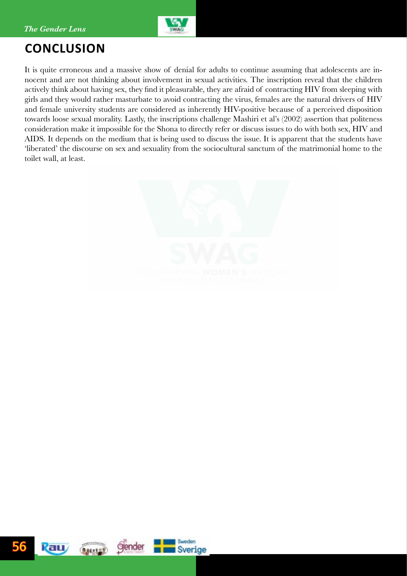

# <span id="page-55-0"></span>**CONCLUSION**

It is quite erroneous and a massive show of denial for adults to continue assuming that adolescents are innocent and are not thinking about involvement in sexual activities. The inscription reveal that the children actively think about having sex, they find it pleasurable, they are afraid of contracting HIV from sleeping with girls and they would rather masturbate to avoid contracting the virus, females are the natural drivers of HIV and female university students are considered as inherently HIV-positive because of a perceived disposition towards loose sexual morality. Lastly, the inscriptions challenge Mashiri et al's (2002) assertion that politeness consideration make it impossible for the Shona to directly refer or discuss issues to do with both sex, HIV and AIDS. It depends on the medium that is being used to discuss the issue. It is apparent that the students have 'liberated' the discourse on sex and sexuality from the sociocultural sanctum of the matrimonial home to the toilet wall, at least.



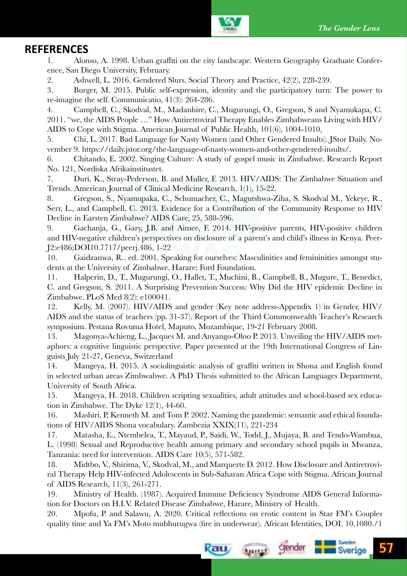Sweden

**Sverige** 

Glender

### <span id="page-56-0"></span>**REFERENCES**

1. Alonso, A. 1998. Urban graffiti on the city landscape. Western Geography Graduate Conference, San Diego University, February.

2. Ashwell, L. 2016. Gendered Slurs. Social Theory and Practice, 42(2), 228-239.

3. Burger, M. 2015. Public self-expression, identity and the participatory turn: The power to re-imagine the self. Communicatio, 41(3): 264-286.

4. Campbell, C., Skodval, M., Madanhire, C., Mugurungi, O., Gregson, S and Nyamukapa, C. 2011. "we, the AIDS People …" How Antiretroviral Therapy Enables Zimbabweans Living with HIV/ AIDS to Cope with Stigma. American Journal of Public Health, 101(6), 1004-1010,

5. Chi, L. 2017. Bad Language for Nasty Women (and Other Gendered Insults). JStor Daily. November 9. https://daily.jstor.org/the-language-of-nasty-women-and-other-gendered-insults/.

6. Chitando, E. 2002. Singing Culture: A study of gospel music in Zimbabwe. Research Report No. 121, Nordiska Afrikainstitustet.

7. Duri, K., Stray-Pederson, B. and Muller, F. 2013. HIV/AIDS: The Zimbabwe Situation and Trends. American Journal of Clinical Medicine Research, 1(1), 15-22.

8. Gregson, S., Nyamupaka, C., Schumacher, C., Magutshwa-Ziha, S. Skodval M., Yekeye, R., Serr, L., and Campbell, C. 2013. Evidence for a Contribution of the Community Response to HIV Decline in Earsten Zimbabwe? AIDS Care, 25, 588-596.

9. Gachanja, G., Gary, J.B. and Aimee, F. 2014. HIV-positive parents, HIV-positive children and HIV-negative children's perspectives on disclosure of a parent's and child's illness in Kenya. Peer-J2:e486;DOI10.7717/peerj.486, 1-22

10. Gaidzanwa, R.. ed. 2001. Speaking for ourselves: Masculinities and femininities amongst students at the University of Zimbabwe. Harare: Ford Foundation.

11. Halperin, D., T., Mugurungi, O., Hallet, T., Muchini, B., Campbell, B., Mugure, T., Benedict, C. and Gregson, S. 2011. A Surprising Prevention Success: Why Did the HIV epidemic Decline in Zimbabwe. PLoS Med 8(2): e100041.

12. Kelly, M. (2007). HIV/AIDS and gender (Key note address-Appendix 1) in Gender, HIV/ AIDS and the status of teachers (pp. 31-37). Report of the Third Commonwealth Teacher's Research symposium. Pestana Rovuma Hotel, Maputo, Mozambique, 19-21 February 2008.

13. Magonya-Achieng, L., Jacques M. and Anyango-Oloo P. 2013. Unveiling the HIV/AIDS metaphors: a cognitive linguistic perspective. Paper presented at the 19th International Congress of Linguists July 21-27, Geneva, Switzerland

14. Mangeya, H. 2015. A sociolinguistic analysis of graffiti written in Shona and English found in selected urban areas Zimbwabwe. A PhD Thesis submitted to the African Languages Department, University of South Africa.

15. Mangeya, H. 2018. Children scripting sexualities, adult attitudes and school-based sex education in Zimbabwe. The Dyke 12(1), 44-60.

16. Mashiri, P, Kenneth M. and Tom P. 2002. Naming the pandemic: semantic and ethical foundations of HIV/AIDS Shona vocabulary. Zambezia XXIX(11), 221-234

17. Matasha, E., Ntembelea, T., Mayaud, P., Saidi, W., Todd, J., Mujaya, B. and Tendo-Wambua, L. (1998) Sexual and Reproductive health among primary and secondary school pupils in Mwanza, Tanzania: need for intervention. AIDS Care 10(5), 571-582.

18. Midtbo, V., Shirima, V., Skodval, M., and Marquerte D. 2012. How Disclosure and Antiretroviral Therapy Help HIV-infected Adolescents in Sub-Saharan Africa Cope with Stigma. African Journal of AIDS Research, 11(3), 261-271.

19. Ministry of Health. (1987). Acquired Immune Deficiency Syndrome AIDS General Information for Doctors on H.I.V. Related Disease Zimbabwe, Harare, Ministry of Health.

20. Mpofu, P. and Salawu, A. 2020. Critical reflections on erotic content in Star FM's Couples quality time and Ya FM's Moto mubhurugwa (fire in underwear). African Identities, DOI. 10.1080./1

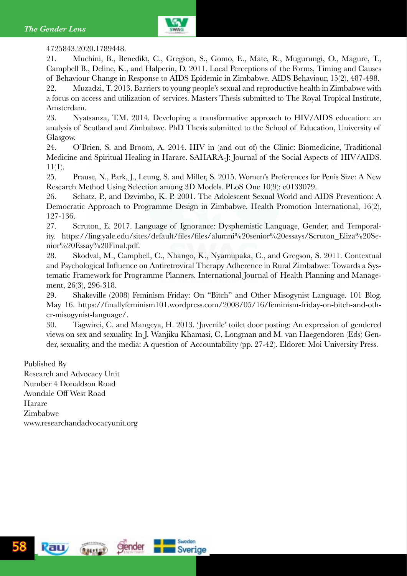

### 4725843.2020.1789448.

21. Muchini, B., Benedikt, C., Gregson, S., Gomo, E., Mate, R., Mugurungi, O., Magure, T., Campbell B., Deline, K., and Halperin, D. 2011. Local Perceptions of the Forms, Timing and Causes of Behaviour Change in Response to AIDS Epidemic in Zimbabwe. AIDS Behaviour, 15(2), 487-498. 22. Muzadzi, T. 2013. Barriers to young people's sexual and reproductive health in Zimbabwe with a focus on access and utilization of services. Masters Thesis submitted to The Royal Tropical Institute, Amsterdam.

23. Nyatsanza, T.M. 2014. Developing a transformative approach to HIV/AIDS education: an analysis of Scotland and Zimbabwe. PhD Thesis submitted to the School of Education, University of Glasgow.

24. O'Brien, S. and Broom, A. 2014. HIV in (and out of) the Clinic: Biomedicine, Traditional Medicine and Spiritual Healing in Harare. SAHARA-J: Journal of the Social Aspects of HIV/AIDS.  $11(1)$ .

25. Prause, N., Park, J., Leung, S. and Miller, S. 2015. Women's Preferences for Penis Size: A New Research Method Using Selection among 3D Models. PLoS One 10(9): e0133079.

26. Schatz, P., and Dzvimbo, K. P. 2001. The Adolescent Sexual World and AIDS Prevention: A Democratic Approach to Programme Design in Zimbabwe. Health Promotion International, 16(2), 127-136.

27. Scruton, E. 2017. Language of Ignorance: Dysphemistic Language, Gender, and Temporality. https://ling.yale.edu/sites/default/files/files/alumni%20senior%20essays/Scruton\_Eliza%20Senior%20Essay%20Final.pdf.

28. Skodval, M., Campbell, C., Nhango, K., Nyamupaka, C., and Gregson, S. 2011. Contextual and Psychological Influence on Antiretroviral Therapy Adherence in Rural Zimbabwe: Towards a Systematic Framework for Programme Planners. International Journal of Health Planning and Management, 26(3), 296-318.

29. Shakeville (2008) Feminism Friday: On "Bitch" and Other Misogynist Language. 101 Blog. May 16. https://finallyfeminism101.wordpress.com/2008/05/16/feminism-friday-on-bitch-and-other-misogynist-language/.

30. Tagwirei, C. and Mangeya, H. 2013. 'Juvenile' toilet door posting: An expression of gendered views on sex and sexuality. In J. Wanjiku Khamasi, C, Longman and M. van Haegendoren (Eds) Gender, sexuality, and the media: A question of Accountability (pp. 27-42). Eldoret: Moi University Press.

Published By Research and Advocacy Unit Number 4 Donaldson Road Avondale Off West Road Harare Zimbabwe www.researchandadvocacyunit.org

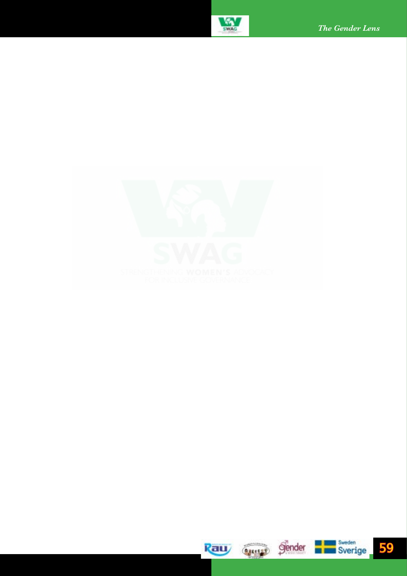







**Rau** 





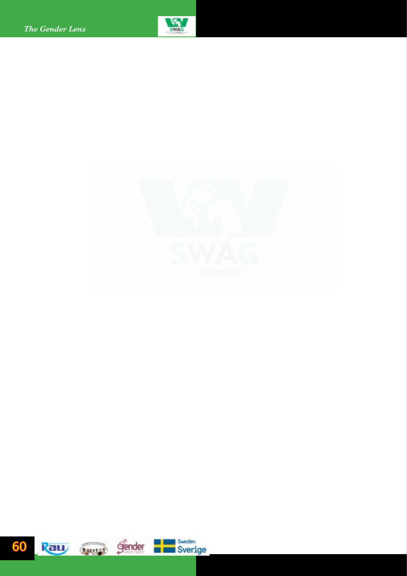



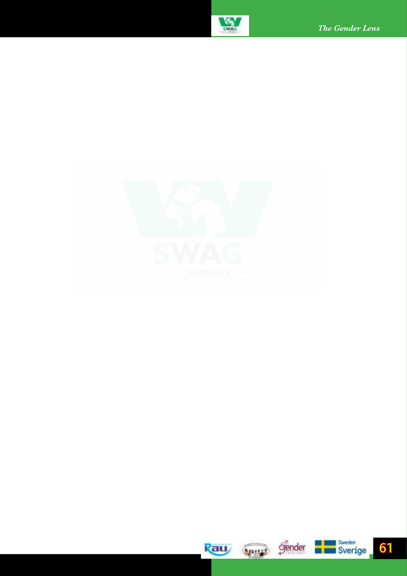











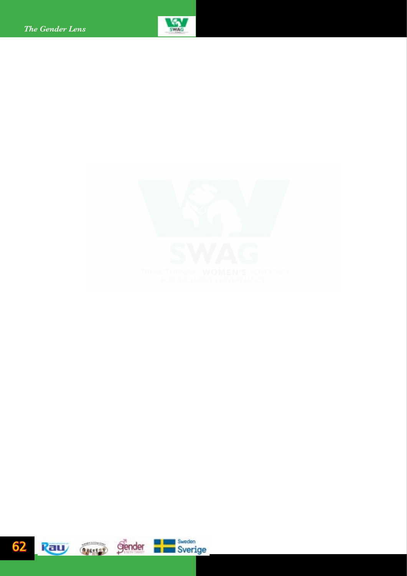



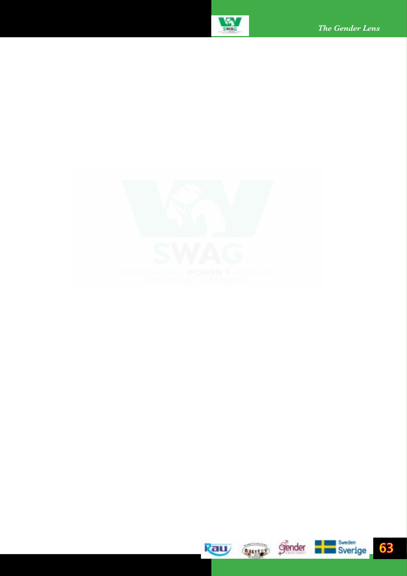







**Rau**